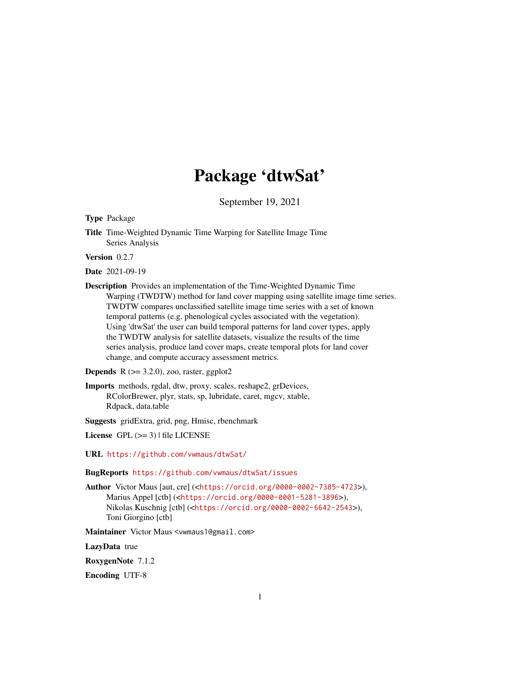# Package 'dtwSat'

September 19, 2021

<span id="page-0-0"></span>Type Package

Title Time-Weighted Dynamic Time Warping for Satellite Image Time Series Analysis

Version 0.2.7

Date 2021-09-19

Description Provides an implementation of the Time-Weighted Dynamic Time Warping (TWDTW) method for land cover mapping using satellite image time series. TWDTW compares unclassified satellite image time series with a set of known temporal patterns (e.g. phenological cycles associated with the vegetation). Using 'dtwSat' the user can build temporal patterns for land cover types, apply the TWDTW analysis for satellite datasets, visualize the results of the time series analysis, produce land cover maps, create temporal plots for land cover change, and compute accuracy assessment metrics.

#### **Depends**  $R$  ( $>= 3.2.0$ ), zoo, raster, ggplot2

Imports methods, rgdal, dtw, proxy, scales, reshape2, grDevices, RColorBrewer, plyr, stats, sp, lubridate, caret, mgcv, xtable, Rdpack, data.table

Suggests gridExtra, grid, png, Hmisc, rbenchmark

License GPL  $(>= 3)$  | file LICENSE

URL <https://github.com/vwmaus/dtwSat/>

BugReports <https://github.com/vwmaus/dtwSat/issues>

Author Victor Maus [aut, cre] (<<https://orcid.org/0000-0002-7385-4723>>), Marius Appel [ctb] (<<https://orcid.org/0000-0001-5281-3896>>), Nikolas Kuschnig [ctb] (<<https://orcid.org/0000-0002-6642-2543>>), Toni Giorgino [ctb]

Maintainer Victor Maus <vwmaus1@gmail.com>

LazyData true

RoxygenNote 7.1.2

Encoding UTF-8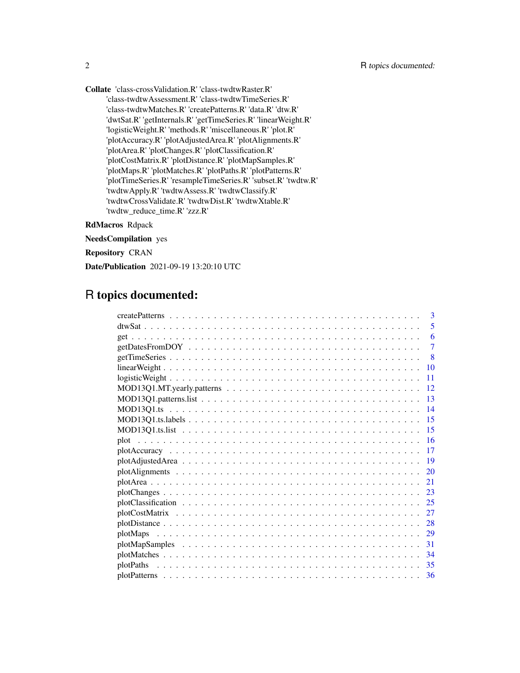Collate 'class-crossValidation.R' 'class-twdtwRaster.R' 'class-twdtwAssessment.R' 'class-twdtwTimeSeries.R' 'class-twdtwMatches.R' 'createPatterns.R' 'data.R' 'dtw.R' 'dwtSat.R' 'getInternals.R' 'getTimeSeries.R' 'linearWeight.R' 'logisticWeight.R' 'methods.R' 'miscellaneous.R' 'plot.R' 'plotAccuracy.R' 'plotAdjustedArea.R' 'plotAlignments.R' 'plotArea.R' 'plotChanges.R' 'plotClassification.R' 'plotCostMatrix.R' 'plotDistance.R' 'plotMapSamples.R' 'plotMaps.R' 'plotMatches.R' 'plotPaths.R' 'plotPatterns.R' 'plotTimeSeries.R' 'resampleTimeSeries.R' 'subset.R' 'twdtw.R' 'twdtwApply.R' 'twdtwAssess.R' 'twdtwClassify.R' 'twdtwCrossValidate.R' 'twdtwDist.R' 'twdtwXtable.R' 'twdtw\_reduce\_time.R' 'zzz.R'

RdMacros Rdpack

NeedsCompilation yes

Repository CRAN

Date/Publication 2021-09-19 13:20:10 UTC

# R topics documented:

| $\mathbf{3}$                                                                                                |
|-------------------------------------------------------------------------------------------------------------|
| 5                                                                                                           |
| 6                                                                                                           |
| 7                                                                                                           |
| -8                                                                                                          |
| 10                                                                                                          |
| 11                                                                                                          |
| $MOD13Q1.MT.$ yearly patterns $\ldots \ldots \ldots \ldots \ldots \ldots \ldots \ldots \ldots \ldots$<br>12 |
| 13                                                                                                          |
| $\overline{14}$                                                                                             |
| -15                                                                                                         |
| $-15$                                                                                                       |
|                                                                                                             |
| -17                                                                                                         |
| -19                                                                                                         |
| 20                                                                                                          |
| 21                                                                                                          |
| 23                                                                                                          |
|                                                                                                             |
|                                                                                                             |
|                                                                                                             |
|                                                                                                             |
| 31                                                                                                          |
| 34                                                                                                          |
| -35<br>plotPaths                                                                                            |
|                                                                                                             |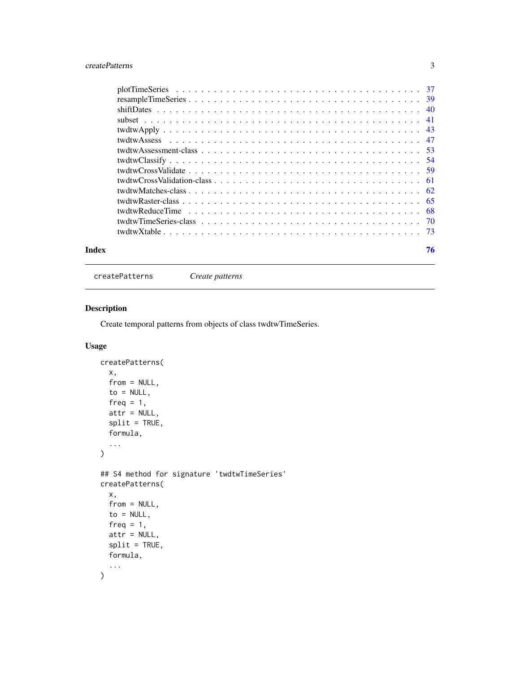### <span id="page-2-0"></span>createPatterns 3

<span id="page-2-1"></span>createPatterns *Create patterns*

### Description

Create temporal patterns from objects of class twdtwTimeSeries.

### Usage

```
createPatterns(
  x,
  from = NULL,
  to = NULL,freq = 1,
  attr = NULL,
  split = TRUE,formula,
  ...
\mathcal{L}## S4 method for signature 'twdtwTimeSeries'
createPatterns(
  x,
  from = NULL,
  to = NULL,
  freq = 1,
  attr = NULL,
  split = TRUE,formula,
  ...
\mathcal{L}
```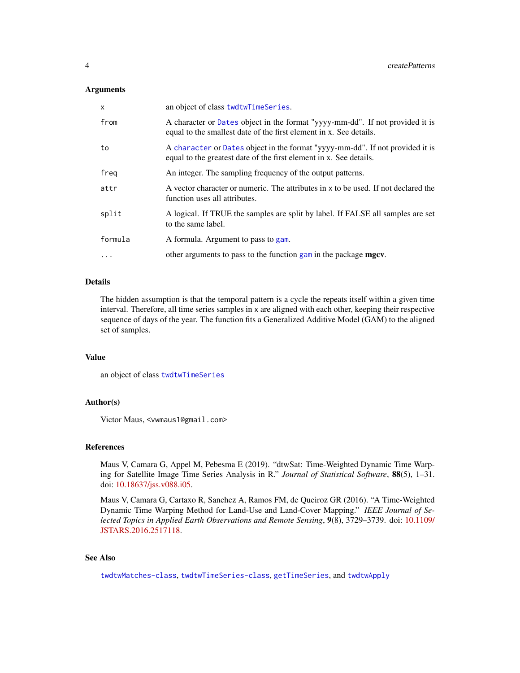#### **Arguments**

| x         | an object of class twdtwTimeSeries.                                                                                                                 |
|-----------|-----------------------------------------------------------------------------------------------------------------------------------------------------|
| from      | A character or Dates object in the format "yyyy-mm-dd". If not provided it is<br>equal to the smallest date of the first element in x. See details. |
| to        | A character or Dates object in the format "yyyy-mm-dd". If not provided it is<br>equal to the greatest date of the first element in x. See details. |
| freg      | An integer. The sampling frequency of the output patterns.                                                                                          |
| attr      | A vector character or numeric. The attributes in x to be used. If not declared the<br>function uses all attributes.                                 |
| split     | A logical. If TRUE the samples are split by label. If FALSE all samples are set<br>to the same label.                                               |
| formula   | A formula. Argument to pass to gam.                                                                                                                 |
| $\ddotsc$ | other arguments to pass to the function gam in the package mgcv.                                                                                    |

#### Details

The hidden assumption is that the temporal pattern is a cycle the repeats itself within a given time interval. Therefore, all time series samples in x are aligned with each other, keeping their respective sequence of days of the year. The function fits a Generalized Additive Model (GAM) to the aligned set of samples.

### Value

an object of class [twdtwTimeSeries](#page-69-1)

### Author(s)

Victor Maus, <vwmaus1@gmail.com>

#### References

Maus V, Camara G, Appel M, Pebesma E (2019). "dtwSat: Time-Weighted Dynamic Time Warping for Satellite Image Time Series Analysis in R." *Journal of Statistical Software*, 88(5), 1–31. doi: [10.18637/jss.v088.i05.](https://doi.org/10.18637/jss.v088.i05)

Maus V, Camara G, Cartaxo R, Sanchez A, Ramos FM, de Queiroz GR (2016). "A Time-Weighted Dynamic Time Warping Method for Land-Use and Land-Cover Mapping." *IEEE Journal of Selected Topics in Applied Earth Observations and Remote Sensing*, 9(8), 3729–3739. doi: [10.1109/](https://doi.org/10.1109/JSTARS.2016.2517118) [JSTARS.2016.2517118.](https://doi.org/10.1109/JSTARS.2016.2517118)

### See Also

[twdtwMatches-class](#page-61-1), [twdtwTimeSeries-class](#page-69-2), [getTimeSeries](#page-7-1), and [twdtwApply](#page-42-1)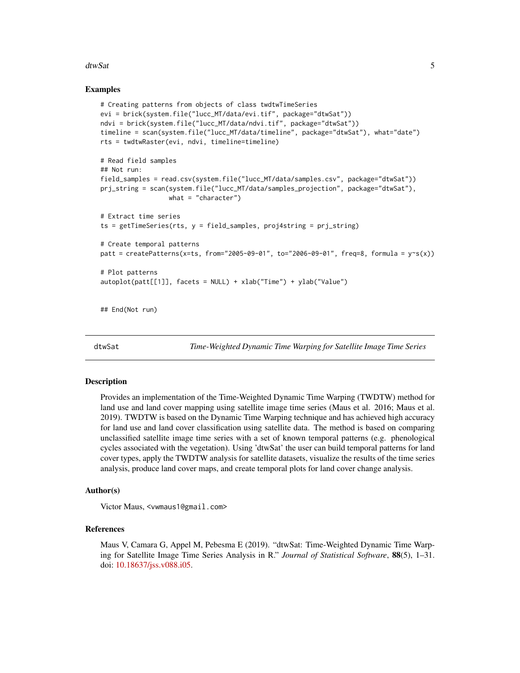#### <span id="page-4-0"></span>dtwSat 5

#### Examples

```
# Creating patterns from objects of class twdtwTimeSeries
evi = brick(system.file("lucc_MT/data/evi.tif", package="dtwSat"))
ndvi = brick(system.file("lucc_MT/data/ndvi.tif", package="dtwSat"))
timeline = scan(system.file("lucc_MT/data/timeline", package="dtwSat"), what="date")
rts = twdtwRaster(evi, ndvi, timeline=timeline)
# Read field samples
## Not run:
field_samples = read.csv(system.file("lucc_MT/data/samples.csv", package="dtwSat"))
prj_string = scan(system.file("lucc_MT/data/samples_projection", package="dtwSat"),
                  what = "character")
# Extract time series
ts = getTimeSeries(rts, y = field_samples, proj4string = prj_string)
# Create temporal patterns
patt = createPatterns(x=ts, from="2005-09-01", to="2006-09-01", freq=8, formula = y \sim s(x))
# Plot patterns
autoplot(patt[[1]], facets = NULL) + xlab("Time") + ylab("Value")
```
## End(Not run)

dtwSat *Time-Weighted Dynamic Time Warping for Satellite Image Time Series*

#### Description

Provides an implementation of the Time-Weighted Dynamic Time Warping (TWDTW) method for land use and land cover mapping using satellite image time series (Maus et al. 2016; Maus et al. 2019). TWDTW is based on the Dynamic Time Warping technique and has achieved high accuracy for land use and land cover classification using satellite data. The method is based on comparing unclassified satellite image time series with a set of known temporal patterns (e.g. phenological cycles associated with the vegetation). Using 'dtwSat' the user can build temporal patterns for land cover types, apply the TWDTW analysis for satellite datasets, visualize the results of the time series analysis, produce land cover maps, and create temporal plots for land cover change analysis.

#### Author(s)

Victor Maus, <vwmaus1@gmail.com>

#### References

Maus V, Camara G, Appel M, Pebesma E (2019). "dtwSat: Time-Weighted Dynamic Time Warping for Satellite Image Time Series Analysis in R." *Journal of Statistical Software*, 88(5), 1–31. doi: [10.18637/jss.v088.i05.](https://doi.org/10.18637/jss.v088.i05)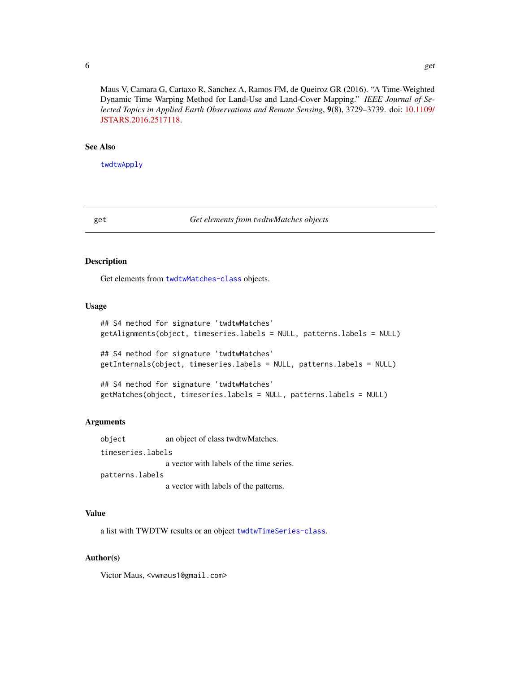<span id="page-5-0"></span>Maus V, Camara G, Cartaxo R, Sanchez A, Ramos FM, de Queiroz GR (2016). "A Time-Weighted Dynamic Time Warping Method for Land-Use and Land-Cover Mapping." *IEEE Journal of Selected Topics in Applied Earth Observations and Remote Sensing*, 9(8), 3729–3739. doi: [10.1109/](https://doi.org/10.1109/JSTARS.2016.2517118) [JSTARS.2016.2517118.](https://doi.org/10.1109/JSTARS.2016.2517118)

#### See Also

[twdtwApply](#page-42-1)

#### get *Get elements from twdtwMatches objects*

### Description

Get elements from [twdtwMatches-class](#page-61-1) objects.

#### Usage

```
## S4 method for signature 'twdtwMatches'
getAlignments(object, timeseries.labels = NULL, patterns.labels = NULL)
```
## S4 method for signature 'twdtwMatches' getInternals(object, timeseries.labels = NULL, patterns.labels = NULL)

## S4 method for signature 'twdtwMatches' getMatches(object, timeseries.labels = NULL, patterns.labels = NULL)

#### Arguments

object an object of class twdtwMatches. timeseries.labels a vector with labels of the time series. patterns.labels

a vector with labels of the patterns.

#### Value

a list with TWDTW results or an object [twdtwTimeSeries-class](#page-69-2).

#### Author(s)

Victor Maus, <vwmaus1@gmail.com>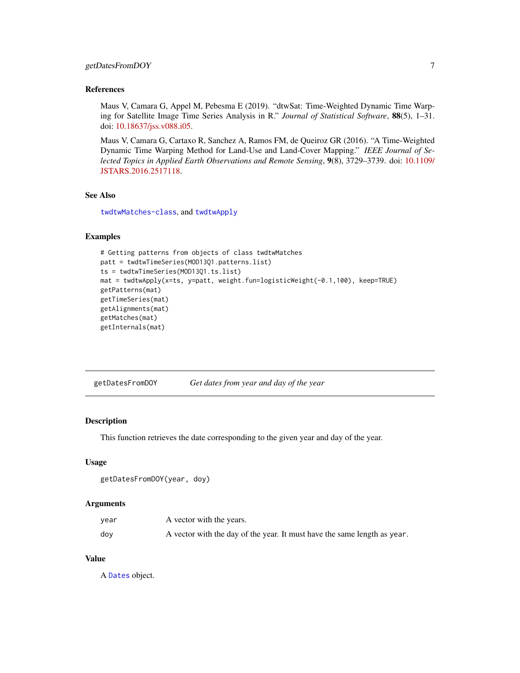#### <span id="page-6-0"></span>getDatesFromDOY 7

#### References

Maus V, Camara G, Appel M, Pebesma E (2019). "dtwSat: Time-Weighted Dynamic Time Warping for Satellite Image Time Series Analysis in R." *Journal of Statistical Software*, 88(5), 1–31. doi: [10.18637/jss.v088.i05.](https://doi.org/10.18637/jss.v088.i05)

Maus V, Camara G, Cartaxo R, Sanchez A, Ramos FM, de Queiroz GR (2016). "A Time-Weighted Dynamic Time Warping Method for Land-Use and Land-Cover Mapping." *IEEE Journal of Selected Topics in Applied Earth Observations and Remote Sensing*, 9(8), 3729–3739. doi: [10.1109/](https://doi.org/10.1109/JSTARS.2016.2517118) [JSTARS.2016.2517118.](https://doi.org/10.1109/JSTARS.2016.2517118)

### See Also

[twdtwMatches-class](#page-61-1), and [twdtwApply](#page-42-1)

#### Examples

```
# Getting patterns from objects of class twdtwMatches
patt = twdtwTimeSeries(MOD13Q1.patterns.list)
ts = twdtwTimeSeries(MOD13Q1.ts.list)
mat = twdtwApply(x=ts, y=patt, weight.fun=logisticWeight(-0.1,100), keep=TRUE)
getPatterns(mat)
getTimeSeries(mat)
getAlignments(mat)
getMatches(mat)
getInternals(mat)
```
getDatesFromDOY *Get dates from year and day of the year*

#### Description

This function retrieves the date corresponding to the given year and day of the year.

#### Usage

```
getDatesFromDOY(year, doy)
```
#### Arguments

| year | A vector with the years.                                                 |
|------|--------------------------------------------------------------------------|
| doy  | A vector with the day of the year. It must have the same length as year. |

#### Value

A [Dates](#page-0-0) object.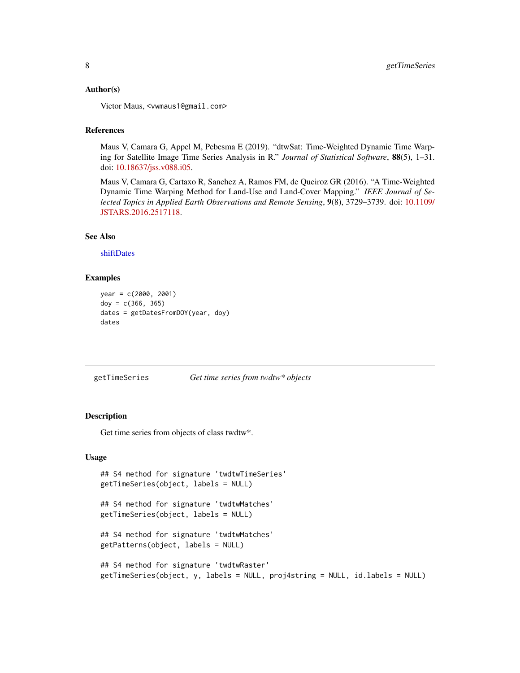#### <span id="page-7-0"></span>Author(s)

Victor Maus, <vwmaus1@gmail.com>

### References

Maus V, Camara G, Appel M, Pebesma E (2019). "dtwSat: Time-Weighted Dynamic Time Warping for Satellite Image Time Series Analysis in R." *Journal of Statistical Software*, 88(5), 1–31. doi: [10.18637/jss.v088.i05.](https://doi.org/10.18637/jss.v088.i05)

Maus V, Camara G, Cartaxo R, Sanchez A, Ramos FM, de Queiroz GR (2016). "A Time-Weighted Dynamic Time Warping Method for Land-Use and Land-Cover Mapping." *IEEE Journal of Selected Topics in Applied Earth Observations and Remote Sensing*, 9(8), 3729–3739. doi: [10.1109/](https://doi.org/10.1109/JSTARS.2016.2517118) [JSTARS.2016.2517118.](https://doi.org/10.1109/JSTARS.2016.2517118)

#### See Also

[shiftDates](#page-39-1)

#### Examples

```
year = c(2000, 2001)
doy = c(366, 365)
dates = getDatesFromDOY(year, doy)
dates
```
<span id="page-7-1"></span>getTimeSeries *Get time series from twdtw\* objects*

### Description

Get time series from objects of class twdtw\*.

#### Usage

```
## S4 method for signature 'twdtwTimeSeries'
getTimeSeries(object, labels = NULL)
## S4 method for signature 'twdtwMatches'
getTimeSeries(object, labels = NULL)
## S4 method for signature 'twdtwMatches'
getPatterns(object, labels = NULL)
## S4 method for signature 'twdtwRaster'
getTimeSeries(object, y, labels = NULL, proj4string = NULL, id.labels = NULL)
```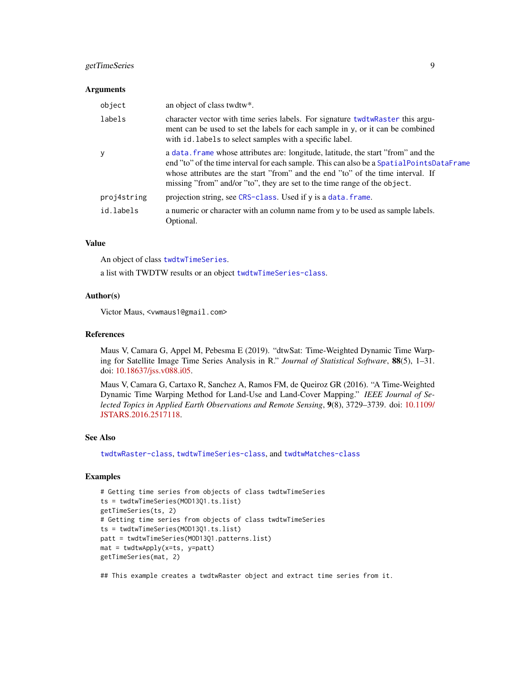### getTimeSeries 9

#### **Arguments**

| object      | an object of class twdtw*.                                                                                                                                                                                                                                                                                                                     |
|-------------|------------------------------------------------------------------------------------------------------------------------------------------------------------------------------------------------------------------------------------------------------------------------------------------------------------------------------------------------|
| labels      | character vector with time series labels. For signature twdtwRaster this argu-<br>ment can be used to set the labels for each sample in y, or it can be combined<br>with id. labels to select samples with a specific label.                                                                                                                   |
| <b>y</b>    | a data. frame whose attributes are: longitude, latitude, the start "from" and the<br>end "to" of the time interval for each sample. This can also be a Spatial PointsDataFrame<br>whose attributes are the start "from" and the end "to" of the time interval. If<br>missing "from" and/or "to", they are set to the time range of the object. |
| proj4string | projection string, see CRS-class. Used if y is a data. frame.                                                                                                                                                                                                                                                                                  |
| id.labels   | a numeric or character with an column name from y to be used as sample labels.<br>Optional.                                                                                                                                                                                                                                                    |

### Value

An object of class [twdtwTimeSeries](#page-69-1).

a list with TWDTW results or an object [twdtwTimeSeries-class](#page-69-2).

#### Author(s)

Victor Maus, <vwmaus1@gmail.com>

#### References

Maus V, Camara G, Appel M, Pebesma E (2019). "dtwSat: Time-Weighted Dynamic Time Warping for Satellite Image Time Series Analysis in R." *Journal of Statistical Software*, 88(5), 1–31. doi: [10.18637/jss.v088.i05.](https://doi.org/10.18637/jss.v088.i05)

Maus V, Camara G, Cartaxo R, Sanchez A, Ramos FM, de Queiroz GR (2016). "A Time-Weighted Dynamic Time Warping Method for Land-Use and Land-Cover Mapping." *IEEE Journal of Selected Topics in Applied Earth Observations and Remote Sensing*, 9(8), 3729–3739. doi: [10.1109/](https://doi.org/10.1109/JSTARS.2016.2517118) [JSTARS.2016.2517118.](https://doi.org/10.1109/JSTARS.2016.2517118)

#### See Also

[twdtwRaster-class](#page-64-2), [twdtwTimeSeries-class](#page-69-2), and [twdtwMatches-class](#page-61-1)

### Examples

```
# Getting time series from objects of class twdtwTimeSeries
ts = twdtwTimeSeries(MOD13Q1.ts.list)
getTimeSeries(ts, 2)
# Getting time series from objects of class twdtwTimeSeries
ts = twdtwTimeSeries(MOD13Q1.ts.list)
patt = twdtwTimeSeries(MOD13Q1.patterns.list)
mat = twdtwApply(x=ts, y=patt)
getTimeSeries(mat, 2)
```
## This example creates a twdtwRaster object and extract time series from it.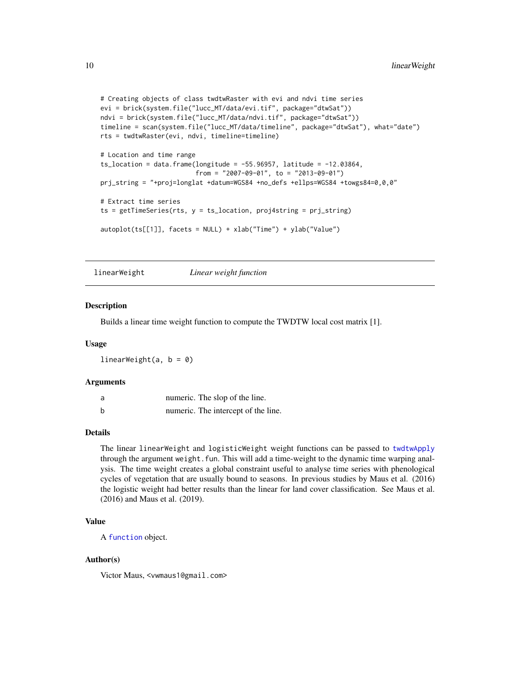```
# Creating objects of class twdtwRaster with evi and ndvi time series
evi = brick(system.file("lucc_MT/data/evi.tif", package="dtwSat"))
ndvi = brick(system.file("lucc_MT/data/ndvi.tif", package="dtwSat"))
timeline = scan(system.file("lucc_MT/data/timeline", package="dtwSat"), what="date")
rts = twdtwRaster(evi, ndvi, timeline=timeline)
# Location and time range
ts_location = data.frame(longitude = -55.96957, latitude = -12.03864,
                         from = "2007-09-01", to = "2013-09-01")
prj_string = "+proj=longlat +datum=WGS84 +no_defs +ellps=WGS84 +towgs84=0,0,0"
# Extract time series
ts = getTimeSeries(rts, y = ts_location, proj4string = prj_string)
autoplot(ts[[1]], facets = NULL) + xlab("Time") + ylab("Value")
```
linearWeight *Linear weight function*

#### Description

Builds a linear time weight function to compute the TWDTW local cost matrix [1].

#### Usage

linearWeight(a,  $b = 0$ )

#### Arguments

| a | numeric. The slop of the line.      |
|---|-------------------------------------|
| b | numeric. The intercept of the line. |

#### Details

The linear linearWeight and logisticWeight weight functions can be passed to [twdtwApply](#page-42-1) through the argument weight.fun. This will add a time-weight to the dynamic time warping analysis. The time weight creates a global constraint useful to analyse time series with phenological cycles of vegetation that are usually bound to seasons. In previous studies by Maus et al. (2016) the logistic weight had better results than the linear for land cover classification. See Maus et al. (2016) and Maus et al. (2019).

### Value

A [function](#page-0-0) object.

### Author(s)

Victor Maus, <vwmaus1@gmail.com>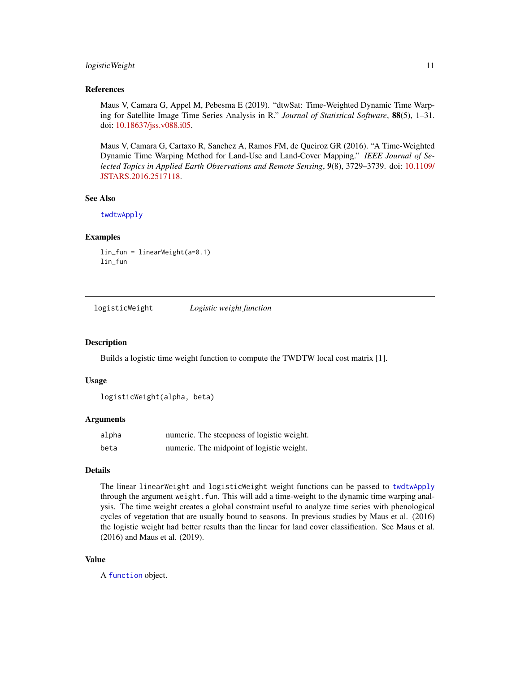#### <span id="page-10-0"></span>logistic Weight 11

#### References

Maus V, Camara G, Appel M, Pebesma E (2019). "dtwSat: Time-Weighted Dynamic Time Warping for Satellite Image Time Series Analysis in R." *Journal of Statistical Software*, 88(5), 1–31. doi: [10.18637/jss.v088.i05.](https://doi.org/10.18637/jss.v088.i05)

Maus V, Camara G, Cartaxo R, Sanchez A, Ramos FM, de Queiroz GR (2016). "A Time-Weighted Dynamic Time Warping Method for Land-Use and Land-Cover Mapping." *IEEE Journal of Selected Topics in Applied Earth Observations and Remote Sensing*, 9(8), 3729–3739. doi: [10.1109/](https://doi.org/10.1109/JSTARS.2016.2517118) [JSTARS.2016.2517118.](https://doi.org/10.1109/JSTARS.2016.2517118)

#### See Also

[twdtwApply](#page-42-1)

#### Examples

lin\_fun = linearWeight(a=0.1) lin\_fun

logisticWeight *Logistic weight function*

#### **Description**

Builds a logistic time weight function to compute the TWDTW local cost matrix [1].

#### Usage

```
logisticWeight(alpha, beta)
```
#### Arguments

| alpha | numeric. The steepness of logistic weight. |
|-------|--------------------------------------------|
| beta  | numeric. The midpoint of logistic weight.  |

#### Details

The linear linearWeight and logisticWeight weight functions can be passed to [twdtwApply](#page-42-1) through the argument weight. fun. This will add a time-weight to the dynamic time warping analysis. The time weight creates a global constraint useful to analyze time series with phenological cycles of vegetation that are usually bound to seasons. In previous studies by Maus et al. (2016) the logistic weight had better results than the linear for land cover classification. See Maus et al. (2016) and Maus et al. (2019).

#### Value

A [function](#page-0-0) object.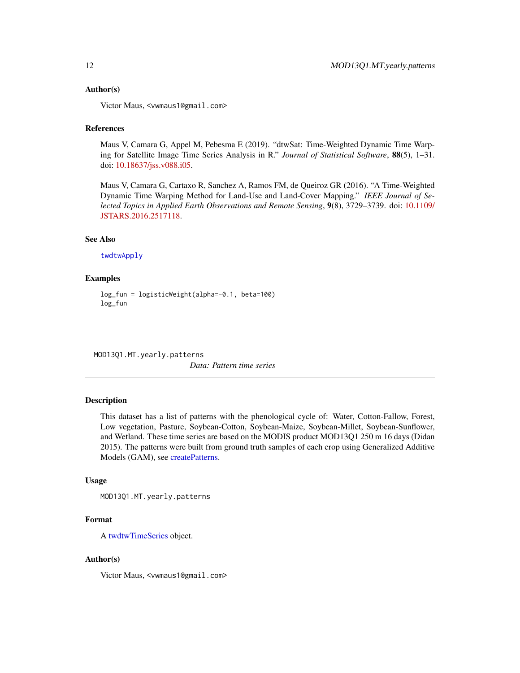#### <span id="page-11-0"></span>Author(s)

Victor Maus, <vwmaus1@gmail.com>

#### References

Maus V, Camara G, Appel M, Pebesma E (2019). "dtwSat: Time-Weighted Dynamic Time Warping for Satellite Image Time Series Analysis in R." *Journal of Statistical Software*, 88(5), 1–31. doi: [10.18637/jss.v088.i05.](https://doi.org/10.18637/jss.v088.i05)

Maus V, Camara G, Cartaxo R, Sanchez A, Ramos FM, de Queiroz GR (2016). "A Time-Weighted Dynamic Time Warping Method for Land-Use and Land-Cover Mapping." *IEEE Journal of Selected Topics in Applied Earth Observations and Remote Sensing*, 9(8), 3729–3739. doi: [10.1109/](https://doi.org/10.1109/JSTARS.2016.2517118) [JSTARS.2016.2517118.](https://doi.org/10.1109/JSTARS.2016.2517118)

### See Also

[twdtwApply](#page-42-1)

#### Examples

```
log_fun = logisticWeight(alpha=-0.1, beta=100)
log_fun
```
MOD13Q1.MT.yearly.patterns

*Data: Pattern time series*

### Description

This dataset has a list of patterns with the phenological cycle of: Water, Cotton-Fallow, Forest, Low vegetation, Pasture, Soybean-Cotton, Soybean-Maize, Soybean-Millet, Soybean-Sunflower, and Wetland. These time series are based on the MODIS product MOD13Q1 250 m 16 days (Didan 2015). The patterns were built from ground truth samples of each crop using Generalized Additive Models (GAM), see [createPatterns.](#page-2-1)

#### Usage

```
MOD13Q1.MT.yearly.patterns
```
#### Format

A [twdtwTimeSeries](#page-69-1) object.

#### Author(s)

Victor Maus, <vwmaus1@gmail.com>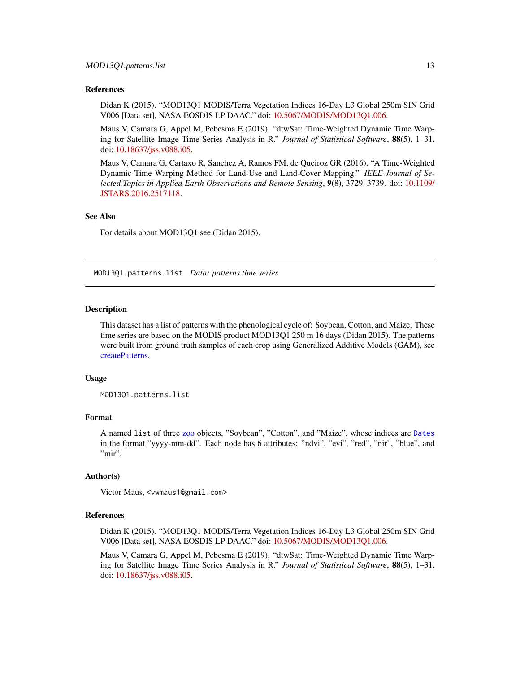#### <span id="page-12-0"></span>References

Didan K (2015). "MOD13Q1 MODIS/Terra Vegetation Indices 16-Day L3 Global 250m SIN Grid V006 [Data set], NASA EOSDIS LP DAAC." doi: [10.5067/MODIS/MOD13Q1.006.](https://doi.org/10.5067/MODIS/MOD13Q1.006)

Maus V, Camara G, Appel M, Pebesma E (2019). "dtwSat: Time-Weighted Dynamic Time Warping for Satellite Image Time Series Analysis in R." *Journal of Statistical Software*, 88(5), 1–31. doi: [10.18637/jss.v088.i05.](https://doi.org/10.18637/jss.v088.i05)

Maus V, Camara G, Cartaxo R, Sanchez A, Ramos FM, de Queiroz GR (2016). "A Time-Weighted Dynamic Time Warping Method for Land-Use and Land-Cover Mapping." *IEEE Journal of Selected Topics in Applied Earth Observations and Remote Sensing*, 9(8), 3729–3739. doi: [10.1109/](https://doi.org/10.1109/JSTARS.2016.2517118) [JSTARS.2016.2517118.](https://doi.org/10.1109/JSTARS.2016.2517118)

#### See Also

For details about MOD13Q1 see (Didan 2015).

<span id="page-12-1"></span>MOD13Q1.patterns.list *Data: patterns time series*

#### Description

This dataset has a list of patterns with the phenological cycle of: Soybean, Cotton, and Maize. These time series are based on the MODIS product MOD13Q1 250 m 16 days (Didan 2015). The patterns were built from ground truth samples of each crop using Generalized Additive Models (GAM), see [createPatterns.](#page-2-1)

#### Usage

MOD13Q1.patterns.list

#### Format

A named list of three [zoo](#page-0-0) objects, "Soybean", "Cotton", and "Maize", whose indices are [Dates](#page-0-0) in the format "yyyy-mm-dd". Each node has 6 attributes: "ndvi", "evi", "red", "nir", "blue", and "mir".

#### Author(s)

Victor Maus, <vwmaus1@gmail.com>

#### References

Didan K (2015). "MOD13Q1 MODIS/Terra Vegetation Indices 16-Day L3 Global 250m SIN Grid V006 [Data set], NASA EOSDIS LP DAAC." doi: [10.5067/MODIS/MOD13Q1.006.](https://doi.org/10.5067/MODIS/MOD13Q1.006)

Maus V, Camara G, Appel M, Pebesma E (2019). "dtwSat: Time-Weighted Dynamic Time Warping for Satellite Image Time Series Analysis in R." *Journal of Statistical Software*, 88(5), 1–31. doi: [10.18637/jss.v088.i05.](https://doi.org/10.18637/jss.v088.i05)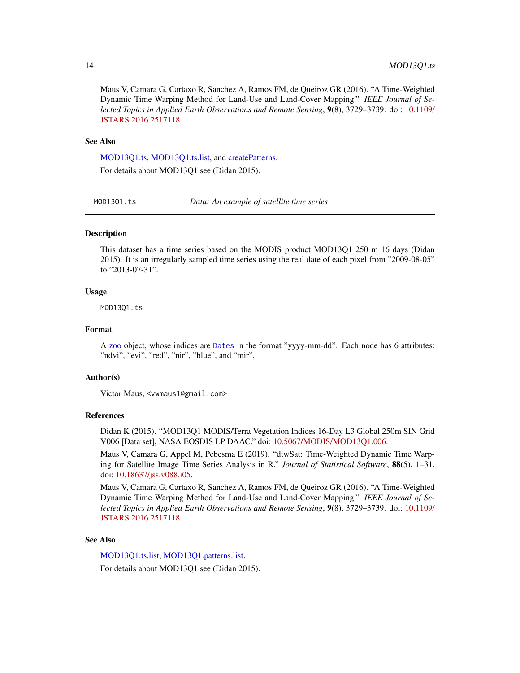<span id="page-13-0"></span>Maus V, Camara G, Cartaxo R, Sanchez A, Ramos FM, de Queiroz GR (2016). "A Time-Weighted Dynamic Time Warping Method for Land-Use and Land-Cover Mapping." *IEEE Journal of Selected Topics in Applied Earth Observations and Remote Sensing*, 9(8), 3729–3739. doi: [10.1109/](https://doi.org/10.1109/JSTARS.2016.2517118) [JSTARS.2016.2517118.](https://doi.org/10.1109/JSTARS.2016.2517118)

#### See Also

[MOD13Q1.ts,](#page-13-1) [MOD13Q1.ts.list,](#page-14-1) and [createPatterns.](#page-2-1) For details about MOD13Q1 see (Didan 2015).

<span id="page-13-1"></span>MOD13Q1.ts *Data: An example of satellite time series*

#### Description

This dataset has a time series based on the MODIS product MOD13Q1 250 m 16 days (Didan 2015). It is an irregularly sampled time series using the real date of each pixel from "2009-08-05" to "2013-07-31".

#### Usage

MOD13Q1.ts

#### Format

A [zoo](#page-0-0) object, whose indices are [Dates](#page-0-0) in the format "yyyy-mm-dd". Each node has 6 attributes: "ndvi", "evi", "red", "nir", "blue", and "mir".

#### Author(s)

Victor Maus, <vwmaus1@gmail.com>

### References

Didan K (2015). "MOD13Q1 MODIS/Terra Vegetation Indices 16-Day L3 Global 250m SIN Grid V006 [Data set], NASA EOSDIS LP DAAC." doi: [10.5067/MODIS/MOD13Q1.006.](https://doi.org/10.5067/MODIS/MOD13Q1.006)

Maus V, Camara G, Appel M, Pebesma E (2019). "dtwSat: Time-Weighted Dynamic Time Warping for Satellite Image Time Series Analysis in R." *Journal of Statistical Software*, 88(5), 1–31. doi: [10.18637/jss.v088.i05.](https://doi.org/10.18637/jss.v088.i05)

Maus V, Camara G, Cartaxo R, Sanchez A, Ramos FM, de Queiroz GR (2016). "A Time-Weighted Dynamic Time Warping Method for Land-Use and Land-Cover Mapping." *IEEE Journal of Selected Topics in Applied Earth Observations and Remote Sensing*, 9(8), 3729–3739. doi: [10.1109/](https://doi.org/10.1109/JSTARS.2016.2517118) [JSTARS.2016.2517118.](https://doi.org/10.1109/JSTARS.2016.2517118)

#### See Also

[MOD13Q1.ts.list,](#page-14-1) [MOD13Q1.patterns.list.](#page-12-1)

For details about MOD13Q1 see (Didan 2015).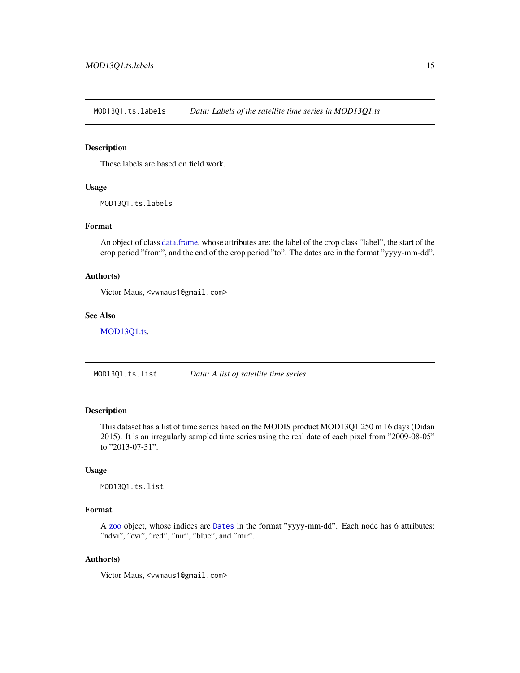<span id="page-14-0"></span>MOD13Q1.ts.labels *Data: Labels of the satellite time series in MOD13Q1.ts*

#### Description

These labels are based on field work.

### Usage

MOD13Q1.ts.labels

#### Format

An object of class [data.frame,](#page-0-0) whose attributes are: the label of the crop class "label", the start of the crop period "from", and the end of the crop period "to". The dates are in the format "yyyy-mm-dd".

### Author(s)

Victor Maus, <vwmaus1@gmail.com>

### See Also

[MOD13Q1.ts.](#page-13-1)

<span id="page-14-1"></span>MOD13Q1.ts.list *Data: A list of satellite time series*

#### Description

This dataset has a list of time series based on the MODIS product MOD13Q1 250 m 16 days (Didan 2015). It is an irregularly sampled time series using the real date of each pixel from "2009-08-05" to "2013-07-31".

#### Usage

MOD13Q1.ts.list

### Format

A [zoo](#page-0-0) object, whose indices are [Dates](#page-0-0) in the format "yyyy-mm-dd". Each node has 6 attributes: "ndvi", "evi", "red", "nir", "blue", and "mir".

### Author(s)

Victor Maus, <vwmaus1@gmail.com>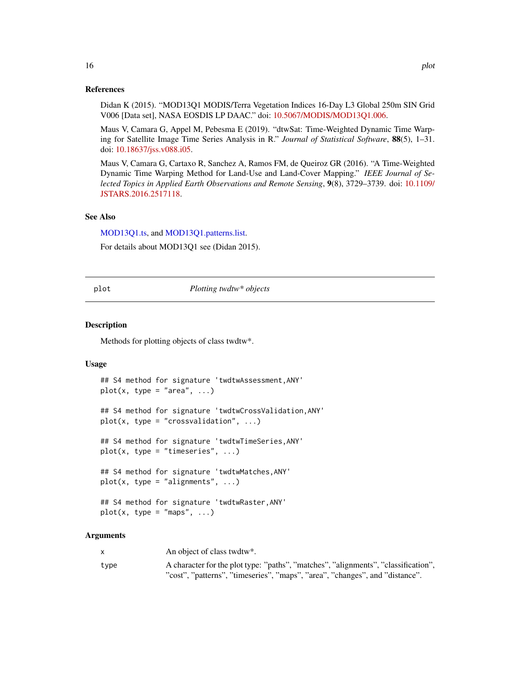#### <span id="page-15-0"></span>References

Didan K (2015). "MOD13Q1 MODIS/Terra Vegetation Indices 16-Day L3 Global 250m SIN Grid V006 [Data set], NASA EOSDIS LP DAAC." doi: [10.5067/MODIS/MOD13Q1.006.](https://doi.org/10.5067/MODIS/MOD13Q1.006)

Maus V, Camara G, Appel M, Pebesma E (2019). "dtwSat: Time-Weighted Dynamic Time Warping for Satellite Image Time Series Analysis in R." *Journal of Statistical Software*, 88(5), 1–31. doi: [10.18637/jss.v088.i05.](https://doi.org/10.18637/jss.v088.i05)

Maus V, Camara G, Cartaxo R, Sanchez A, Ramos FM, de Queiroz GR (2016). "A Time-Weighted Dynamic Time Warping Method for Land-Use and Land-Cover Mapping." *IEEE Journal of Selected Topics in Applied Earth Observations and Remote Sensing*, 9(8), 3729–3739. doi: [10.1109/](https://doi.org/10.1109/JSTARS.2016.2517118) [JSTARS.2016.2517118.](https://doi.org/10.1109/JSTARS.2016.2517118)

#### See Also

[MOD13Q1.ts,](#page-13-1) and [MOD13Q1.patterns.list.](#page-12-1)

For details about MOD13Q1 see (Didan 2015).

#### plot *Plotting twdtw\* objects*

#### Description

Methods for plotting objects of class twdtw\*.

#### Usage

```
## S4 method for signature 'twdtwAssessment,ANY'
plot(x, type = "area", ...)## S4 method for signature 'twdtwCrossValidation,ANY'
plot(x, type = "crossvalidation", ...)## S4 method for signature 'twdtwTimeSeries,ANY'
plot(x, type = "timeseries", ...)## S4 method for signature 'twdtwMatches,ANY'
plot(x, type = "alignments", ...)## S4 method for signature 'twdtwRaster,ANY'
plot(x, type = "maps", ...)
```
#### Arguments

|      | An object of class twdtw*.                                                         |
|------|------------------------------------------------------------------------------------|
| type | A character for the plot type: "paths", "matches", "alignments", "classification", |
|      | "cost", "patterns", "timeseries", "maps", "area", "changes", and "distance".       |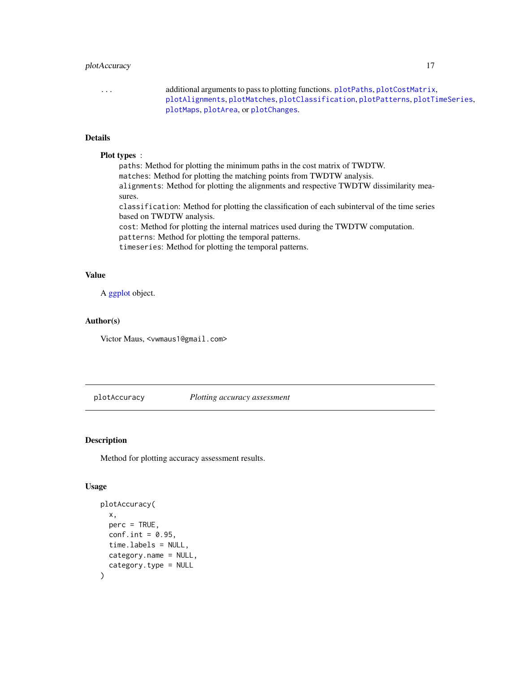### <span id="page-16-0"></span>plotAccuracy 17

... additional arguments to pass to plotting functions. [plotPaths](#page-34-1), [plotCostMatrix](#page-26-1), [plotAlignments](#page-19-1), [plotMatches](#page-33-1), [plotClassification](#page-24-1), [plotPatterns](#page-35-1), [plotTimeSeries](#page-36-1), [plotMaps](#page-28-1), [plotArea](#page-20-1), or [plotChanges](#page-22-1).

### Details

### Plot types :

paths: Method for plotting the minimum paths in the cost matrix of TWDTW. matches: Method for plotting the matching points from TWDTW analysis. alignments: Method for plotting the alignments and respective TWDTW dissimilarity measures. classification: Method for plotting the classification of each subinterval of the time series based on TWDTW analysis. cost: Method for plotting the internal matrices used during the TWDTW computation. patterns: Method for plotting the temporal patterns.

timeseries: Method for plotting the temporal patterns.

### Value

A [ggplot](#page-0-0) object.

### Author(s)

Victor Maus, <vwmaus1@gmail.com>

<span id="page-16-1"></span>plotAccuracy *Plotting accuracy assessment*

### Description

Method for plotting accuracy assessment results.

#### Usage

```
plotAccuracy(
  x,
 perc = TRUE,
 conf.int = 0.95,
  time.labels = NULL,
 category.name = NULL,
  category.type = NULL
)
```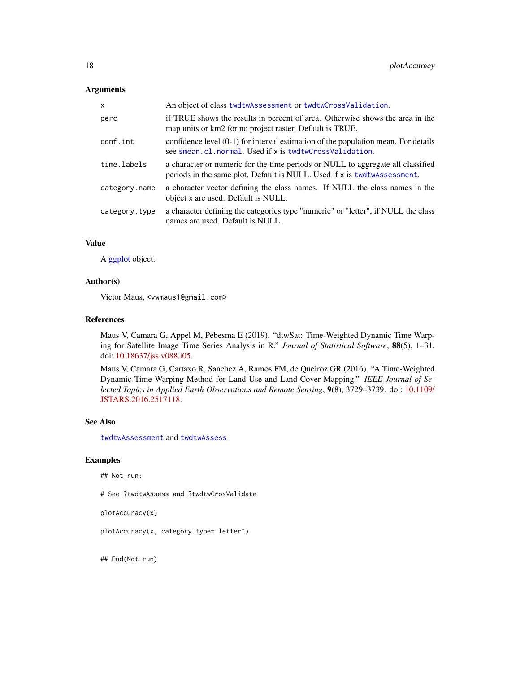#### Arguments

| X             | An object of class twdtwAssessment or twdtwCrossValidation.                                                                                                  |
|---------------|--------------------------------------------------------------------------------------------------------------------------------------------------------------|
| perc          | if TRUE shows the results in percent of area. Otherwise shows the area in the<br>map units or km2 for no project raster. Default is TRUE.                    |
| conf.int      | confidence level $(0-1)$ for interval estimation of the population mean. For details<br>see smean.cl.normal. Used if x is twdtwCrossValidation.              |
| time.labels   | a character or numeric for the time periods or NULL to aggregate all classified<br>periods in the same plot. Default is NULL. Used if x is two two sessment. |
| category.name | a character vector defining the class names. If NULL the class names in the<br>object x are used. Default is NULL.                                           |
| category.type | a character defining the categories type "numeric" or "letter", if NULL the class<br>names are used. Default is NULL.                                        |

### Value

A [ggplot](#page-0-0) object.

#### Author(s)

Victor Maus, <vwmaus1@gmail.com>

#### References

Maus V, Camara G, Appel M, Pebesma E (2019). "dtwSat: Time-Weighted Dynamic Time Warping for Satellite Image Time Series Analysis in R." *Journal of Statistical Software*, 88(5), 1–31. doi: [10.18637/jss.v088.i05.](https://doi.org/10.18637/jss.v088.i05)

Maus V, Camara G, Cartaxo R, Sanchez A, Ramos FM, de Queiroz GR (2016). "A Time-Weighted Dynamic Time Warping Method for Land-Use and Land-Cover Mapping." *IEEE Journal of Selected Topics in Applied Earth Observations and Remote Sensing*, 9(8), 3729–3739. doi: [10.1109/](https://doi.org/10.1109/JSTARS.2016.2517118) [JSTARS.2016.2517118.](https://doi.org/10.1109/JSTARS.2016.2517118)

#### See Also

[twdtwAssessment](#page-52-1) and [twdtwAssess](#page-46-1)

#### Examples

## Not run:

# See ?twdtwAssess and ?twdtwCrosValidate

```
plotAccuracy(x)
```
plotAccuracy(x, category.type="letter")

## End(Not run)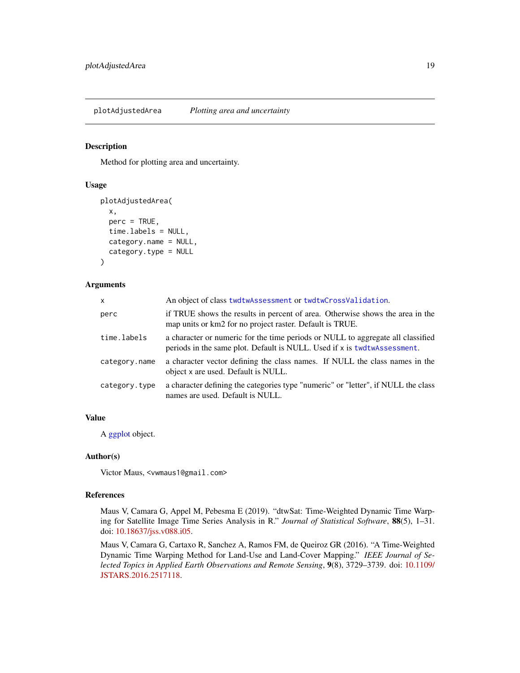### <span id="page-18-1"></span><span id="page-18-0"></span>Description

Method for plotting area and uncertainty.

#### Usage

```
plotAdjustedArea(
  x,
 perc = TRUE,
  time.labels = NULL,
  category.name = NULL,
  category.type = NULL
)
```
#### Arguments

| X             | An object of class twdtwAssessment or twdtwCrossValidation.                                                                                                 |
|---------------|-------------------------------------------------------------------------------------------------------------------------------------------------------------|
| perc          | if TRUE shows the results in percent of area. Otherwise shows the area in the<br>map units or km2 for no project raster. Default is TRUE.                   |
| time.labels   | a character or numeric for the time periods or NULL to aggregate all classified<br>periods in the same plot. Default is NULL. Used if x is twdtwAssessment. |
| category.name | a character vector defining the class names. If NULL the class names in the<br>object x are used. Default is NULL.                                          |
| category.type | a character defining the categories type "numeric" or "letter", if NULL the class<br>names are used. Default is NULL.                                       |

### Value

A [ggplot](#page-0-0) object.

#### Author(s)

Victor Maus, <vwmaus1@gmail.com>

### References

Maus V, Camara G, Appel M, Pebesma E (2019). "dtwSat: Time-Weighted Dynamic Time Warping for Satellite Image Time Series Analysis in R." *Journal of Statistical Software*, 88(5), 1–31. doi: [10.18637/jss.v088.i05.](https://doi.org/10.18637/jss.v088.i05)

Maus V, Camara G, Cartaxo R, Sanchez A, Ramos FM, de Queiroz GR (2016). "A Time-Weighted Dynamic Time Warping Method for Land-Use and Land-Cover Mapping." *IEEE Journal of Selected Topics in Applied Earth Observations and Remote Sensing*, 9(8), 3729–3739. doi: [10.1109/](https://doi.org/10.1109/JSTARS.2016.2517118) [JSTARS.2016.2517118.](https://doi.org/10.1109/JSTARS.2016.2517118)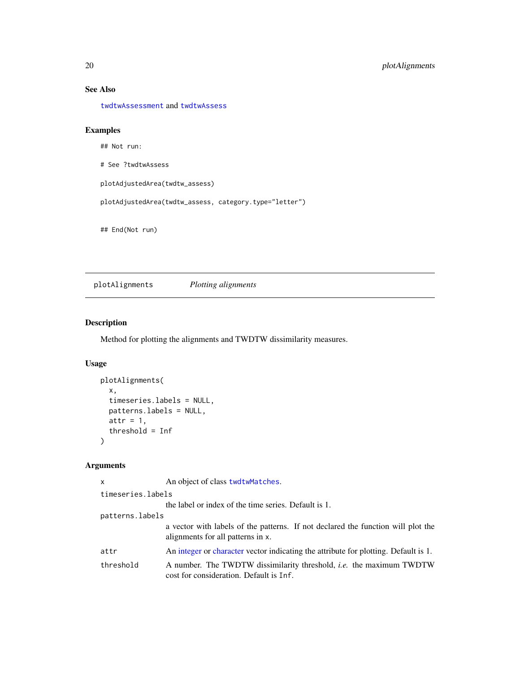### See Also

[twdtwAssessment](#page-52-1) and [twdtwAssess](#page-46-1)

### Examples

## Not run:

# See ?twdtwAssess

plotAdjustedArea(twdtw\_assess)

plotAdjustedArea(twdtw\_assess, category.type="letter")

## End(Not run)

<span id="page-19-1"></span>plotAlignments *Plotting alignments*

### Description

Method for plotting the alignments and TWDTW dissimilarity measures.

### Usage

```
plotAlignments(
  x,
  timeseries.labels = NULL,
  patterns.labels = NULL,
  attr = 1,threshold = Inf
\mathcal{L}
```
### Arguments

| x                 | An object of class twdtwMatches.                                                                                      |
|-------------------|-----------------------------------------------------------------------------------------------------------------------|
| timeseries.labels |                                                                                                                       |
|                   | the label or index of the time series. Default is 1.                                                                  |
| patterns.labels   |                                                                                                                       |
|                   | a vector with labels of the patterns. If not declared the function will plot the<br>alignments for all patterns in x. |
| attr              | An integer or character vector indicating the attribute for plotting. Default is 1.                                   |
| threshold         | A number. The TWDTW dissimilarity threshold, <i>i.e.</i> the maximum TWDTW<br>cost for consideration. Default is Inf. |

<span id="page-19-0"></span>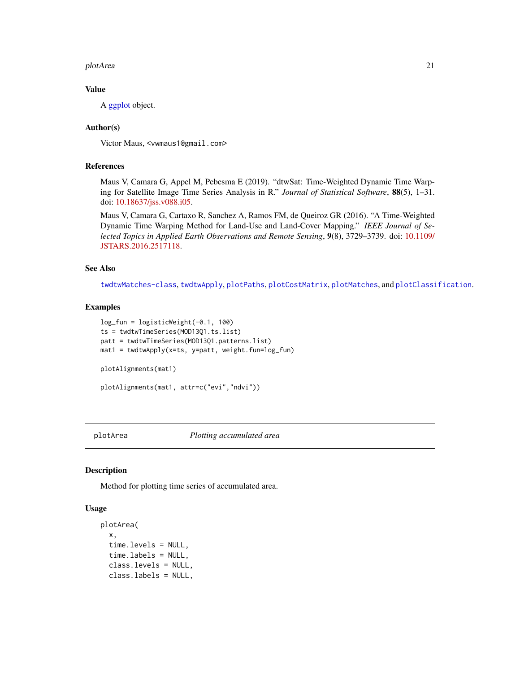#### <span id="page-20-0"></span>plotArea 21

### Value

A [ggplot](#page-0-0) object.

### Author(s)

Victor Maus, <vwmaus1@gmail.com>

### References

Maus V, Camara G, Appel M, Pebesma E (2019). "dtwSat: Time-Weighted Dynamic Time Warping for Satellite Image Time Series Analysis in R." *Journal of Statistical Software*, 88(5), 1–31. doi: [10.18637/jss.v088.i05.](https://doi.org/10.18637/jss.v088.i05)

Maus V, Camara G, Cartaxo R, Sanchez A, Ramos FM, de Queiroz GR (2016). "A Time-Weighted Dynamic Time Warping Method for Land-Use and Land-Cover Mapping." *IEEE Journal of Selected Topics in Applied Earth Observations and Remote Sensing*, 9(8), 3729–3739. doi: [10.1109/](https://doi.org/10.1109/JSTARS.2016.2517118) [JSTARS.2016.2517118.](https://doi.org/10.1109/JSTARS.2016.2517118)

#### See Also

[twdtwMatches-class](#page-61-1), [twdtwApply](#page-42-1), [plotPaths](#page-34-1), [plotCostMatrix](#page-26-1), [plotMatches](#page-33-1), and [plotClassification](#page-24-1).

#### Examples

```
log_fun = logisticWeight(-0.1, 100)
ts = twdtwTimeSeries(MOD13Q1.ts.list)
patt = twdtwTimeSeries(MOD13Q1.patterns.list)
mat1 = twdtwApply(x=ts, y=patt, weight.fun=log_fun)
plotAlignments(mat1)
plotAlignments(mat1, attr=c("evi","ndvi"))
```
<span id="page-20-1"></span>plotArea *Plotting accumulated area*

#### Description

Method for plotting time series of accumulated area.

### Usage

```
plotArea(
  x,
  time.levels = NULL,
  time.labels = NULL,
  class.levels = NULL,
  class.labels = NULL,
```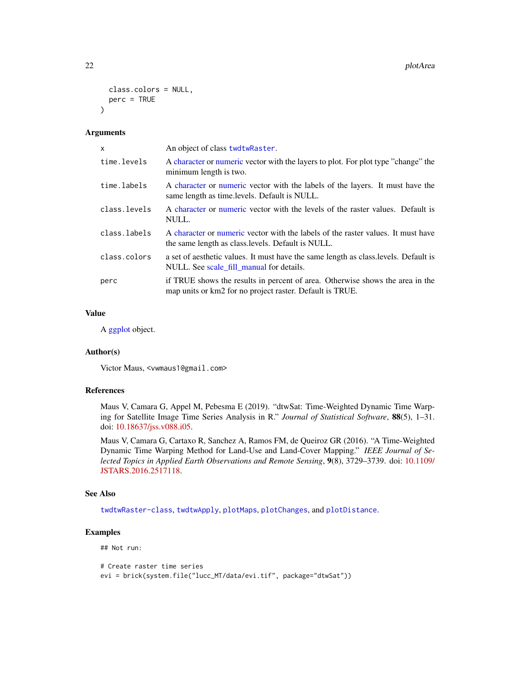```
class.colors = NULL,
 perc = TRUE
\lambda
```
#### Arguments

| $\mathsf{x}$ | An object of class twdtwRaster.                                                                                                           |
|--------------|-------------------------------------------------------------------------------------------------------------------------------------------|
| time.levels  | A character or numeric vector with the layers to plot. For plot type "change" the<br>minimum length is two.                               |
| time.labels  | A character or numeric vector with the labels of the layers. It must have the<br>same length as time. levels. Default is NULL.            |
| class.levels | A character or numeric vector with the levels of the raster values. Default is<br>NULL.                                                   |
| class.labels | A character or numeric vector with the labels of the raster values. It must have<br>the same length as class. levels. Default is NULL.    |
| class.colors | a set of aesthetic values. It must have the same length as class levels. Default is<br>NULL. See scale fill manual for details.           |
| perc         | if TRUE shows the results in percent of area. Otherwise shows the area in the<br>map units or km2 for no project raster. Default is TRUE. |

### Value

A [ggplot](#page-0-0) object.

#### Author(s)

Victor Maus, <vwmaus1@gmail.com>

#### References

Maus V, Camara G, Appel M, Pebesma E (2019). "dtwSat: Time-Weighted Dynamic Time Warping for Satellite Image Time Series Analysis in R." *Journal of Statistical Software*, 88(5), 1–31. doi: [10.18637/jss.v088.i05.](https://doi.org/10.18637/jss.v088.i05)

Maus V, Camara G, Cartaxo R, Sanchez A, Ramos FM, de Queiroz GR (2016). "A Time-Weighted Dynamic Time Warping Method for Land-Use and Land-Cover Mapping." *IEEE Journal of Selected Topics in Applied Earth Observations and Remote Sensing*, 9(8), 3729–3739. doi: [10.1109/](https://doi.org/10.1109/JSTARS.2016.2517118) [JSTARS.2016.2517118.](https://doi.org/10.1109/JSTARS.2016.2517118)

#### See Also

[twdtwRaster-class](#page-64-2), [twdtwApply](#page-42-1), [plotMaps](#page-28-1), [plotChanges](#page-22-1), and [plotDistance](#page-27-1).

### Examples

## Not run:

```
# Create raster time series
evi = brick(system.file("lucc_MT/data/evi.tif", package="dtwSat"))
```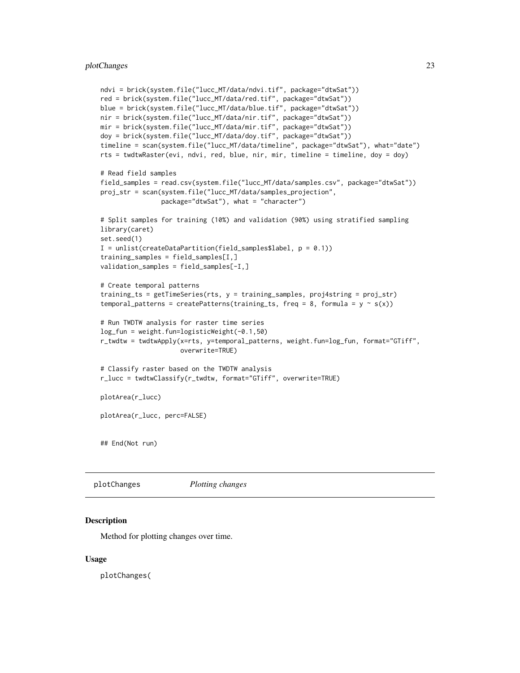```
ndvi = brick(system.file("lucc_MT/data/ndvi.tif", package="dtwSat"))
red = brick(system.file("lucc_MT/data/red.tif", package="dtwSat"))
blue = brick(system.file("lucc_MT/data/blue.tif", package="dtwSat"))
nir = brick(system.file("lucc_MT/data/nir.tif", package="dtwSat"))
mir = brick(system.file("lucc_MT/data/mir.tif", package="dtwSat"))
doy = brick(system.file("lucc_MT/data/doy.tif", package="dtwSat"))
timeline = scan(system.file("lucc_MT/data/timeline", package="dtwSat"), what="date")
rts = twdtwRaster(evi, ndvi, red, blue, nir, mir, timeline = timeline, doy = doy)
# Read field samples
field_samples = read.csv(system.file("lucc_MT/data/samples.csv", package="dtwSat"))
proj_str = scan(system.file("lucc_MT/data/samples_projection",
                package="dtwSat"), what = "character")
# Split samples for training (10%) and validation (90%) using stratified sampling
library(caret)
set.seed(1)
I = \text{unlist}(\text{createDataPartition}(\text{field\_samples$label}, p = 0.1))training_samples = field_samples[I,]
validation_samples = field_samples[-I,]
# Create temporal patterns
training_ts = getTimeSeries(rts, y = training_samples, proj4string = proj_str)
temporal_patterns = createPatterns(training_ts, freq = 8, formula = y \sim s(x))
# Run TWDTW analysis for raster time series
log_fun = weight.fun=logisticWeight(-0.1,50)
r_twdtw = twdtwApply(x=rts, y=temporal_patterns, weight.fun=log_fun, format="GTiff",
                     overwrite=TRUE)
# Classify raster based on the TWDTW analysis
r_lucc = twdtwClassify(r_twdtw, format="GTiff", overwrite=TRUE)
plotArea(r_lucc)
plotArea(r_lucc, perc=FALSE)
## End(Not run)
```
<span id="page-22-1"></span>plotChanges *Plotting changes*

#### **Description**

Method for plotting changes over time.

#### Usage

plotChanges(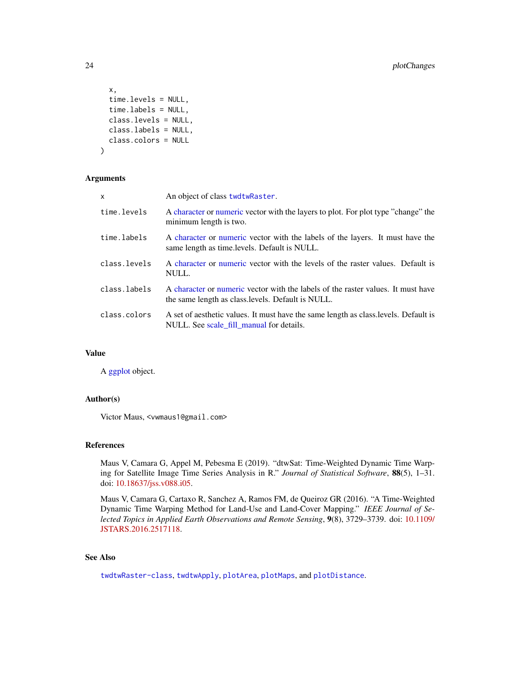```
x,
  time.levels = NULL,
  time.labels = NULL,
 class.levels = NULL,
  class.labels = NULL,
 class.colors = NULL
)
```
#### Arguments

| X            | An object of class twdtwRaster.                                                                                                        |
|--------------|----------------------------------------------------------------------------------------------------------------------------------------|
| time.levels  | A character or numeric vector with the layers to plot. For plot type "change" the<br>minimum length is two.                            |
| time.labels  | A character or numeric vector with the labels of the layers. It must have the<br>same length as time. levels. Default is NULL.         |
| class.levels | A character or numeric vector with the levels of the raster values. Default is<br>NULL.                                                |
| class.labels | A character or numeric vector with the labels of the raster values. It must have<br>the same length as class. levels. Default is NULL. |
| class.colors | A set of aesthetic values. It must have the same length as class. levels. Default is<br>NULL. See scale fill manual for details.       |

### Value

A [ggplot](#page-0-0) object.

#### Author(s)

Victor Maus, <vwmaus1@gmail.com>

### References

Maus V, Camara G, Appel M, Pebesma E (2019). "dtwSat: Time-Weighted Dynamic Time Warping for Satellite Image Time Series Analysis in R." *Journal of Statistical Software*, 88(5), 1–31. doi: [10.18637/jss.v088.i05.](https://doi.org/10.18637/jss.v088.i05)

Maus V, Camara G, Cartaxo R, Sanchez A, Ramos FM, de Queiroz GR (2016). "A Time-Weighted Dynamic Time Warping Method for Land-Use and Land-Cover Mapping." *IEEE Journal of Selected Topics in Applied Earth Observations and Remote Sensing*, 9(8), 3729–3739. doi: [10.1109/](https://doi.org/10.1109/JSTARS.2016.2517118) [JSTARS.2016.2517118.](https://doi.org/10.1109/JSTARS.2016.2517118)

### See Also

[twdtwRaster-class](#page-64-2), [twdtwApply](#page-42-1), [plotArea](#page-20-1), [plotMaps](#page-28-1), and [plotDistance](#page-27-1).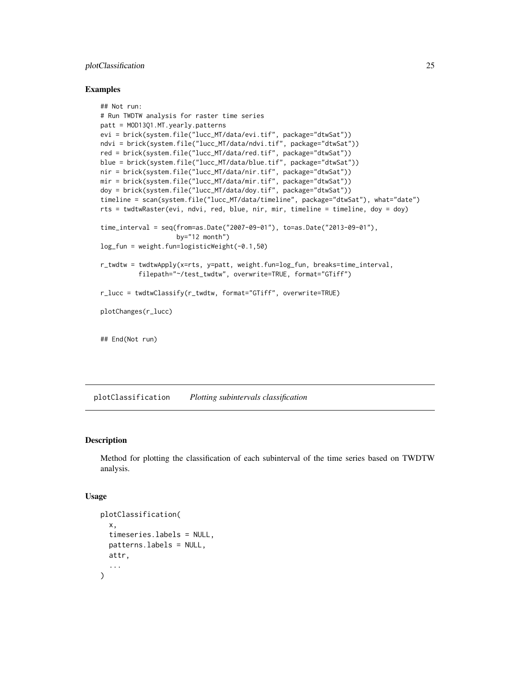### <span id="page-24-0"></span>plotClassification 25

#### Examples

```
## Not run:
# Run TWDTW analysis for raster time series
patt = MOD13Q1.MT.yearly.patterns
evi = brick(system.file("lucc_MT/data/evi.tif", package="dtwSat"))
ndvi = brick(system.file("lucc_MT/data/ndvi.tif", package="dtwSat"))
red = brick(system.file("lucc_MT/data/red.tif", package="dtwSat"))
blue = brick(system.file("lucc_MT/data/blue.tif", package="dtwSat"))
nir = brick(system.file("lucc_MT/data/nir.tif", package="dtwSat"))
mir = brick(system.file("lucc_MT/data/mir.tif", package="dtwSat"))
doy = brick(system.file("lucc_MT/data/doy.tif", package="dtwSat"))
timeline = scan(system.file("lucc_MT/data/timeline", package="dtwSat"), what="date")
rts = twdtwRaster(evi, ndvi, red, blue, nir, mir, timeline = timeline, doy = doy)
time_interval = seq(from=as.Date("2007-09-01"), to=as.Date("2013-09-01"),
                    by="12 month")
log_fun = weight.fun=logisticWeight(-0.1,50)
r_twdtw = twdtwApply(x=rts, y=patt, weight.fun=log_fun, breaks=time_interval,
          filepath="~/test_twdtw", overwrite=TRUE, format="GTiff")
r_lucc = twdtwClassify(r_twdtw, format="GTiff", overwrite=TRUE)
plotChanges(r_lucc)
## End(Not run)
```
<span id="page-24-1"></span>plotClassification *Plotting subintervals classification*

### **Description**

Method for plotting the classification of each subinterval of the time series based on TWDTW analysis.

#### Usage

```
plotClassification(
  x,
  timeseries.labels = NULL,
 patterns.labels = NULL,
 attr,
  ...
)
```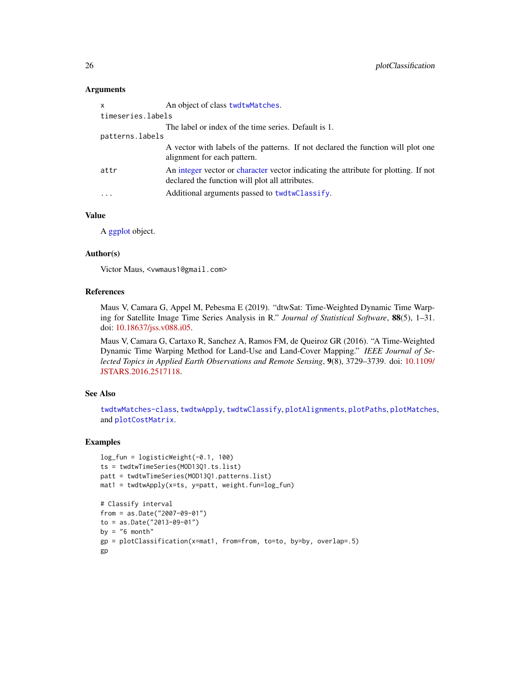#### **Arguments**

| x                 | An object of class twdtwMatches.                                                                                                       |
|-------------------|----------------------------------------------------------------------------------------------------------------------------------------|
| timeseries.labels |                                                                                                                                        |
|                   | The label or index of the time series. Default is 1.                                                                                   |
| patterns.labels   |                                                                                                                                        |
|                   | A vector with labels of the patterns. If not declared the function will plot one<br>alignment for each pattern.                        |
| attr              | An integer vector or character vector indicating the attribute for plotting. If not<br>declared the function will plot all attributes. |
| .                 | Additional arguments passed to twdtwClassify.                                                                                          |

### Value

A [ggplot](#page-0-0) object.

#### Author(s)

Victor Maus, <vwmaus1@gmail.com>

#### References

Maus V, Camara G, Appel M, Pebesma E (2019). "dtwSat: Time-Weighted Dynamic Time Warping for Satellite Image Time Series Analysis in R." *Journal of Statistical Software*, 88(5), 1–31. doi: [10.18637/jss.v088.i05.](https://doi.org/10.18637/jss.v088.i05)

Maus V, Camara G, Cartaxo R, Sanchez A, Ramos FM, de Queiroz GR (2016). "A Time-Weighted Dynamic Time Warping Method for Land-Use and Land-Cover Mapping." *IEEE Journal of Selected Topics in Applied Earth Observations and Remote Sensing*, 9(8), 3729–3739. doi: [10.1109/](https://doi.org/10.1109/JSTARS.2016.2517118) [JSTARS.2016.2517118.](https://doi.org/10.1109/JSTARS.2016.2517118)

### See Also

[twdtwMatches-class](#page-61-1), [twdtwApply](#page-42-1), [twdtwClassify](#page-53-1), [plotAlignments](#page-19-1), [plotPaths](#page-34-1), [plotMatches](#page-33-1), and [plotCostMatrix](#page-26-1).

#### Examples

```
log_fun = logisticWeight(-0.1, 100)
ts = twdtwTimeSeries(MOD13Q1.ts.list)
patt = twdtwTimeSeries(MOD13Q1.patterns.list)
mat1 = twdtwApply(x=ts, y=patt, weight.fun=log_fun)
# Classify interval
from = as.Date("2007-09-01")
to = as.Date("2013-09-01")
by = "6 month"
gp = plotClassification(x=mat1, from=from, to=to, by=by, overlap=.5)
gp
```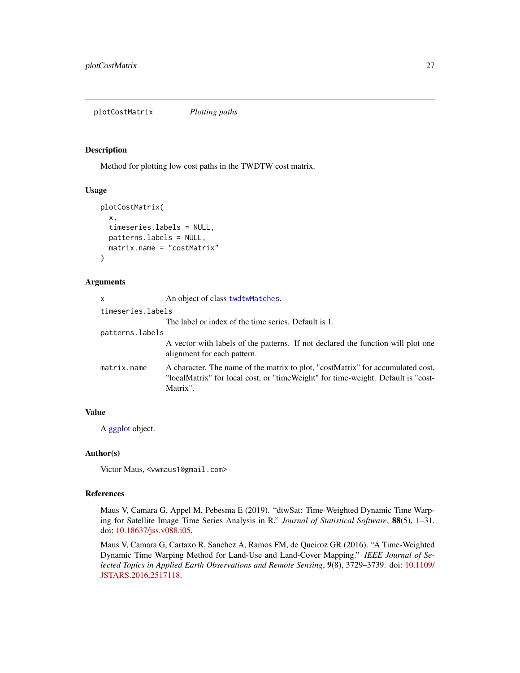<span id="page-26-1"></span><span id="page-26-0"></span>plotCostMatrix *Plotting paths*

### **Description**

Method for plotting low cost paths in the TWDTW cost matrix.

#### Usage

```
plotCostMatrix(
  x,
  timeseries.labels = NULL,
  patterns.labels = NULL,
 matrix.name = "costMatrix"
)
```
#### Arguments

| X                 | An object of class twdtwMatches.                                                                                                                                                |
|-------------------|---------------------------------------------------------------------------------------------------------------------------------------------------------------------------------|
| timeseries.labels |                                                                                                                                                                                 |
|                   | The label or index of the time series. Default is 1.                                                                                                                            |
| patterns.labels   |                                                                                                                                                                                 |
|                   | A vector with labels of the patterns. If not declared the function will plot one<br>alignment for each pattern.                                                                 |
| matrix.name       | A character. The name of the matrix to plot, "costMatrix" for accumulated cost,<br>"localMatrix" for local cost, or "timeWeight" for time-weight. Default is "cost-<br>Matrix". |

### Value

A [ggplot](#page-0-0) object.

### Author(s)

Victor Maus, <vwmaus1@gmail.com>

### References

Maus V, Camara G, Appel M, Pebesma E (2019). "dtwSat: Time-Weighted Dynamic Time Warping for Satellite Image Time Series Analysis in R." *Journal of Statistical Software*, 88(5), 1–31. doi: [10.18637/jss.v088.i05.](https://doi.org/10.18637/jss.v088.i05)

Maus V, Camara G, Cartaxo R, Sanchez A, Ramos FM, de Queiroz GR (2016). "A Time-Weighted Dynamic Time Warping Method for Land-Use and Land-Cover Mapping." *IEEE Journal of Selected Topics in Applied Earth Observations and Remote Sensing*, 9(8), 3729–3739. doi: [10.1109/](https://doi.org/10.1109/JSTARS.2016.2517118) [JSTARS.2016.2517118.](https://doi.org/10.1109/JSTARS.2016.2517118)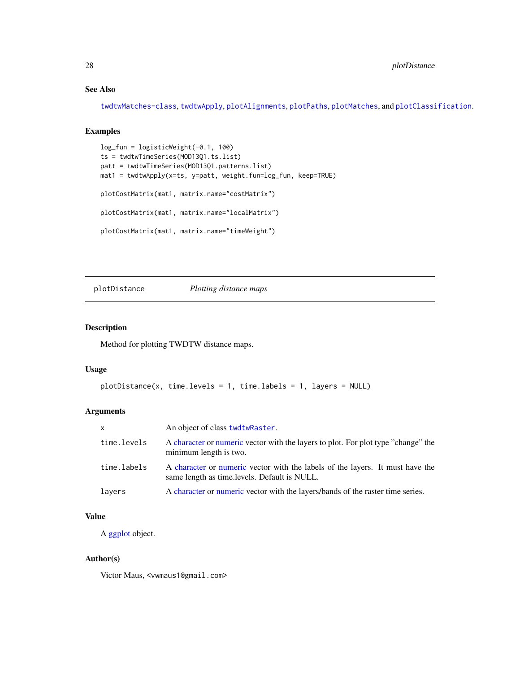### See Also

[twdtwMatches-class](#page-61-1), [twdtwApply](#page-42-1), [plotAlignments](#page-19-1), [plotPaths](#page-34-1), [plotMatches](#page-33-1), and [plotClassification](#page-24-1).

### Examples

```
log_fun = logisticWeight(-0.1, 100)
ts = twdtwTimeSeries(MOD13Q1.ts.list)
patt = twdtwTimeSeries(MOD13Q1.patterns.list)
mat1 = twdtwApply(x=ts, y=patt, weight.fun=log_fun, keep=TRUE)
plotCostMatrix(mat1, matrix.name="costMatrix")
plotCostMatrix(mat1, matrix.name="localMatrix")
plotCostMatrix(mat1, matrix.name="timeWeight")
```
<span id="page-27-1"></span>plotDistance *Plotting distance maps*

### Description

Method for plotting TWDTW distance maps.

### Usage

```
plotDistance(x, time.levels = 1, time.labels = 1, layers = NULL)
```
### Arguments

| $\mathsf{x}$ | An object of class twdtwRaster.                                                                                               |
|--------------|-------------------------------------------------------------------------------------------------------------------------------|
| time.levels  | A character or numeric vector with the layers to plot. For plot type "change" the<br>minimum length is two.                   |
| time.labels  | A character or numeric vector with the labels of the layers. It must have the<br>same length as time.levels. Default is NULL. |
| layers       | A character or numeric vector with the layers/bands of the raster time series.                                                |

### Value

A [ggplot](#page-0-0) object.

#### Author(s)

Victor Maus, <vwmaus1@gmail.com>

<span id="page-27-0"></span>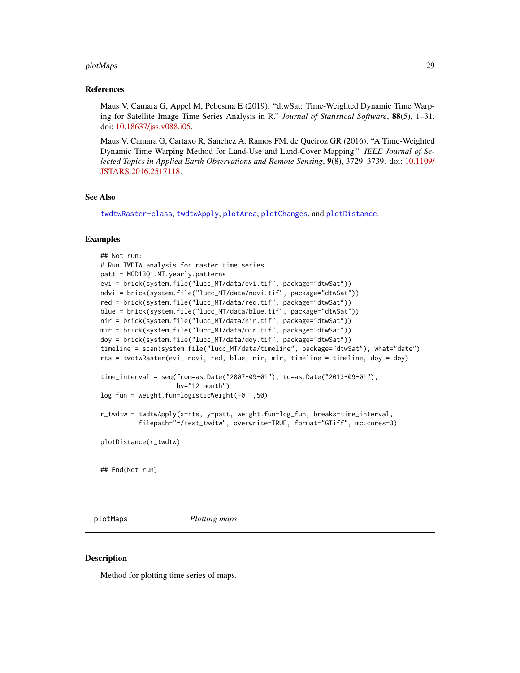#### <span id="page-28-0"></span>plotMaps 29

#### References

Maus V, Camara G, Appel M, Pebesma E (2019). "dtwSat: Time-Weighted Dynamic Time Warping for Satellite Image Time Series Analysis in R." *Journal of Statistical Software*, 88(5), 1–31. doi: [10.18637/jss.v088.i05.](https://doi.org/10.18637/jss.v088.i05)

Maus V, Camara G, Cartaxo R, Sanchez A, Ramos FM, de Queiroz GR (2016). "A Time-Weighted Dynamic Time Warping Method for Land-Use and Land-Cover Mapping." *IEEE Journal of Selected Topics in Applied Earth Observations and Remote Sensing*, 9(8), 3729–3739. doi: [10.1109/](https://doi.org/10.1109/JSTARS.2016.2517118) [JSTARS.2016.2517118.](https://doi.org/10.1109/JSTARS.2016.2517118)

#### See Also

[twdtwRaster-class](#page-64-2), [twdtwApply](#page-42-1), [plotArea](#page-20-1), [plotChanges](#page-22-1), and [plotDistance](#page-27-1).

#### Examples

```
## Not run:
# Run TWDTW analysis for raster time series
patt = MOD13Q1.MT.yearly.patterns
evi = brick(system.file("lucc_MT/data/evi.tif", package="dtwSat"))
ndvi = brick(system.file("lucc_MT/data/ndvi.tif", package="dtwSat"))
red = brick(system.file("lucc_MT/data/red.tif", package="dtwSat"))
blue = brick(system.file("lucc_MT/data/blue.tif", package="dtwSat"))
nir = brick(system.file("lucc_MT/data/nir.tif", package="dtwSat"))
mir = brick(system.file("lucc_MT/data/mir.tif", package="dtwSat"))
doy = brick(system.file("lucc_MT/data/doy.tif", package="dtwSat"))
timeline = scan(system.file("lucc_MT/data/timeline", package="dtwSat"), what="date")
rts = twdtwRaster(evi, ndvi, red, blue, nir, mir, timeline = timeline, doy = doy)
time_interval = seq(from=as.Date("2007-09-01"), to=as.Date("2013-09-01"),
                    by="12 month")
log_fun = weight.fun=logisticWeight(-0.1,50)
r_twdtw = twdtwApply(x=rts, y=patt, weight.fun=log_fun, breaks=time_interval,
          filepath="~/test_twdtw", overwrite=TRUE, format="GTiff", mc.cores=3)
plotDistance(r_twdtw)
## End(Not run)
```
<span id="page-28-1"></span>

plotMaps *Plotting maps*

#### Description

Method for plotting time series of maps.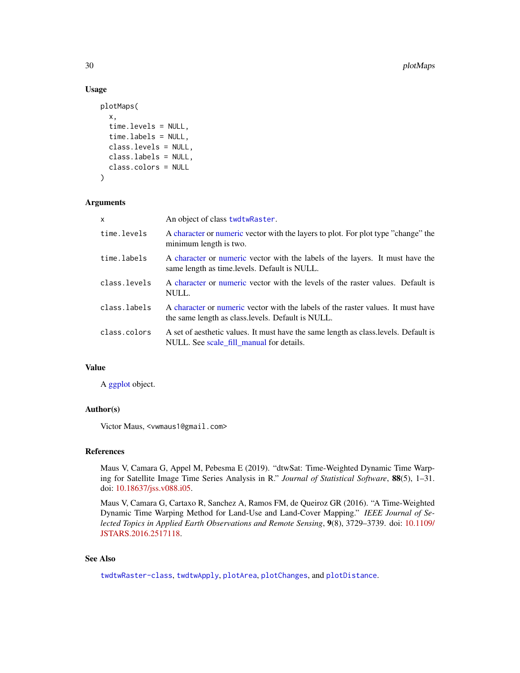#### Usage

```
plotMaps(
  x,
  time.levels = NULL,
  time.labels = NULL,
  class.levels = NULL,
  class.labels = NULL,
  class.colors = NULL
)
```
### Arguments

| X            | An object of class twdtwRaster.                                                                                                        |
|--------------|----------------------------------------------------------------------------------------------------------------------------------------|
| time.levels  | A character or numeric vector with the layers to plot. For plot type "change" the<br>minimum length is two.                            |
| time.labels  | A character or numeric vector with the labels of the layers. It must have the<br>same length as time. levels. Default is NULL.         |
| class.levels | A character or numeric vector with the levels of the raster values. Default is<br>NULL.                                                |
| class.labels | A character or numeric vector with the labels of the raster values. It must have<br>the same length as class. levels. Default is NULL. |
| class.colors | A set of aesthetic values. It must have the same length as class. levels. Default is<br>NULL. See scale_fill_manual for details.       |

### Value

A [ggplot](#page-0-0) object.

### Author(s)

Victor Maus, <vwmaus1@gmail.com>

### References

Maus V, Camara G, Appel M, Pebesma E (2019). "dtwSat: Time-Weighted Dynamic Time Warping for Satellite Image Time Series Analysis in R." *Journal of Statistical Software*, 88(5), 1–31. doi: [10.18637/jss.v088.i05.](https://doi.org/10.18637/jss.v088.i05)

Maus V, Camara G, Cartaxo R, Sanchez A, Ramos FM, de Queiroz GR (2016). "A Time-Weighted Dynamic Time Warping Method for Land-Use and Land-Cover Mapping." *IEEE Journal of Selected Topics in Applied Earth Observations and Remote Sensing*, 9(8), 3729–3739. doi: [10.1109/](https://doi.org/10.1109/JSTARS.2016.2517118) [JSTARS.2016.2517118.](https://doi.org/10.1109/JSTARS.2016.2517118)

### See Also

[twdtwRaster-class](#page-64-2), [twdtwApply](#page-42-1), [plotArea](#page-20-1), [plotChanges](#page-22-1), and [plotDistance](#page-27-1).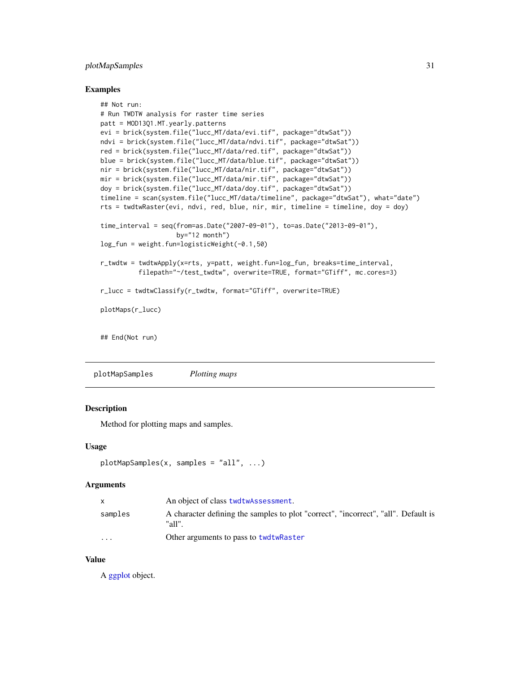### <span id="page-30-0"></span>plotMapSamples 31

#### Examples

```
## Not run:
# Run TWDTW analysis for raster time series
patt = MOD13Q1.MT.yearly.patterns
evi = brick(system.file("lucc_MT/data/evi.tif", package="dtwSat"))
ndvi = brick(system.file("lucc_MT/data/ndvi.tif", package="dtwSat"))
red = brick(system.file("lucc_MT/data/red.tif", package="dtwSat"))
blue = brick(system.file("lucc_MT/data/blue.tif", package="dtwSat"))
nir = brick(system.file("lucc_MT/data/nir.tif", package="dtwSat"))
mir = brick(system.file("lucc_MT/data/mir.tif", package="dtwSat"))
doy = brick(system.file("lucc_MT/data/doy.tif", package="dtwSat"))
timeline = scan(system.file("lucc_MT/data/timeline", package="dtwSat"), what="date")
rts = twdtwRaster(evi, ndvi, red, blue, nir, mir, timeline = timeline, doy = doy)
time_interval = seq(from=as.Date("2007-09-01"), to=as.Date("2013-09-01"),
                    by="12 month")
log_fun = weight.fun=logisticWeight(-0.1,50)
r_twdtw = twdtwApply(x=rts, y=patt, weight.fun=log_fun, breaks=time_interval,
          filepath="~/test_twdtw", overwrite=TRUE, format="GTiff", mc.cores=3)
r_lucc = twdtwClassify(r_twdtw, format="GTiff", overwrite=TRUE)
plotMaps(r_lucc)
## End(Not run)
```
plotMapSamples *Plotting maps*

#### **Description**

Method for plotting maps and samples.

#### Usage

```
plotMapSamples(x, samples = "all", ...)
```
#### Arguments

|          | An object of class twdtwAssessment.                                                          |
|----------|----------------------------------------------------------------------------------------------|
| samples  | A character defining the samples to plot "correct", "incorrect", "all". Default is<br>"all". |
| $\cdots$ | Other arguments to pass to twdtwRaster                                                       |

#### Value

A [ggplot](#page-0-0) object.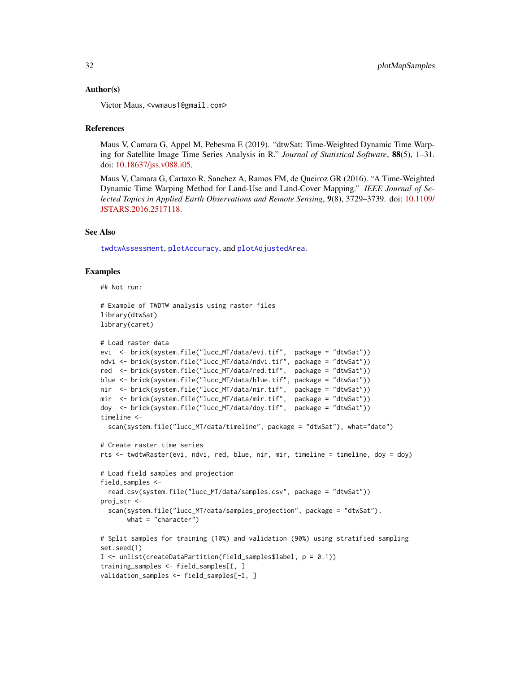#### Author(s)

Victor Maus, <vwmaus1@gmail.com>

#### References

Maus V, Camara G, Appel M, Pebesma E (2019). "dtwSat: Time-Weighted Dynamic Time Warping for Satellite Image Time Series Analysis in R." *Journal of Statistical Software*, 88(5), 1–31. doi: [10.18637/jss.v088.i05.](https://doi.org/10.18637/jss.v088.i05)

Maus V, Camara G, Cartaxo R, Sanchez A, Ramos FM, de Queiroz GR (2016). "A Time-Weighted Dynamic Time Warping Method for Land-Use and Land-Cover Mapping." *IEEE Journal of Selected Topics in Applied Earth Observations and Remote Sensing*, 9(8), 3729–3739. doi: [10.1109/](https://doi.org/10.1109/JSTARS.2016.2517118) [JSTARS.2016.2517118.](https://doi.org/10.1109/JSTARS.2016.2517118)

#### See Also

[twdtwAssessment](#page-52-1), [plotAccuracy](#page-16-1), and [plotAdjustedArea](#page-18-1).

#### Examples

## Not run:

```
# Example of TWDTW analysis using raster files
library(dtwSat)
library(caret)
# Load raster data
evi <- brick(system.file("lucc_MT/data/evi.tif", package = "dtwSat"))
ndvi <- brick(system.file("lucc_MT/data/ndvi.tif", package = "dtwSat"))
red <- brick(system.file("lucc_MT/data/red.tif", package = "dtwSat"))
blue <- brick(system.file("lucc_MT/data/blue.tif", package = "dtwSat"))
nir <- brick(system.file("lucc_MT/data/nir.tif", package = "dtwSat"))
mir <- brick(system.file("lucc_MT/data/mir.tif", package = "dtwSat"))
doy <- brick(system.file("lucc_MT/data/doy.tif", package = "dtwSat"))
timeline <-
  scan(system.file("lucc_MT/data/timeline", package = "dtwSat"), what="date")
# Create raster time series
```

```
rts <- twdtwRaster(evi, ndvi, red, blue, nir, mir, timeline = timeline, doy = doy)
# Load field samples and projection
field_samples <-
 read.csv(system.file("lucc_MT/data/samples.csv", package = "dtwSat"))
proj_str <-
```

```
scan(system.file("lucc_MT/data/samples_projection", package = "dtwSat"),
     what = "character")
```

```
# Split samples for training (10%) and validation (90%) using stratified sampling
set.seed(1)
I <- unlist(createDataPartition(field_samples$label, p = 0.1))
training_samples <- field_samples[I, ]
validation_samples <- field_samples[-I, ]
```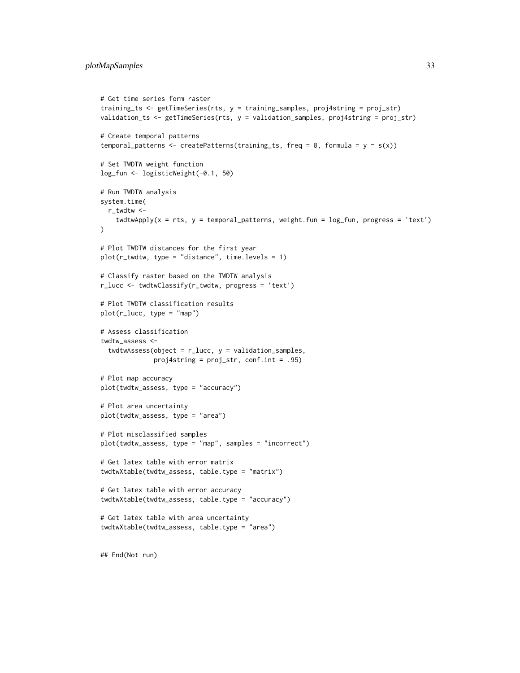```
# Get time series form raster
training_ts <- getTimeSeries(rts, y = training_samples, proj4string = proj_str)
validation_ts <- getTimeSeries(rts, y = validation_samples, proj4string = proj_str)
# Create temporal patterns
temporal_patterns <- createPatterns(training_ts, freq = 8, formula = y \sim s(x))
# Set TWDTW weight function
log_fun <- logisticWeight(-0.1, 50)
# Run TWDTW analysis
system.time(
  r_twdtw <-
    twdtwApply(x = rts, y = temporal<math>-patterns, weight.fun = log_fun, progress = 'text')
\lambda# Plot TWDTW distances for the first year
plot(r_{text{wt}}wdtw, type = "distance", time.levels = 1)
# Classify raster based on the TWDTW analysis
r_lucc <- twdtwClassify(r_twdtw, progress = 'text')
# Plot TWDTW classification results
plot(r_lucc, type = "map")
# Assess classification
twdtw_assess <-
  twdtwAssess(object = r_lucc, y = validation_samples,
              proj4string = proj_str, conf.int = .95)
# Plot map accuracy
plot(twdtw_assess, type = "accuracy")
# Plot area uncertainty
plot(twdtw_assess, type = "area")
# Plot misclassified samples
plot(twdtw_assess, type = "map", samples = "incorrect")
# Get latex table with error matrix
twdtwXtable(twdtw_assess, table.type = "matrix")
# Get latex table with error accuracy
twdtwXtable(twdtw_assess, table.type = "accuracy")
# Get latex table with area uncertainty
twdtwXtable(twdtw_assess, table.type = "area")
## End(Not run)
```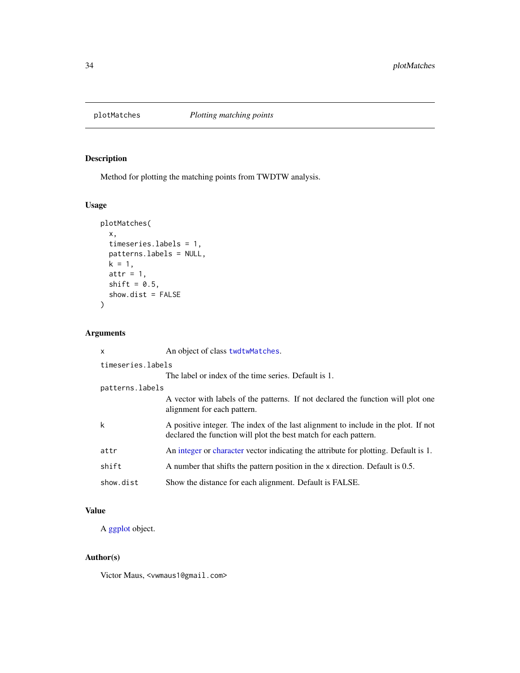<span id="page-33-1"></span><span id="page-33-0"></span>

## Description

Method for plotting the matching points from TWDTW analysis.

### Usage

```
plotMatches(
 x,
 timeseries.labels = 1,
 patterns.labels = NULL,
 k = 1,
 attr = 1,shift = 0.5,
 show.dist = FALSE
)
```
### Arguments

| $\mathsf{x}$      | An object of class twdtwMatches.                                                                                                                       |  |
|-------------------|--------------------------------------------------------------------------------------------------------------------------------------------------------|--|
| timeseries.labels |                                                                                                                                                        |  |
|                   | The label or index of the time series. Default is 1.                                                                                                   |  |
| patterns.labels   |                                                                                                                                                        |  |
|                   | A vector with labels of the patterns. If not declared the function will plot one<br>alignment for each pattern.                                        |  |
| $\mathsf{k}$      | A positive integer. The index of the last alignment to include in the plot. If not<br>declared the function will plot the best match for each pattern. |  |
| attr              | An integer or character vector indicating the attribute for plotting. Default is 1.                                                                    |  |
| shift             | A number that shifts the pattern position in the x direction. Default is 0.5.                                                                          |  |
| show.dist         | Show the distance for each alignment. Default is FALSE.                                                                                                |  |

### Value

A [ggplot](#page-0-0) object.

### Author(s)

Victor Maus, <vwmaus1@gmail.com>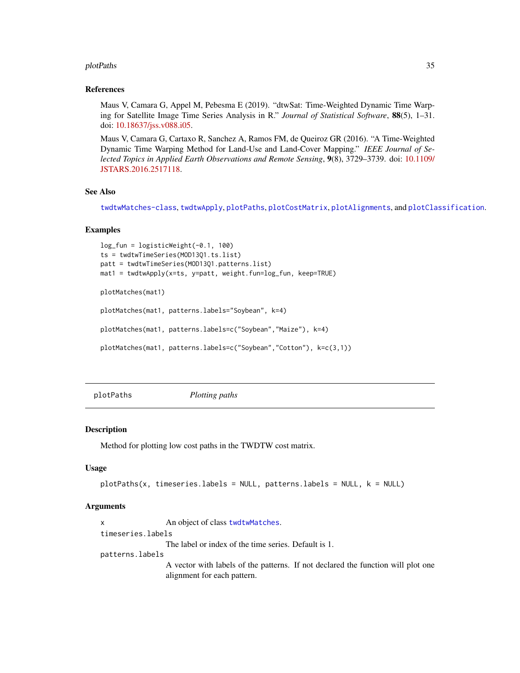#### <span id="page-34-0"></span>plotPaths 35

#### References

Maus V, Camara G, Appel M, Pebesma E (2019). "dtwSat: Time-Weighted Dynamic Time Warping for Satellite Image Time Series Analysis in R." *Journal of Statistical Software*, 88(5), 1–31. doi: [10.18637/jss.v088.i05.](https://doi.org/10.18637/jss.v088.i05)

Maus V, Camara G, Cartaxo R, Sanchez A, Ramos FM, de Queiroz GR (2016). "A Time-Weighted Dynamic Time Warping Method for Land-Use and Land-Cover Mapping." *IEEE Journal of Selected Topics in Applied Earth Observations and Remote Sensing*, 9(8), 3729–3739. doi: [10.1109/](https://doi.org/10.1109/JSTARS.2016.2517118) [JSTARS.2016.2517118.](https://doi.org/10.1109/JSTARS.2016.2517118)

### See Also

[twdtwMatches-class](#page-61-1), [twdtwApply](#page-42-1), [plotPaths](#page-34-1), [plotCostMatrix](#page-26-1), [plotAlignments](#page-19-1), and [plotClassification](#page-24-1).

#### Examples

```
log_fun = logisticWeight(-0.1, 100)
ts = twdtwTimeSeries(MOD13Q1.ts.list)
patt = twdtwTimeSeries(MOD13Q1.patterns.list)
mat1 = twdtwApply(x=ts, y=patt, weight.fun=log_fun, keep=TRUE)
plotMatches(mat1)
plotMatches(mat1, patterns.labels="Soybean", k=4)
plotMatches(mat1, patterns.labels=c("Soybean","Maize"), k=4)
```
plotMatches(mat1, patterns.labels=c("Soybean","Cotton"), k=c(3,1))

<span id="page-34-1"></span>plotPaths *Plotting paths*

#### Description

Method for plotting low cost paths in the TWDTW cost matrix.

### Usage

```
plotPaths(x, timeseries.labels = NULL, patterns.labels = NULL, k = NULL)
```
#### Arguments

x An object of class [twdtwMatches](#page-61-2). timeseries.labels The label or index of the time series. Default is 1. patterns.labels A vector with labels of the patterns. If not declared the function will plot one alignment for each pattern.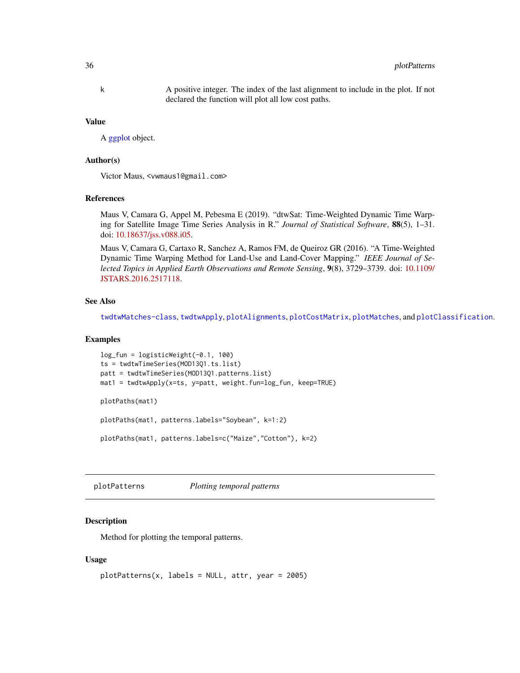<span id="page-35-0"></span>k A positive integer. The index of the last alignment to include in the plot. If not declared the function will plot all low cost paths.

#### Value

A [ggplot](#page-0-0) object.

#### Author(s)

Victor Maus, <vwmaus1@gmail.com>

#### References

Maus V, Camara G, Appel M, Pebesma E (2019). "dtwSat: Time-Weighted Dynamic Time Warping for Satellite Image Time Series Analysis in R." *Journal of Statistical Software*, 88(5), 1–31. doi: [10.18637/jss.v088.i05.](https://doi.org/10.18637/jss.v088.i05)

Maus V, Camara G, Cartaxo R, Sanchez A, Ramos FM, de Queiroz GR (2016). "A Time-Weighted Dynamic Time Warping Method for Land-Use and Land-Cover Mapping." *IEEE Journal of Selected Topics in Applied Earth Observations and Remote Sensing*, 9(8), 3729–3739. doi: [10.1109/](https://doi.org/10.1109/JSTARS.2016.2517118) [JSTARS.2016.2517118.](https://doi.org/10.1109/JSTARS.2016.2517118)

#### See Also

[twdtwMatches-class](#page-61-1), [twdtwApply](#page-42-1), [plotAlignments](#page-19-1), [plotCostMatrix](#page-26-1), [plotMatches](#page-33-1), and [plotClassification](#page-24-1).

### Examples

```
log_fun = logisticWeight(-0.1, 100)
ts = twdtwTimeSeries(MOD13Q1.ts.list)
patt = twdtwTimeSeries(MOD13Q1.patterns.list)
mat1 = twdtwApply(x=ts, y=patt, weight.fun=log_fun, keep=TRUE)
plotPaths(mat1)
plotPaths(mat1, patterns.labels="Soybean", k=1:2)
```
plotPaths(mat1, patterns.labels=c("Maize","Cotton"), k=2)

<span id="page-35-1"></span>plotPatterns *Plotting temporal patterns*

### Description

Method for plotting the temporal patterns.

#### Usage

```
plotPatterns(x, labels = NULL, attr, year = 2005)
```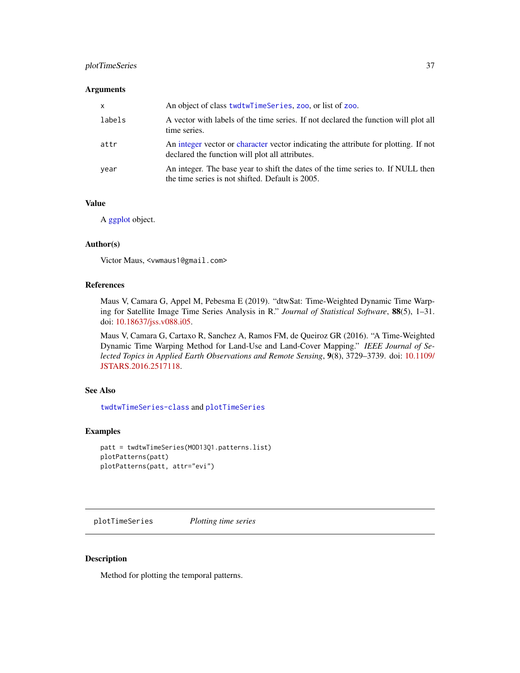## plotTimeSeries 37

#### **Arguments**

| $\mathsf{x}$ | An object of class twdtwTimeSeries, zoo, or list of zoo.                                                                               |
|--------------|----------------------------------------------------------------------------------------------------------------------------------------|
| labels       | A vector with labels of the time series. If not declared the function will plot all<br>time series.                                    |
| attr         | An integer vector or character vector indicating the attribute for plotting. If not<br>declared the function will plot all attributes. |
| vear         | An integer. The base year to shift the dates of the time series to. If NULL then<br>the time series is not shifted. Default is 2005.   |

## Value

A [ggplot](#page-0-0) object.

## Author(s)

Victor Maus, <vwmaus1@gmail.com>

### References

Maus V, Camara G, Appel M, Pebesma E (2019). "dtwSat: Time-Weighted Dynamic Time Warping for Satellite Image Time Series Analysis in R." *Journal of Statistical Software*, 88(5), 1–31. doi: [10.18637/jss.v088.i05.](https://doi.org/10.18637/jss.v088.i05)

Maus V, Camara G, Cartaxo R, Sanchez A, Ramos FM, de Queiroz GR (2016). "A Time-Weighted Dynamic Time Warping Method for Land-Use and Land-Cover Mapping." *IEEE Journal of Selected Topics in Applied Earth Observations and Remote Sensing*, 9(8), 3729–3739. doi: [10.1109/](https://doi.org/10.1109/JSTARS.2016.2517118) [JSTARS.2016.2517118.](https://doi.org/10.1109/JSTARS.2016.2517118)

## See Also

[twdtwTimeSeries-class](#page-69-1) and [plotTimeSeries](#page-36-0)

## Examples

```
patt = twdtwTimeSeries(MOD13Q1.patterns.list)
plotPatterns(patt)
plotPatterns(patt, attr="evi")
```
<span id="page-36-0"></span>plotTimeSeries *Plotting time series*

### Description

Method for plotting the temporal patterns.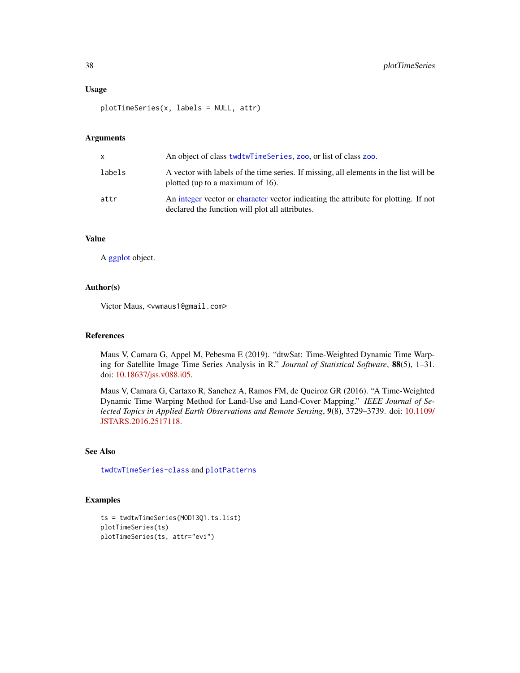#### Usage

plotTimeSeries(x, labels = NULL, attr)

## Arguments

| X      | An object of class twdtwTimeSeries, zoo, or list of class zoo.                                                                         |
|--------|----------------------------------------------------------------------------------------------------------------------------------------|
| labels | A vector with labels of the time series. If missing, all elements in the list will be<br>plotted (up to a maximum of $16$ ).           |
| attr   | An integer vector or character vector indicating the attribute for plotting. If not<br>declared the function will plot all attributes. |

## Value

A [ggplot](#page-0-0) object.

### Author(s)

Victor Maus, <vwmaus1@gmail.com>

## References

Maus V, Camara G, Appel M, Pebesma E (2019). "dtwSat: Time-Weighted Dynamic Time Warping for Satellite Image Time Series Analysis in R." *Journal of Statistical Software*, 88(5), 1–31. doi: [10.18637/jss.v088.i05.](https://doi.org/10.18637/jss.v088.i05)

Maus V, Camara G, Cartaxo R, Sanchez A, Ramos FM, de Queiroz GR (2016). "A Time-Weighted Dynamic Time Warping Method for Land-Use and Land-Cover Mapping." *IEEE Journal of Selected Topics in Applied Earth Observations and Remote Sensing*, 9(8), 3729–3739. doi: [10.1109/](https://doi.org/10.1109/JSTARS.2016.2517118) [JSTARS.2016.2517118.](https://doi.org/10.1109/JSTARS.2016.2517118)

## See Also

[twdtwTimeSeries-class](#page-69-1) and [plotPatterns](#page-35-0)

```
ts = twdtwTimeSeries(MOD13Q1.ts.list)
plotTimeSeries(ts)
plotTimeSeries(ts, attr="evi")
```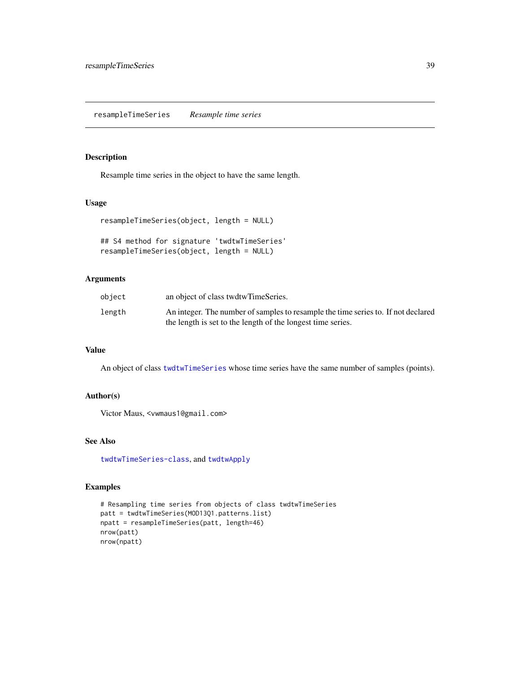<span id="page-38-0"></span>resampleTimeSeries *Resample time series*

## Description

Resample time series in the object to have the same length.

## Usage

```
resampleTimeSeries(object, length = NULL)
```

```
## S4 method for signature 'twdtwTimeSeries'
resampleTimeSeries(object, length = NULL)
```
## Arguments

| object | an object of class twdtwTimeSeries.                                               |
|--------|-----------------------------------------------------------------------------------|
| length | An integer. The number of samples to resample the time series to. If not declared |
|        | the length is set to the length of the longest time series.                       |

## Value

An object of class [twdtwTimeSeries](#page-69-0) whose time series have the same number of samples (points).

## Author(s)

Victor Maus, <vwmaus1@gmail.com>

### See Also

[twdtwTimeSeries-class](#page-69-1), and [twdtwApply](#page-42-0)

```
# Resampling time series from objects of class twdtwTimeSeries
patt = twdtwTimeSeries(MOD13Q1.patterns.list)
npatt = resampleTimeSeries(patt, length=46)
nrow(patt)
nrow(npatt)
```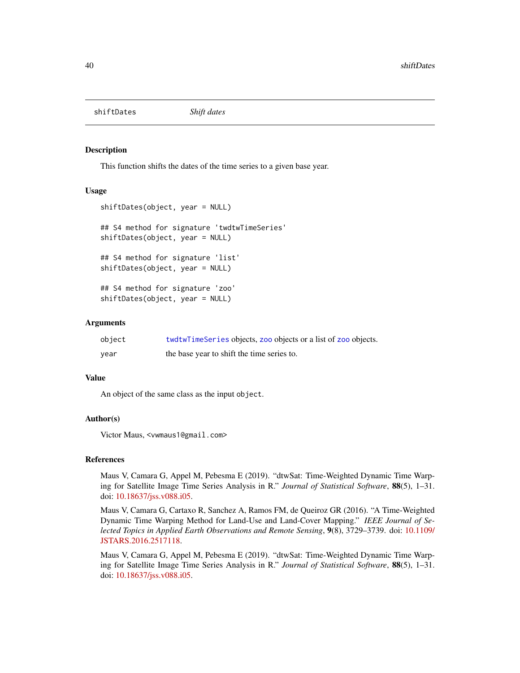shiftDates *Shift dates*

#### Description

This function shifts the dates of the time series to a given base year.

### Usage

```
shiftDates(object, year = NULL)
## S4 method for signature 'twdtwTimeSeries'
shiftDates(object, year = NULL)
## S4 method for signature 'list'
shiftDates(object, year = NULL)
## S4 method for signature 'zoo'
shiftDates(object, year = NULL)
```
## Arguments

| object | twdtwTimeSeries objects, zoo objects or a list of zoo objects. |
|--------|----------------------------------------------------------------|
| year   | the base year to shift the time series to.                     |

## Value

An object of the same class as the input object.

## Author(s)

Victor Maus, <vwmaus1@gmail.com>

#### References

Maus V, Camara G, Appel M, Pebesma E (2019). "dtwSat: Time-Weighted Dynamic Time Warping for Satellite Image Time Series Analysis in R." *Journal of Statistical Software*, 88(5), 1–31. doi: [10.18637/jss.v088.i05.](https://doi.org/10.18637/jss.v088.i05)

Maus V, Camara G, Cartaxo R, Sanchez A, Ramos FM, de Queiroz GR (2016). "A Time-Weighted Dynamic Time Warping Method for Land-Use and Land-Cover Mapping." *IEEE Journal of Selected Topics in Applied Earth Observations and Remote Sensing*, 9(8), 3729–3739. doi: [10.1109/](https://doi.org/10.1109/JSTARS.2016.2517118) [JSTARS.2016.2517118.](https://doi.org/10.1109/JSTARS.2016.2517118)

Maus V, Camara G, Appel M, Pebesma E (2019). "dtwSat: Time-Weighted Dynamic Time Warping for Satellite Image Time Series Analysis in R." *Journal of Statistical Software*, 88(5), 1–31. doi: [10.18637/jss.v088.i05.](https://doi.org/10.18637/jss.v088.i05)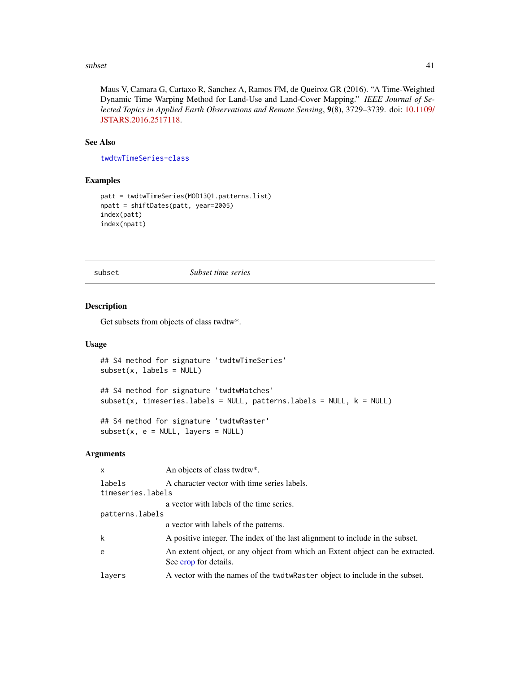#### $\mathbf{s}$ ubset  $\mathbf{41}$

Maus V, Camara G, Cartaxo R, Sanchez A, Ramos FM, de Queiroz GR (2016). "A Time-Weighted Dynamic Time Warping Method for Land-Use and Land-Cover Mapping." *IEEE Journal of Selected Topics in Applied Earth Observations and Remote Sensing*, 9(8), 3729–3739. doi: [10.1109/](https://doi.org/10.1109/JSTARS.2016.2517118) [JSTARS.2016.2517118.](https://doi.org/10.1109/JSTARS.2016.2517118)

## See Also

[twdtwTimeSeries-class](#page-69-1)

### Examples

```
patt = twdtwTimeSeries(MOD13Q1.patterns.list)
npatt = shiftDates(patt, year=2005)
index(patt)
index(npatt)
```
subset *Subset time series*

## Description

Get subsets from objects of class twdtw\*.

### Usage

```
## S4 method for signature 'twdtwTimeSeries'
subset(x, labels = NULL)
## S4 method for signature 'twdtwMatches'
subset(x, timeseries.labels = NULL, patterns.labels = NULL, k = NULL)
```
## S4 method for signature 'twdtwRaster'  $subset(x, e = NULL, layers = NULL)$ 

## Arguments

| x                 | An objects of class twdtw*.                                                                            |
|-------------------|--------------------------------------------------------------------------------------------------------|
| labels            | A character vector with time series labels.                                                            |
| timeseries.labels |                                                                                                        |
|                   | a vector with labels of the time series.                                                               |
| patterns.labels   |                                                                                                        |
|                   | a vector with labels of the patterns.                                                                  |
| k                 | A positive integer. The index of the last alignment to include in the subset.                          |
| e                 | An extent object, or any object from which an Extent object can be extracted.<br>See crop for details. |
| layers            | A vector with the names of the twdtwRaster object to include in the subset.                            |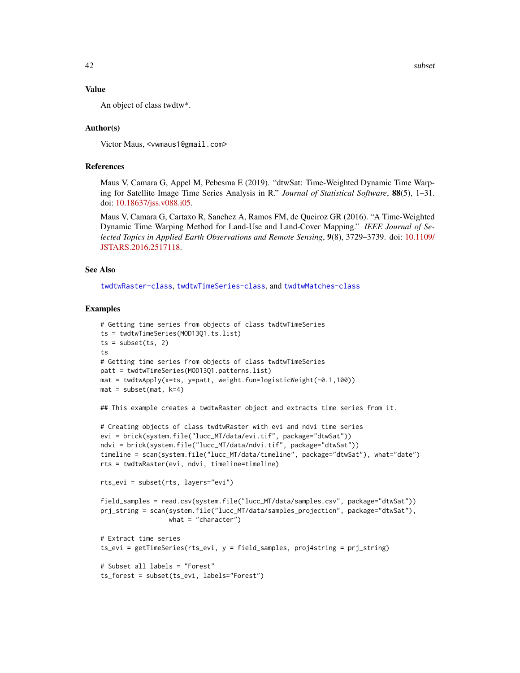#### Value

An object of class twdtw\*.

### Author(s)

Victor Maus, <vwmaus1@gmail.com>

### References

Maus V, Camara G, Appel M, Pebesma E (2019). "dtwSat: Time-Weighted Dynamic Time Warping for Satellite Image Time Series Analysis in R." *Journal of Statistical Software*, 88(5), 1–31. doi: [10.18637/jss.v088.i05.](https://doi.org/10.18637/jss.v088.i05)

Maus V, Camara G, Cartaxo R, Sanchez A, Ramos FM, de Queiroz GR (2016). "A Time-Weighted Dynamic Time Warping Method for Land-Use and Land-Cover Mapping." *IEEE Journal of Selected Topics in Applied Earth Observations and Remote Sensing*, 9(8), 3729–3739. doi: [10.1109/](https://doi.org/10.1109/JSTARS.2016.2517118) [JSTARS.2016.2517118.](https://doi.org/10.1109/JSTARS.2016.2517118)

### See Also

[twdtwRaster-class](#page-64-0), [twdtwTimeSeries-class](#page-69-1), and [twdtwMatches-class](#page-61-0)

```
# Getting time series from objects of class twdtwTimeSeries
ts = twdtwTimeSeries(MOD13Q1.ts.list)
ts = subset(ts, 2)ts
# Getting time series from objects of class twdtwTimeSeries
patt = twdtwTimeSeries(MOD13Q1.patterns.list)
mat = twdtwApply(x=ts, y=patt, weight.fun=logisticWeight(-0.1,100))
mat = subset(max, k=4)## This example creates a twdtwRaster object and extracts time series from it.
# Creating objects of class twdtwRaster with evi and ndvi time series
evi = brick(system.file("lucc_MT/data/evi.tif", package="dtwSat"))
ndvi = brick(system.file("lucc_MT/data/ndvi.tif", package="dtwSat"))
timeline = scan(system.file("lucc_MT/data/timeline", package="dtwSat"), what="date")
rts = twdtwRaster(evi, ndvi, timeline=timeline)
rts_evi = subset(rts, layers="evi")
field_samples = read.csv(system.file("lucc_MT/data/samples.csv", package="dtwSat"))
prj_string = scan(system.file("lucc_MT/data/samples_projection", package="dtwSat"),
                  what = "character")
# Extract time series
ts_evi = getTimeSeries(rts_evi, y = field_samples, proj4string = prj_string)
# Subset all labels = "Forest"
ts_forest = subset(ts_evi, labels="Forest")
```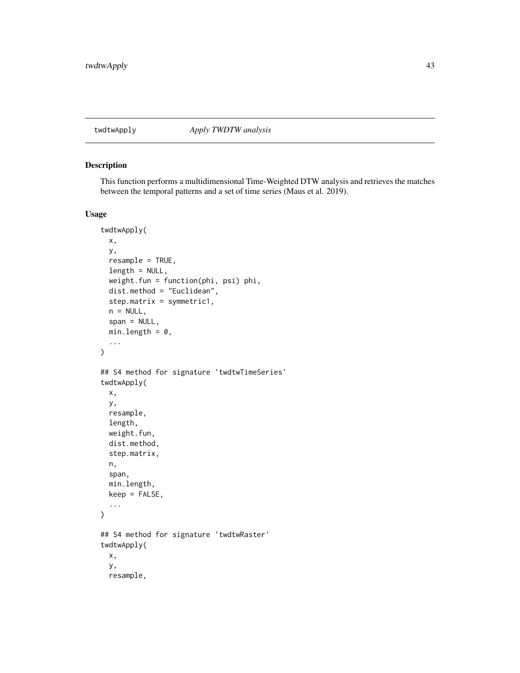<span id="page-42-0"></span>

## Description

This function performs a multidimensional Time-Weighted DTW analysis and retrieves the matches between the temporal patterns and a set of time series (Maus et al. 2019).

## Usage

```
twdtwApply(
 x,
 y,
 resample = TRUE,
 length = NULL,
 weight.fun = function(phi, psi) phi,
 dist.method = "Euclidean",
  step.matrix = symmetric1,
 n = NULL,span = NULL,min.length = 0,
  ...
\lambda## S4 method for signature 'twdtwTimeSeries'
twdtwApply(
 x,
 y,
 resample,
 length,
 weight.fun,
 dist.method,
  step.matrix,
 n,
  span,
 min.length,
 keep = FALSE,
  ...
\mathcal{L}## S4 method for signature 'twdtwRaster'
twdtwApply(
 x,
 y,
  resample,
```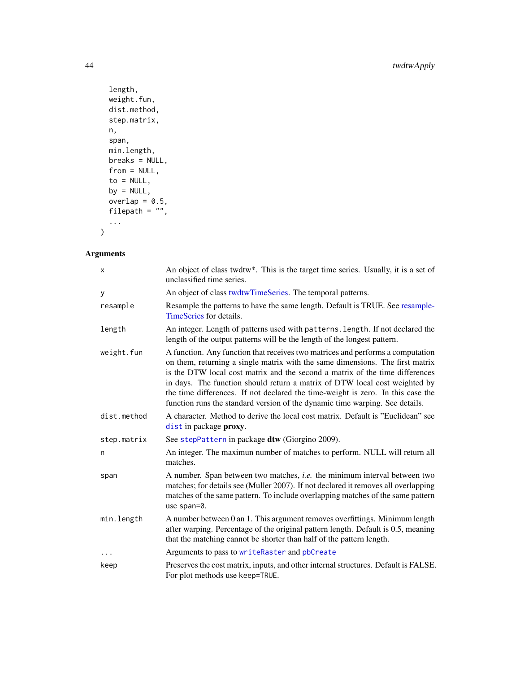```
length,
 weight.fun,
 dist.method,
 step.matrix,
 n,
 span,
 min.length,
 breaks = NULL,
 from = NULL,
 to = NULL,
 by = NULL,
 overlap = 0.5,
 filepath = ",
  ...
\mathcal{L}
```
# Arguments

| X           | An object of class twdtw*. This is the target time series. Usually, it is a set of<br>unclassified time series.                                                                                                                                                                                                                                                                                                                                                                                  |
|-------------|--------------------------------------------------------------------------------------------------------------------------------------------------------------------------------------------------------------------------------------------------------------------------------------------------------------------------------------------------------------------------------------------------------------------------------------------------------------------------------------------------|
| У           | An object of class twdtwTimeSeries. The temporal patterns.                                                                                                                                                                                                                                                                                                                                                                                                                                       |
| resample    | Resample the patterns to have the same length. Default is TRUE. See resample-<br>TimeSeries for details.                                                                                                                                                                                                                                                                                                                                                                                         |
| length      | An integer. Length of patterns used with patterns. length. If not declared the<br>length of the output patterns will be the length of the longest pattern.                                                                                                                                                                                                                                                                                                                                       |
| weight.fun  | A function. Any function that receives two matrices and performs a computation<br>on them, returning a single matrix with the same dimensions. The first matrix<br>is the DTW local cost matrix and the second a matrix of the time differences<br>in days. The function should return a matrix of DTW local cost weighted by<br>the time differences. If not declared the time-weight is zero. In this case the<br>function runs the standard version of the dynamic time warping. See details. |
| dist.method | A character. Method to derive the local cost matrix. Default is "Euclidean" see<br>dist in package proxy.                                                                                                                                                                                                                                                                                                                                                                                        |
| step.matrix | See stepPattern in package dtw (Giorgino 2009).                                                                                                                                                                                                                                                                                                                                                                                                                                                  |
| n           | An integer. The maximun number of matches to perform. NULL will return all<br>matches.                                                                                                                                                                                                                                                                                                                                                                                                           |
| span        | A number. Span between two matches, <i>i.e.</i> the minimum interval between two<br>matches; for details see (Muller 2007). If not declared it removes all overlapping<br>matches of the same pattern. To include overlapping matches of the same pattern<br>use span=0.                                                                                                                                                                                                                         |
| min.length  | A number between 0 an 1. This argument removes overfittings. Minimum length<br>after warping. Percentage of the original pattern length. Default is 0.5, meaning<br>that the matching cannot be shorter than half of the pattern length.                                                                                                                                                                                                                                                         |
| $\cdots$    | Arguments to pass to writeRaster and pbCreate                                                                                                                                                                                                                                                                                                                                                                                                                                                    |
| keep        | Preserves the cost matrix, inputs, and other internal structures. Default is FALSE.<br>For plot methods use keep=TRUE.                                                                                                                                                                                                                                                                                                                                                                           |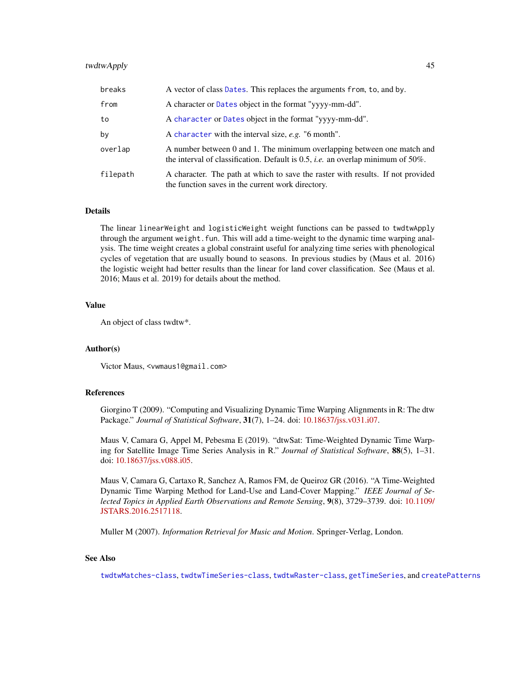## twdtwApply 45

| breaks   | A vector of class Dates. This replaces the arguments from, to, and by.                                                                                                   |
|----------|--------------------------------------------------------------------------------------------------------------------------------------------------------------------------|
| from     | A character or Dates object in the format "yyyy-mm-dd".                                                                                                                  |
| to       | A character or Dates object in the format "yyyy-mm-dd".                                                                                                                  |
| by       | A character with the interval size, e.g. "6 month".                                                                                                                      |
| overlap  | A number between 0 and 1. The minimum overlapping between one match and<br>the interval of classification. Default is $0.5$ , <i>i.e.</i> an overlap minimum of $50\%$ . |
| filepath | A character. The path at which to save the raster with results. If not provided<br>the function saves in the current work directory.                                     |

#### Details

The linear linearWeight and logisticWeight weight functions can be passed to twdtwApply through the argument weight. fun. This will add a time-weight to the dynamic time warping analysis. The time weight creates a global constraint useful for analyzing time series with phenological cycles of vegetation that are usually bound to seasons. In previous studies by (Maus et al. 2016) the logistic weight had better results than the linear for land cover classification. See (Maus et al. 2016; Maus et al. 2019) for details about the method.

### Value

An object of class twdtw\*.

## Author(s)

Victor Maus, <vwmaus1@gmail.com>

### References

Giorgino T (2009). "Computing and Visualizing Dynamic Time Warping Alignments in R: The dtw Package." *Journal of Statistical Software*, 31(7), 1–24. doi: [10.18637/jss.v031.i07.](https://doi.org/10.18637/jss.v031.i07)

Maus V, Camara G, Appel M, Pebesma E (2019). "dtwSat: Time-Weighted Dynamic Time Warping for Satellite Image Time Series Analysis in R." *Journal of Statistical Software*, 88(5), 1–31. doi: [10.18637/jss.v088.i05.](https://doi.org/10.18637/jss.v088.i05)

Maus V, Camara G, Cartaxo R, Sanchez A, Ramos FM, de Queiroz GR (2016). "A Time-Weighted Dynamic Time Warping Method for Land-Use and Land-Cover Mapping." *IEEE Journal of Selected Topics in Applied Earth Observations and Remote Sensing*, 9(8), 3729–3739. doi: [10.1109/](https://doi.org/10.1109/JSTARS.2016.2517118) [JSTARS.2016.2517118.](https://doi.org/10.1109/JSTARS.2016.2517118)

Muller M (2007). *Information Retrieval for Music and Motion*. Springer-Verlag, London.

## See Also

[twdtwMatches-class](#page-61-0), [twdtwTimeSeries-class](#page-69-1), [twdtwRaster-class](#page-64-0), [getTimeSeries](#page-7-0), and [createPatterns](#page-2-0)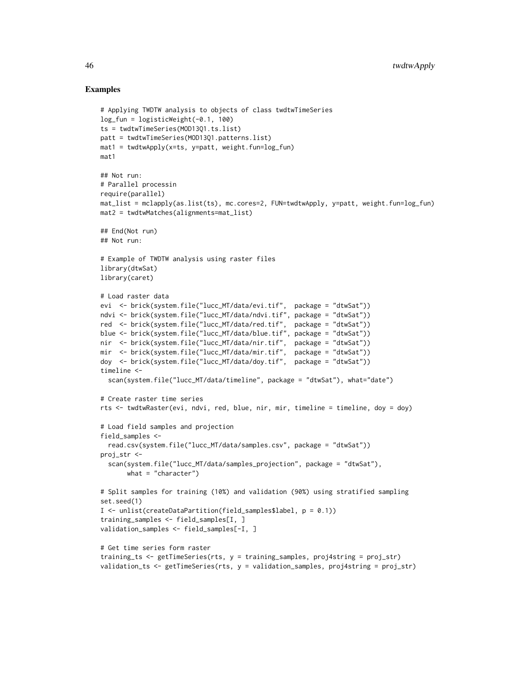```
# Applying TWDTW analysis to objects of class twdtwTimeSeries
log_fun = logisticWeight(-0.1, 100)
ts = twdtwTimeSeries(MOD13Q1.ts.list)
patt = twdtwTimeSeries(MOD13Q1.patterns.list)
mat1 = twdtwApply(x=ts, y=patt, weight.fun=log_fn)mat1
## Not run:
# Parallel processin
require(parallel)
mat_list = mclapply(as.list(ts), mc.cores=2, FUN=twdtwApply, y=patt, weight.fun=log_fun)
mat2 = twdtwMatches(alignments=mat_list)
## End(Not run)
## Not run:
# Example of TWDTW analysis using raster files
library(dtwSat)
library(caret)
# Load raster data
evi <- brick(system.file("lucc_MT/data/evi.tif", package = "dtwSat"))
ndvi <- brick(system.file("lucc_MT/data/ndvi.tif", package = "dtwSat"))
red <- brick(system.file("lucc_MT/data/red.tif", package = "dtwSat"))
blue <- brick(system.file("lucc_MT/data/blue.tif", package = "dtwSat"))
nir <- brick(system.file("lucc_MT/data/nir.tif", package = "dtwSat"))
mir <- brick(system.file("lucc_MT/data/mir.tif", package = "dtwSat"))
doy <- brick(system.file("lucc_MT/data/doy.tif", package = "dtwSat"))
timeline <-
  scan(system.file("lucc_MT/data/timeline", package = "dtwSat"), what="date")
# Create raster time series
rts <- twdtwRaster(evi, ndvi, red, blue, nir, mir, timeline = timeline, doy = doy)
# Load field samples and projection
field_samples <-
  read.csv(system.file("lucc_MT/data/samples.csv", package = "dtwSat"))
proj_str <-
  scan(system.file("lucc_MT/data/samples_projection", package = "dtwSat"),
       what = "character")
# Split samples for training (10%) and validation (90%) using stratified sampling
set.seed(1)
I <- unlist(createDataPartition(field_samples$label, p = 0.1))
training_samples <- field_samples[I, ]
validation_samples <- field_samples[-I, ]
# Get time series form raster
training_ts <- getTimeSeries(rts, y = training_samples, proj4string = proj_str)
validation_ts <- getTimeSeries(rts, y = validation_samples, proj4string = proj_str)
```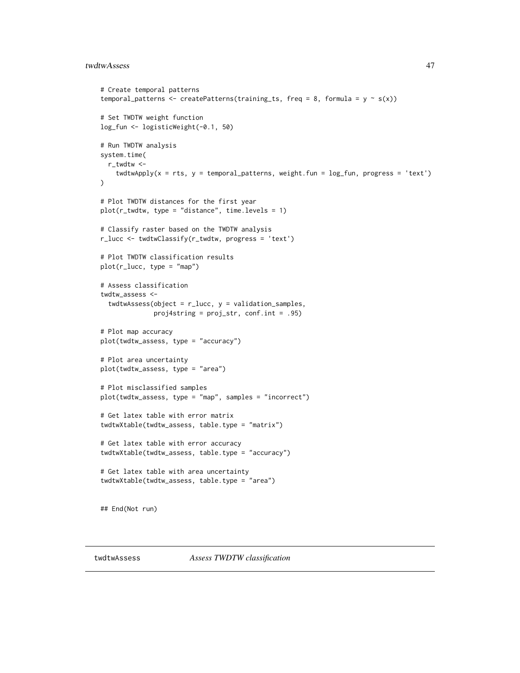#### twdtwAssess 47

```
# Create temporal patterns
temporal_patterns <- createPatterns(training_ts, freq = 8, formula = y \sim s(x))
# Set TWDTW weight function
log_fun <- logisticWeight(-0.1, 50)
# Run TWDTW analysis
system.time(
  r_twdtw <-
    twdtwApply(x = rts, y = temporal<math>-patterns, weight.fun = log_fun, progress = 'text')
)
# Plot TWDTW distances for the first year
plot(r_twdtw, type = "distance", time. levels = 1)# Classify raster based on the TWDTW analysis
r_lucc <- twdtwClassify(r_twdtw, progress = 'text')
# Plot TWDTW classification results
plot(r_{\text{lucc}}, type = "map")# Assess classification
twdtw assess <-
  twdtwAssess(object = r<sup>lucc</sup>, y = validation_samples,
              proj4string = proj_str, conf.int = .95)
# Plot map accuracy
plot(twdtw_assess, type = "accuracy")
# Plot area uncertainty
plot(twdtw_assess, type = "area")
# Plot misclassified samples
plot(twdtw_assess, type = "map", samples = "incorrect")
# Get latex table with error matrix
twdtwXtable(twdtw_assess, table.type = "matrix")
# Get latex table with error accuracy
twdtwXtable(twdtw_assess, table.type = "accuracy")
# Get latex table with area uncertainty
twdtwXtable(twdtw_assess, table.type = "area")
## End(Not run)
```
<span id="page-46-0"></span>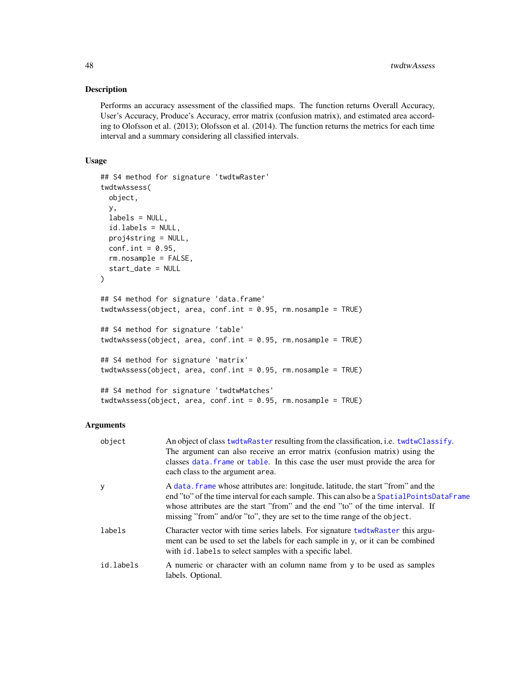## Description

Performs an accuracy assessment of the classified maps. The function returns Overall Accuracy, User's Accuracy, Produce's Accuracy, error matrix (confusion matrix), and estimated area according to Olofsson et al. (2013); Olofsson et al. (2014). The function returns the metrics for each time interval and a summary considering all classified intervals.

## Usage

```
## S4 method for signature 'twdtwRaster'
twdtwAssess(
 object,
 y,
 labels = NULL,
  id.labels = NULL,
 proj4string = NULL,
 conf.int = 0.95,
  rm.nosample = FALSE,
  start_date = NULL
)
## S4 method for signature 'data.frame'
twdtwAssess(object, area, conf.int = 0.95, rm.nosample = TRUE)
## S4 method for signature 'table'
twdtwAssess(object, area, conf.int = 0.95, rm.nosample = TRUE)
## S4 method for signature 'matrix'
twdtwAssess(object, area, conf.int = 0.95, rm.nosample = TRUE)
## S4 method for signature 'twdtwMatches'
```
twdtwAssess(object, area, conf.int = 0.95, rm.nosample = TRUE)

## Arguments

| object    | An object of class twdtwRaster resulting from the classification, i.e. twdtwClassify.<br>The argument can also receive an error matrix (confusion matrix) using the<br>classes data. frame or table. In this case the user must provide the area for<br>each class to the argument area.                                                        |
|-----------|-------------------------------------------------------------------------------------------------------------------------------------------------------------------------------------------------------------------------------------------------------------------------------------------------------------------------------------------------|
| y         | A data, frame whose attributes are: longitude, latitude, the start "from" and the<br>end "to" of the time interval for each sample. This can also be a Spatial Points DataFrame<br>whose attributes are the start "from" and the end "to" of the time interval. If<br>missing "from" and/or "to", they are set to the time range of the object. |
| labels    | Character vector with time series labels. For signature twdtwRaster this argu-<br>ment can be used to set the labels for each sample in y, or it can be combined<br>with id. labels to select samples with a specific label.                                                                                                                    |
| id.labels | A numeric or character with an column name from y to be used as samples<br>labels. Optional.                                                                                                                                                                                                                                                    |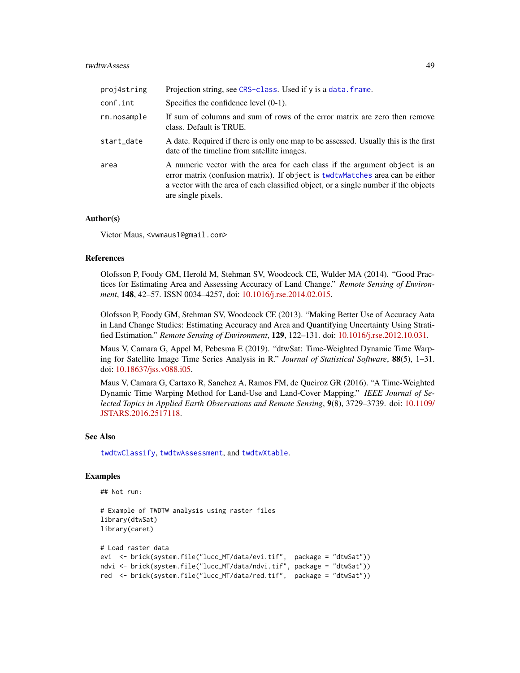#### twdtwAssess 49

| proj4string | Projection string, see CRS-class. Used if y is a data. frame.                                                                                                                                                                                                            |
|-------------|--------------------------------------------------------------------------------------------------------------------------------------------------------------------------------------------------------------------------------------------------------------------------|
| conf.int    | Specifies the confidence level $(0-1)$ .                                                                                                                                                                                                                                 |
| rm.nosample | If sum of columns and sum of rows of the error matrix are zero then remove<br>class. Default is TRUE.                                                                                                                                                                    |
| start_date  | A date. Required if there is only one map to be assessed. Usually this is the first<br>date of the timeline from satellite images.                                                                                                                                       |
| area        | A numeric vector with the area for each class if the argument object is an<br>error matrix (confusion matrix). If object is twdtwMatches area can be either<br>a vector with the area of each classified object, or a single number if the objects<br>are single pixels. |

#### Author(s)

Victor Maus, <vwmaus1@gmail.com>

### References

Olofsson P, Foody GM, Herold M, Stehman SV, Woodcock CE, Wulder MA (2014). "Good Practices for Estimating Area and Assessing Accuracy of Land Change." *Remote Sensing of Environment*, 148, 42–57. ISSN 0034–4257, doi: [10.1016/j.rse.2014.02.015.](https://doi.org/10.1016/j.rse.2014.02.015)

Olofsson P, Foody GM, Stehman SV, Woodcock CE (2013). "Making Better Use of Accuracy Aata in Land Change Studies: Estimating Accuracy and Area and Quantifying Uncertainty Using Stratified Estimation." *Remote Sensing of Environment*, 129, 122–131. doi: [10.1016/j.rse.2012.10.031.](https://doi.org/10.1016/j.rse.2012.10.031)

Maus V, Camara G, Appel M, Pebesma E (2019). "dtwSat: Time-Weighted Dynamic Time Warping for Satellite Image Time Series Analysis in R." *Journal of Statistical Software*, 88(5), 1–31. doi: [10.18637/jss.v088.i05.](https://doi.org/10.18637/jss.v088.i05)

Maus V, Camara G, Cartaxo R, Sanchez A, Ramos FM, de Queiroz GR (2016). "A Time-Weighted Dynamic Time Warping Method for Land-Use and Land-Cover Mapping." *IEEE Journal of Selected Topics in Applied Earth Observations and Remote Sensing*, 9(8), 3729–3739. doi: [10.1109/](https://doi.org/10.1109/JSTARS.2016.2517118) [JSTARS.2016.2517118.](https://doi.org/10.1109/JSTARS.2016.2517118)

#### See Also

[twdtwClassify](#page-53-0), [twdtwAssessment](#page-52-0), and [twdtwXtable](#page-72-0).

```
## Not run:
```

```
# Example of TWDTW analysis using raster files
library(dtwSat)
library(caret)
# Load raster data
evi <- brick(system.file("lucc_MT/data/evi.tif", package = "dtwSat"))
ndvi <- brick(system.file("lucc_MT/data/ndvi.tif", package = "dtwSat"))
red <- brick(system.file("lucc_MT/data/red.tif", package = "dtwSat"))
```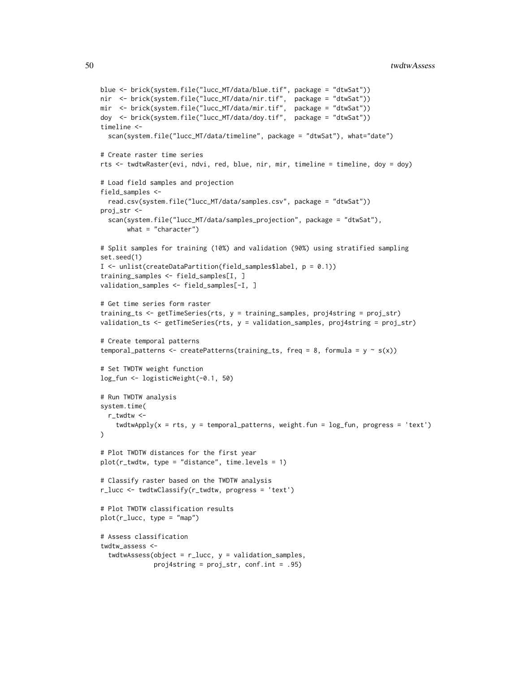```
blue <- brick(system.file("lucc_MT/data/blue.tif", package = "dtwSat"))
nir <- brick(system.file("lucc_MT/data/nir.tif", package = "dtwSat"))
mir <- brick(system.file("lucc_MT/data/mir.tif", package = "dtwSat"))
doy <- brick(system.file("lucc_MT/data/doy.tif", package = "dtwSat"))
timeline <-
 scan(system.file("lucc_MT/data/timeline", package = "dtwSat"), what="date")
# Create raster time series
rts <- twdtwRaster(evi, ndvi, red, blue, nir, mir, timeline = timeline, doy = doy)
# Load field samples and projection
field_samples <-
  read.csv(system.file("lucc_MT/data/samples.csv", package = "dtwSat"))
proj_str <-
  scan(system.file("lucc_MT/data/samples_projection", package = "dtwSat"),
       what = "character")
# Split samples for training (10%) and validation (90%) using stratified sampling
set.seed(1)
I <- unlist(createDataPartition(field_samples$label, p = 0.1))
training_samples <- field_samples[I, ]
validation_samples <- field_samples[-I, ]
# Get time series form raster
training_ts <- getTimeSeries(rts, y = training_samples, proj4string = proj_str)
validation_ts <- getTimeSeries(rts, y = validation_samples, proj4string = proj_str)
# Create temporal patterns
temporal_patterns <- createPatterns(training_ts, freq = 8, formula = y \sim s(x))
# Set TWDTW weight function
log_fun <- logisticWeight(-0.1, 50)
# Run TWDTW analysis
system.time(
  r_twdtw <-
    twdtwApply(x = rts, y = temporal patterns, weight.fun = log_fun, progress = 'text')
\lambda# Plot TWDTW distances for the first year
plot(r_{text{wtw}}, type = "distance", time. levels = 1)# Classify raster based on the TWDTW analysis
r_lucc <- twdtwClassify(r_twdtw, progress = 'text')
# Plot TWDTW classification results
plot(r_lucc, type = "map")
# Assess classification
twdtw assess <-
  twdtwAssess(object = r<sup>lucc</sup>, y = validation_samples,
              proj4string = proj_str, conf.int = .95)
```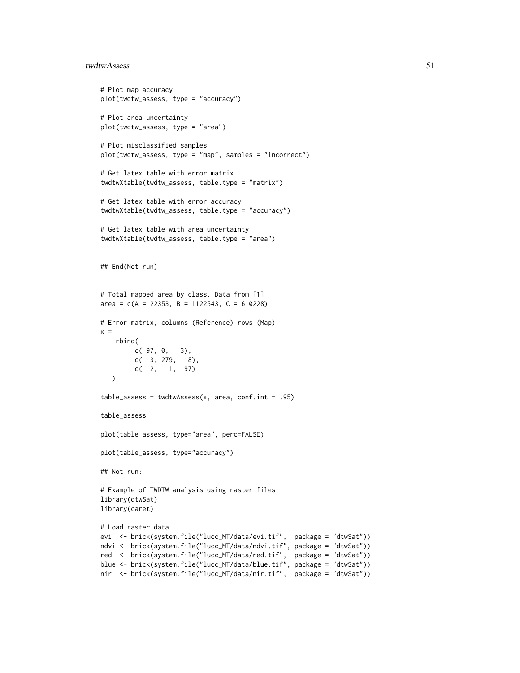#### twdtwAssess 51

```
# Plot map accuracy
plot(twdtw_assess, type = "accuracy")
# Plot area uncertainty
plot(twdtw_assess, type = "area")
# Plot misclassified samples
plot(twdtw_assess, type = "map", samples = "incorrect")
# Get latex table with error matrix
twdtwXtable(twdtw_assess, table.type = "matrix")
# Get latex table with error accuracy
twdtwXtable(twdtw_assess, table.type = "accuracy")
# Get latex table with area uncertainty
twdtwXtable(twdtw_assess, table.type = "area")
## End(Not run)
# Total mapped area by class. Data from [1]
area = c(A = 22353, B = 1122543, C = 610228)
# Error matrix, columns (Reference) rows (Map)
x =rbind(
        c( 97, 0, 3),
        c( 3, 279, 18),
        c( 2, 1, 97)
   )
table\_assess = twdtwAssess(x, area, conf.int = .95)table_assess
plot(table_assess, type="area", perc=FALSE)
plot(table_assess, type="accuracy")
## Not run:
# Example of TWDTW analysis using raster files
library(dtwSat)
library(caret)
# Load raster data
evi <- brick(system.file("lucc_MT/data/evi.tif", package = "dtwSat"))
ndvi <- brick(system.file("lucc_MT/data/ndvi.tif", package = "dtwSat"))
red <- brick(system.file("lucc_MT/data/red.tif", package = "dtwSat"))
blue <- brick(system.file("lucc_MT/data/blue.tif", package = "dtwSat"))
nir <- brick(system.file("lucc_MT/data/nir.tif", package = "dtwSat"))
```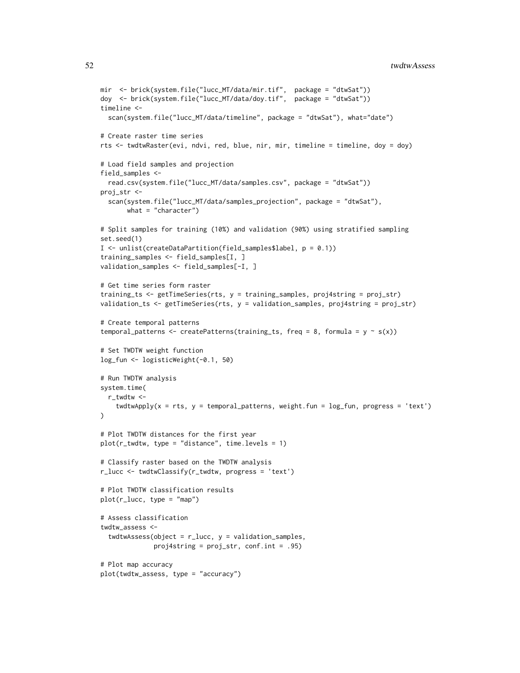```
mir <- brick(system.file("lucc_MT/data/mir.tif", package = "dtwSat"))
doy <- brick(system.file("lucc_MT/data/doy.tif", package = "dtwSat"))
timeline <-
 scan(system.file("lucc_MT/data/timeline", package = "dtwSat"), what="date")
# Create raster time series
rts <- twdtwRaster(evi, ndvi, red, blue, nir, mir, timeline = timeline, doy = doy)
# Load field samples and projection
field_samples <-
  read.csv(system.file("lucc_MT/data/samples.csv", package = "dtwSat"))
proj_str <-
  scan(system.file("lucc_MT/data/samples_projection", package = "dtwSat"),
       what = "character")# Split samples for training (10%) and validation (90%) using stratified sampling
set.seed(1)
I <- unlist(createDataPartition(field_samples$label, p = 0.1))
training_samples <- field_samples[I, ]
validation_samples <- field_samples[-I, ]
# Get time series form raster
training_ts <- getTimeSeries(rts, y = training_samples, proj4string = proj_str)
validation_ts <- getTimeSeries(rts, y = validation_samples, proj4string = proj_str)
# Create temporal patterns
temporal_patterns <- createPatterns(training_ts, freq = 8, formula = y \sim s(x))
# Set TWDTW weight function
log_fun <- logisticWeight(-0.1, 50)
# Run TWDTW analysis
system.time(
  r_twdtw <-
    twdtwApply(x = rts, y = temporal<math>-patterns, weight.fun = log_fun, progress = 'text')
\lambda# Plot TWDTW distances for the first year
plot(r_{text{wtw}}, type = "distance", time. levels = 1)# Classify raster based on the TWDTW analysis
r_lucc <- twdtwClassify(r_twdtw, progress = 'text')
# Plot TWDTW classification results
plot(r_lucc, type = "map")
# Assess classification
twdtw_assess <-
  twdtwAssess(object = r<sup>lucc</sup>, y = validation_samples,
              proj4string = proj_str, conf.int = .95)
# Plot map accuracy
plot(twdtw_assess, type = "accuracy")
```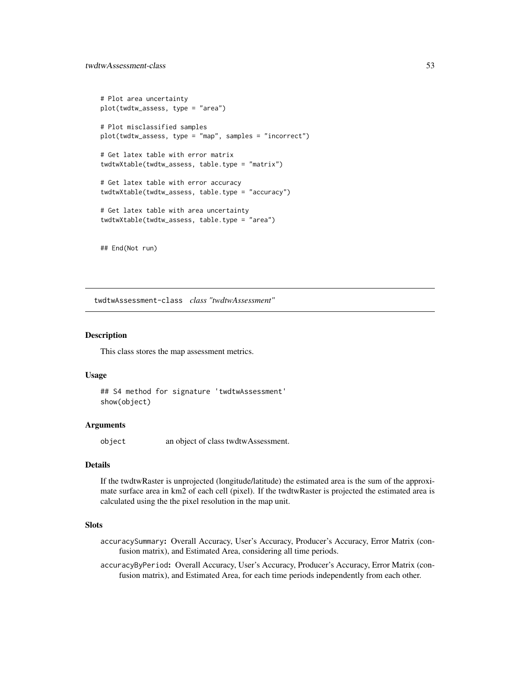```
# Plot area uncertainty
plot(twdtw_assess, type = "area")
# Plot misclassified samples
plot(twdtw_assess, type = "map", samples = "incorrect")
# Get latex table with error matrix
twdtwXtable(twdtw_assess, table.type = "matrix")
# Get latex table with error accuracy
twdtwXtable(twdtw_assess, table.type = "accuracy")
# Get latex table with area uncertainty
twdtwXtable(twdtw_assess, table.type = "area")
```
## End(Not run)

twdtwAssessment-class *class "twdtwAssessment"*

## <span id="page-52-0"></span>**Description**

This class stores the map assessment metrics.

### Usage

```
## S4 method for signature 'twdtwAssessment'
show(object)
```
#### **Arguments**

object an object of class twdtwAssessment.

## Details

If the twdtwRaster is unprojected (longitude/latitude) the estimated area is the sum of the approximate surface area in km2 of each cell (pixel). If the twdtwRaster is projected the estimated area is calculated using the the pixel resolution in the map unit.

### **Slots**

- accuracySummary: Overall Accuracy, User's Accuracy, Producer's Accuracy, Error Matrix (confusion matrix), and Estimated Area, considering all time periods.
- accuracyByPeriod: Overall Accuracy, User's Accuracy, Producer's Accuracy, Error Matrix (confusion matrix), and Estimated Area, for each time periods independently from each other.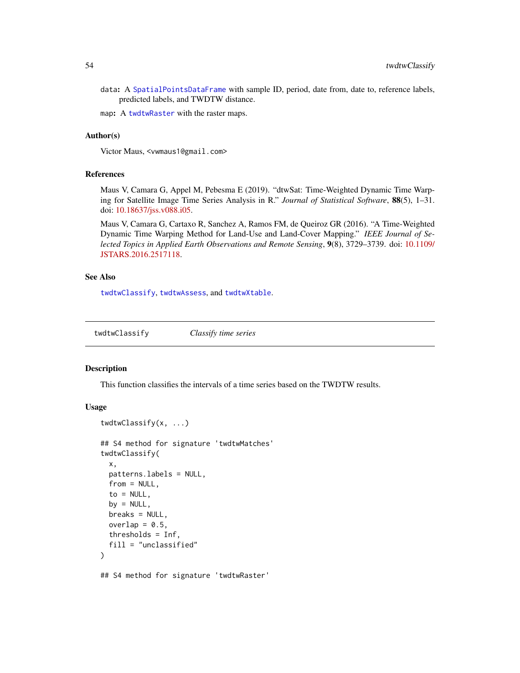data: A [SpatialPointsDataFrame](#page-0-0) with sample ID, period, date from, date to, reference labels, predicted labels, and TWDTW distance.

map: A [twdtwRaster](#page-64-1) with the raster maps.

## Author(s)

Victor Maus, <vwmaus1@gmail.com>

### References

Maus V, Camara G, Appel M, Pebesma E (2019). "dtwSat: Time-Weighted Dynamic Time Warping for Satellite Image Time Series Analysis in R." *Journal of Statistical Software*, 88(5), 1–31. doi: [10.18637/jss.v088.i05.](https://doi.org/10.18637/jss.v088.i05)

Maus V, Camara G, Cartaxo R, Sanchez A, Ramos FM, de Queiroz GR (2016). "A Time-Weighted Dynamic Time Warping Method for Land-Use and Land-Cover Mapping." *IEEE Journal of Selected Topics in Applied Earth Observations and Remote Sensing*, 9(8), 3729–3739. doi: [10.1109/](https://doi.org/10.1109/JSTARS.2016.2517118) [JSTARS.2016.2517118.](https://doi.org/10.1109/JSTARS.2016.2517118)

## See Also

[twdtwClassify](#page-53-0), [twdtwAssess](#page-46-0), and [twdtwXtable](#page-72-0).

<span id="page-53-0"></span>twdtwClassify *Classify time series*

twdtwClassify(x, ...)

## Description

This function classifies the intervals of a time series based on the TWDTW results.

### Usage

```
## S4 method for signature 'twdtwMatches'
twdtwClassify(
  x,
 patterns.labels = NULL,
  from = NULL,to = NULL,
  by = NULL,breaks = NULL,
 overlap = 0.5,
  thresholds = Inf,
  fill = "unclassified"
\lambda## S4 method for signature 'twdtwRaster'
```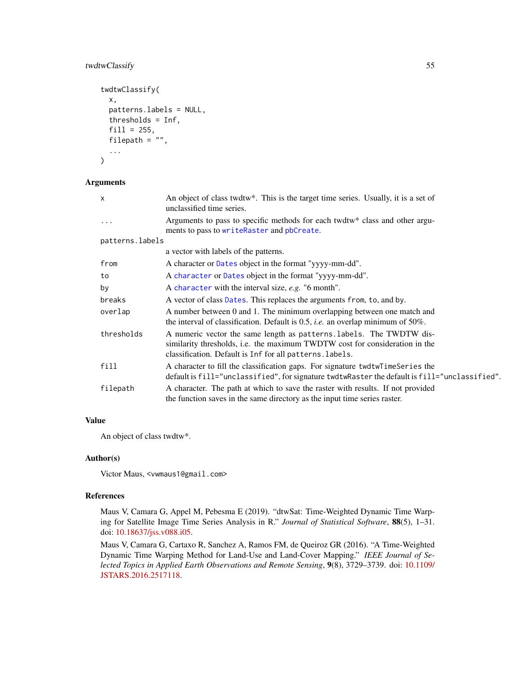## twdtwClassify 55

```
twdtwClassify(
  x,
 patterns.labels = NULL,
  thresholds = Inf,
  fill = 255,filepath = ",
  ...
\mathcal{E}
```
## Arguments

| $\mathsf{x}$    | An object of class twdtw*. This is the target time series. Usually, it is a set of<br>unclassified time series.                                                                                                 |
|-----------------|-----------------------------------------------------------------------------------------------------------------------------------------------------------------------------------------------------------------|
| $\ddots$ .      | Arguments to pass to specific methods for each twdtw* class and other argu-<br>ments to pass to writeRaster and pbCreate.                                                                                       |
| patterns.labels |                                                                                                                                                                                                                 |
|                 | a vector with labels of the patterns.                                                                                                                                                                           |
| from            | A character or Dates object in the format "yyyy-mm-dd".                                                                                                                                                         |
| to              | A character or Dates object in the format "yyyy-mm-dd".                                                                                                                                                         |
| by              | A character with the interval size, $e.g.$ "6 month".                                                                                                                                                           |
| breaks          | A vector of class Dates. This replaces the arguments from, to, and by.                                                                                                                                          |
| overlap         | A number between 0 and 1. The minimum overlapping between one match and<br>the interval of classification. Default is $0.5$ , <i>i.e.</i> an overlap minimum of $50\%$ .                                        |
| thresholds      | A numeric vector the same length as patterns. labels. The TWDTW dis-<br>similarity thresholds, i.e. the maximum TWDTW cost for consideration in the<br>classification. Default is Inf for all patterns. labels. |
| fill            | A character to fill the classification gaps. For signature twdtwTimeSeries the<br>default is fill="unclassified", for signature twdtwRaster the default is fill="unclassified".                                 |
| filepath        | A character. The path at which to save the raster with results. If not provided<br>the function saves in the same directory as the input time series raster.                                                    |

# Value

An object of class twdtw\*.

## Author(s)

Victor Maus, <vwmaus1@gmail.com>

## References

Maus V, Camara G, Appel M, Pebesma E (2019). "dtwSat: Time-Weighted Dynamic Time Warping for Satellite Image Time Series Analysis in R." *Journal of Statistical Software*, 88(5), 1–31. doi: [10.18637/jss.v088.i05.](https://doi.org/10.18637/jss.v088.i05)

Maus V, Camara G, Cartaxo R, Sanchez A, Ramos FM, de Queiroz GR (2016). "A Time-Weighted Dynamic Time Warping Method for Land-Use and Land-Cover Mapping." *IEEE Journal of Selected Topics in Applied Earth Observations and Remote Sensing*, 9(8), 3729–3739. doi: [10.1109/](https://doi.org/10.1109/JSTARS.2016.2517118) [JSTARS.2016.2517118.](https://doi.org/10.1109/JSTARS.2016.2517118)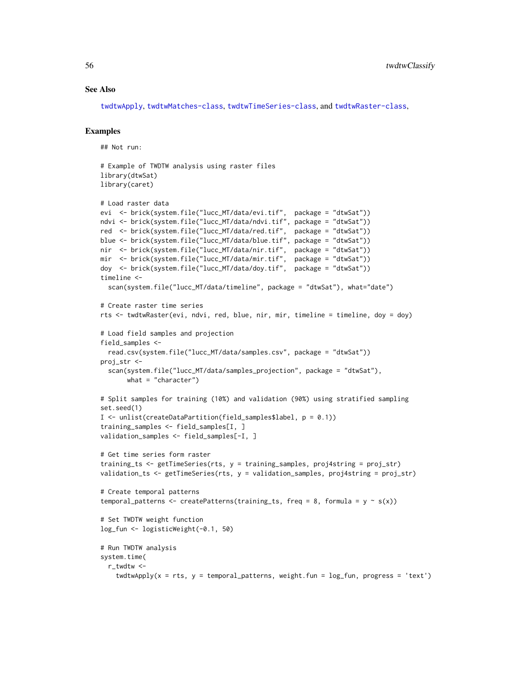### See Also

[twdtwApply](#page-42-0), [twdtwMatches-class](#page-61-0), [twdtwTimeSeries-class](#page-69-1), and [twdtwRaster-class](#page-64-0),

## Examples

## Not run:

```
# Example of TWDTW analysis using raster files
library(dtwSat)
library(caret)
# Load raster data
evi <- brick(system.file("lucc_MT/data/evi.tif", package = "dtwSat"))
ndvi <- brick(system.file("lucc_MT/data/ndvi.tif", package = "dtwSat"))
red <- brick(system.file("lucc_MT/data/red.tif", package = "dtwSat"))
blue <- brick(system.file("lucc_MT/data/blue.tif", package = "dtwSat"))
nir <- brick(system.file("lucc_MT/data/nir.tif", package = "dtwSat"))
mir <- brick(system.file("lucc_MT/data/mir.tif", package = "dtwSat"))
doy <- brick(system.file("lucc_MT/data/doy.tif", package = "dtwSat"))
timeline <-
  scan(system.file("lucc_MT/data/timeline", package = "dtwSat"), what="date")
# Create raster time series
rts <- twdtwRaster(evi, ndvi, red, blue, nir, mir, timeline = timeline, doy = doy)
# Load field samples and projection
field_samples <-
  read.csv(system.file("lucc_MT/data/samples.csv", package = "dtwSat"))
proj_str <-
  scan(system.file("lucc_MT/data/samples_projection", package = "dtwSat"),
       what = "character")
# Split samples for training (10%) and validation (90%) using stratified sampling
set.seed(1)
I <- unlist(createDataPartition(field_samples$label, p = 0.1))
training_samples <- field_samples[I, ]
validation_samples <- field_samples[-I, ]
# Get time series form raster
training_ts <- getTimeSeries(rts, y = training_samples, proj4string = proj_str)
validation_ts <- getTimeSeries(rts, y = validation_samples, proj4string = proj_str)
# Create temporal patterns
temporal_patterns <- createPatterns(training_ts, freq = 8, formula = y \sim s(x))
# Set TWDTW weight function
log_fun <- logisticWeight(-0.1, 50)
# Run TWDTW analysis
system.time(
  r_twdtw <-
    twdtwApply(x = rts, y = temporal_{patterns}, weight.fun = log_{fun}, progress = 'text')
```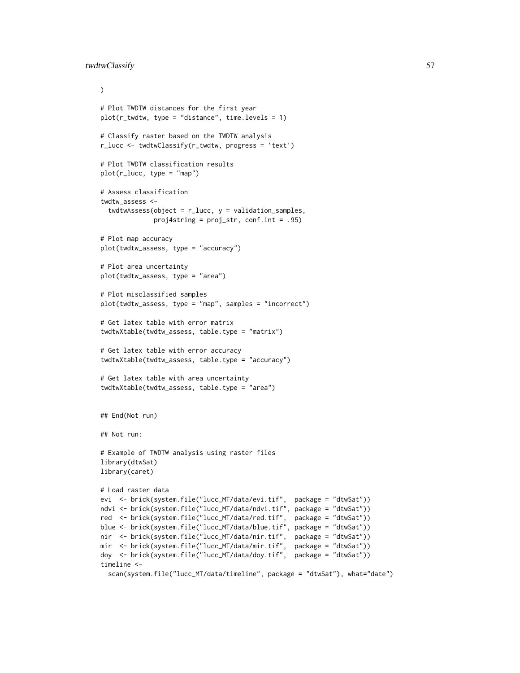```
\lambda# Plot TWDTW distances for the first year
plot(r_{text{wt}}wdtw, type = "distance", time.levels = 1)
# Classify raster based on the TWDTW analysis
r_lucc <- twdtwClassify(r_twdtw, progress = 'text')
# Plot TWDTW classification results
plot(r_lucc, type = "map")
# Assess classification
twdtw_assess <-
  twdtwAssess(object = r<sup>lucc</sup>, y = validation_samples,
              proj4string = proj_str, conf.int = .95)
# Plot map accuracy
plot(twdtw_assess, type = "accuracy")
# Plot area uncertainty
plot(twdtw_assess, type = "area")
# Plot misclassified samples
plot(twdtw_assess, type = "map", samples = "incorrect")
# Get latex table with error matrix
twdtwXtable(twdtw_assess, table.type = "matrix")
# Get latex table with error accuracy
twdtwXtable(twdtw_assess, table.type = "accuracy")
# Get latex table with area uncertainty
twdtwXtable(twdtw_assess, table.type = "area")
## End(Not run)
## Not run:
# Example of TWDTW analysis using raster files
library(dtwSat)
library(caret)
# Load raster data
evi <- brick(system.file("lucc_MT/data/evi.tif", package = "dtwSat"))
ndvi <- brick(system.file("lucc_MT/data/ndvi.tif", package = "dtwSat"))
red <- brick(system.file("lucc_MT/data/red.tif", package = "dtwSat"))
blue <- brick(system.file("lucc_MT/data/blue.tif", package = "dtwSat"))
nir <- brick(system.file("lucc_MT/data/nir.tif", package = "dtwSat"))
mir <- brick(system.file("lucc_MT/data/mir.tif", package = "dtwSat"))
doy <- brick(system.file("lucc_MT/data/doy.tif", package = "dtwSat"))
timeline <-
  scan(system.file("lucc_MT/data/timeline", package = "dtwSat"), what="date")
```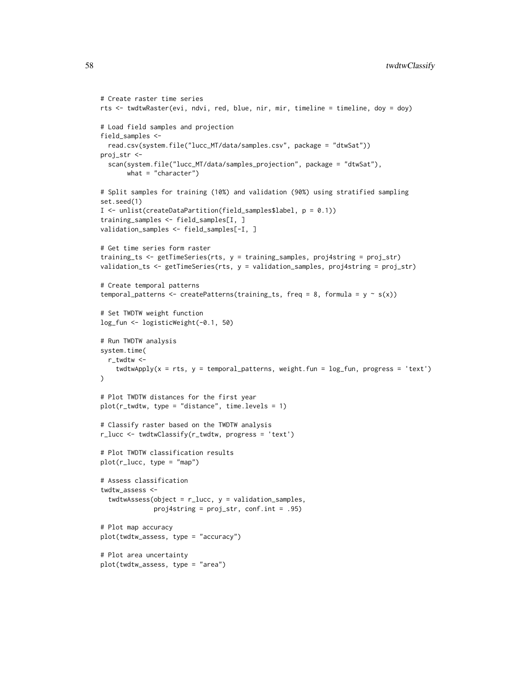```
# Create raster time series
rts <- twdtwRaster(evi, ndvi, red, blue, nir, mir, timeline = timeline, doy = doy)
# Load field samples and projection
field_samples <-
  read.csv(system.file("lucc_MT/data/samples.csv", package = "dtwSat"))
proj_str <-
  scan(system.file("lucc_MT/data/samples_projection", package = "dtwSat"),
       what = "character")
# Split samples for training (10%) and validation (90%) using stratified sampling
set.seed(1)
I <- unlist(createDataPartition(field_samples$label, p = 0.1))
training_samples <- field_samples[I, ]
validation_samples <- field_samples[-I, ]
# Get time series form raster
training_ts <- getTimeSeries(rts, y = training_samples, proj4string = proj_str)
validation_ts <- getTimeSeries(rts, y = validation_samples, proj4string = proj_str)
# Create temporal patterns
temporal_patterns <- createPatterns(training_ts, freq = 8, formula = y \sim s(x))
# Set TWDTW weight function
log_fun <- logisticWeight(-0.1, 50)
# Run TWDTW analysis
system.time(
 r_twdtw <-
    twdtwApply(x = rts, y = temporal_{pattern}, weight.fun = log_fun, progress = 'text')
\lambda# Plot TWDTW distances for the first year
plot(r_{text{wt}}wdtw, type = "distance", time.levels = 1)
# Classify raster based on the TWDTW analysis
r_lucc <- twdtwClassify(r_twdtw, progress = 'text')
# Plot TWDTW classification results
plot(r_lucc, type = "map")
# Assess classification
twdtw_assess <-
  twdtwAssess(object = r<sup>lucc</sup>, y = validation_samples,
              proj4string = proj_str, conf.int = .95)
# Plot map accuracy
plot(twdtw_assess, type = "accuracy")
# Plot area uncertainty
plot(twdtw_assess, type = "area")
```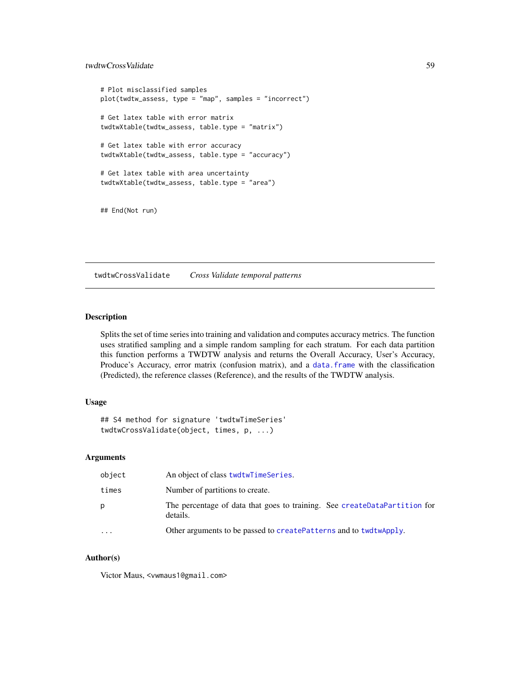## twdtwCrossValidate 59

```
# Plot misclassified samples
plot(twdtw_assess, type = "map", samples = "incorrect")
# Get latex table with error matrix
twdtwXtable(twdtw_assess, table.type = "matrix")
# Get latex table with error accuracy
twdtwXtable(twdtw_assess, table.type = "accuracy")
# Get latex table with area uncertainty
twdtwXtable(twdtw_assess, table.type = "area")
## End(Not run)
```
twdtwCrossValidate *Cross Validate temporal patterns*

## Description

Splits the set of time series into training and validation and computes accuracy metrics. The function uses stratified sampling and a simple random sampling for each stratum. For each data partition this function performs a TWDTW analysis and returns the Overall Accuracy, User's Accuracy, Produce's Accuracy, error matrix (confusion matrix), and a [data.frame](#page-0-0) with the classification (Predicted), the reference classes (Reference), and the results of the TWDTW analysis.

## Usage

```
## S4 method for signature 'twdtwTimeSeries'
twdtwCrossValidate(object, times, p, ...)
```
## Arguments

| object    | An object of class twdtwTimeSeries.                                                   |
|-----------|---------------------------------------------------------------------------------------|
| times     | Number of partitions to create.                                                       |
| p         | The percentage of data that goes to training. See createDataPartition for<br>details. |
| $\ddotsc$ | Other arguments to be passed to createPatterns and to twdtwApply.                     |
|           |                                                                                       |

## Author(s)

Victor Maus, <vwmaus1@gmail.com>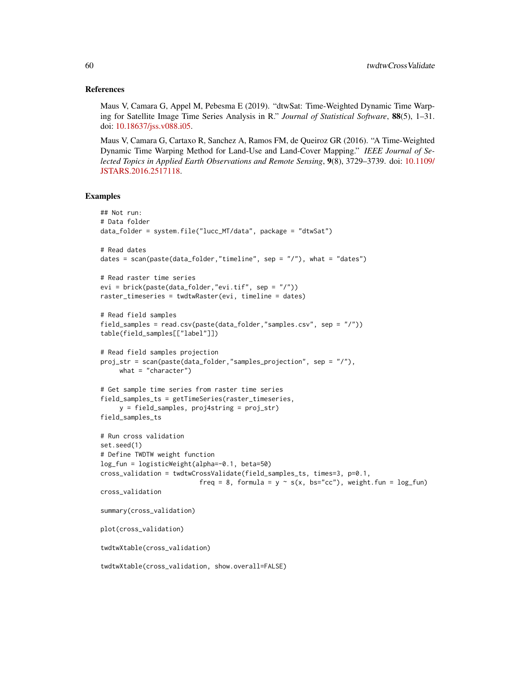#### References

Maus V, Camara G, Appel M, Pebesma E (2019). "dtwSat: Time-Weighted Dynamic Time Warping for Satellite Image Time Series Analysis in R." *Journal of Statistical Software*, 88(5), 1–31. doi: [10.18637/jss.v088.i05.](https://doi.org/10.18637/jss.v088.i05)

Maus V, Camara G, Cartaxo R, Sanchez A, Ramos FM, de Queiroz GR (2016). "A Time-Weighted Dynamic Time Warping Method for Land-Use and Land-Cover Mapping." *IEEE Journal of Selected Topics in Applied Earth Observations and Remote Sensing*, 9(8), 3729–3739. doi: [10.1109/](https://doi.org/10.1109/JSTARS.2016.2517118) [JSTARS.2016.2517118.](https://doi.org/10.1109/JSTARS.2016.2517118)

```
## Not run:
# Data folder
data_folder = system.file("lucc_MT/data", package = "dtwSat")
# Read dates
dates = scan(paste(data_folder,"timeline", sep = "/"), what = "dates")
# Read raster time series
evi = brick(paste(data_folder,"evi.tif", sep = "/"))
raster_timeseries = twdtwRaster(evi, timeline = dates)
# Read field samples
field_samples = read.csv(paste(data_folder,"samples.csv", sep = "/"))
table(field_samples[["label"]])
# Read field samples projection
proj_str = scan(paste(data_folder,"samples_projection", sep = "/"),
     what = "character")# Get sample time series from raster time series
field_samples_ts = getTimeSeries(raster_timeseries,
     y = field_samples, proj4string = proj_str)
field_samples_ts
# Run cross validation
set.seed(1)
# Define TWDTW weight function
log_fun = logisticWeight(alpha=-0.1, beta=50)
cross_validation = twdtwCrossValidate(field_samples_ts, times=3, p=0.1,
                          freq = 8, formula = y \sim s(x, bs="cc"), weight.fun = log_fun)
cross_validation
summary(cross_validation)
plot(cross_validation)
twdtwXtable(cross_validation)
twdtwXtable(cross_validation, show.overall=FALSE)
```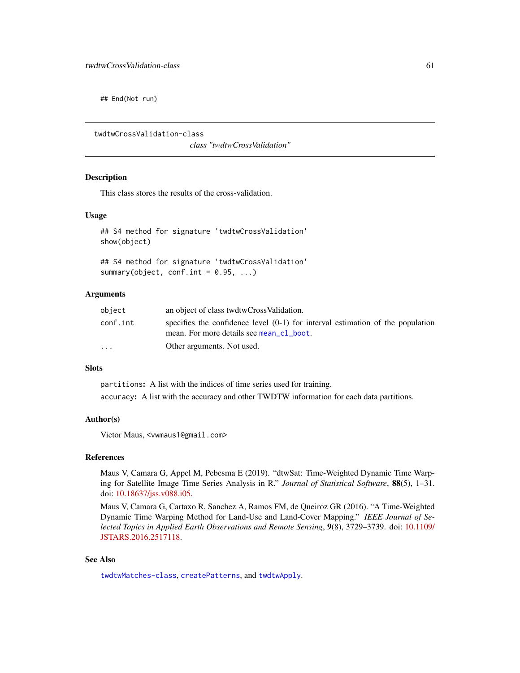## End(Not run)

twdtwCrossValidation-class

*class "twdtwCrossValidation"*

## **Description**

This class stores the results of the cross-validation.

## Usage

```
## S4 method for signature 'twdtwCrossValidation'
show(object)
```
## S4 method for signature 'twdtwCrossValidation' summary(object, conf.int =  $0.95, ...$ )

## Arguments

| object   | an object of class twdtwCrossValidation.                                                                                     |
|----------|------------------------------------------------------------------------------------------------------------------------------|
| conf.int | specifies the confidence level $(0-1)$ for interval estimation of the population<br>mean. For more details see mean_cl_boot. |
| $\cdot$  | Other arguments. Not used.                                                                                                   |

### Slots

partitions: A list with the indices of time series used for training. accuracy: A list with the accuracy and other TWDTW information for each data partitions.

## Author(s)

Victor Maus, <vwmaus1@gmail.com>

#### References

Maus V, Camara G, Appel M, Pebesma E (2019). "dtwSat: Time-Weighted Dynamic Time Warping for Satellite Image Time Series Analysis in R." *Journal of Statistical Software*, 88(5), 1–31. doi: [10.18637/jss.v088.i05.](https://doi.org/10.18637/jss.v088.i05)

Maus V, Camara G, Cartaxo R, Sanchez A, Ramos FM, de Queiroz GR (2016). "A Time-Weighted Dynamic Time Warping Method for Land-Use and Land-Cover Mapping." *IEEE Journal of Selected Topics in Applied Earth Observations and Remote Sensing*, 9(8), 3729–3739. doi: [10.1109/](https://doi.org/10.1109/JSTARS.2016.2517118) [JSTARS.2016.2517118.](https://doi.org/10.1109/JSTARS.2016.2517118)

### See Also

[twdtwMatches-class](#page-61-0), [createPatterns](#page-2-0), and [twdtwApply](#page-42-0).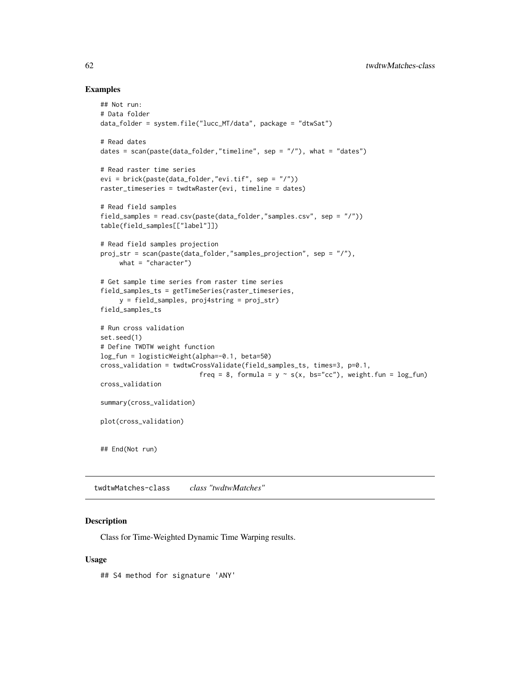## Examples

```
## Not run:
# Data folder
data_folder = system.file("lucc_MT/data", package = "dtwSat")
# Read dates
dates = scan(paste(data_folder,"timeline", sep = "/"), what = "dates")
# Read raster time series
evi = brick(paste(data_folder,"evi.tif", sep = "/"))
raster_timeseries = twdtwRaster(evi, timeline = dates)
# Read field samples
field_samples = read.csv(paste(data_folder,"samples.csv", sep = "/"))
table(field_samples[["label"]])
# Read field samples projection
proj_str = scan(paste(data_folder,"samples_projection", sep = "/"),
     what = "character")
# Get sample time series from raster time series
field_samples_ts = getTimeSeries(raster_timeseries,
     y = field_samples, proj4string = proj_str)
field_samples_ts
# Run cross validation
set.seed(1)
# Define TWDTW weight function
log_fun = logisticWeight(alpha=-0.1, beta=50)
cross_validation = twdtwCrossValidate(field_samples_ts, times=3, p=0.1,
                          freq = 8, formula = y \sim s(x, bs="cc"), weight.fun = log_fun)
cross_validation
summary(cross_validation)
plot(cross_validation)
## End(Not run)
```
<span id="page-61-0"></span>twdtwMatches-class *class "twdtwMatches"*

## <span id="page-61-1"></span>Description

Class for Time-Weighted Dynamic Time Warping results.

### Usage

## S4 method for signature 'ANY'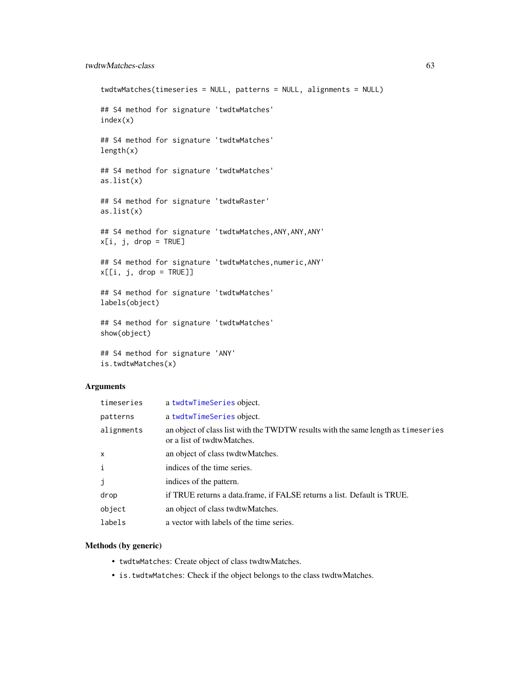## twdtwMatches-class 63

```
twdtwMatches(timeseries = NULL, patterns = NULL, alignments = NULL)
## S4 method for signature 'twdtwMatches'
index(x)
## S4 method for signature 'twdtwMatches'
length(x)
## S4 method for signature 'twdtwMatches'
as.list(x)
## S4 method for signature 'twdtwRaster'
as.list(x)
## S4 method for signature 'twdtwMatches,ANY,ANY,ANY'
x[i, j, drop = TRUE]## S4 method for signature 'twdtwMatches,numeric,ANY'
x[[i, j, drop = TRUE]]## S4 method for signature 'twdtwMatches'
labels(object)
## S4 method for signature 'twdtwMatches'
show(object)
```
## S4 method for signature 'ANY' is.twdtwMatches(x)

## Arguments

| timeseries   | a twdtwTimeSeries object.                                                                                       |
|--------------|-----------------------------------------------------------------------------------------------------------------|
| patterns     | a twdtwTimeSeries object.                                                                                       |
| alignments   | an object of class list with the TWDTW results with the same length as timeseries<br>or a list of twdtwMatches. |
| $\mathsf{x}$ | an object of class twdtwMatches.                                                                                |
| $\mathbf{i}$ | indices of the time series.                                                                                     |
| j            | indices of the pattern.                                                                                         |
| drop         | if TRUE returns a data.frame, if FALSE returns a list. Default is TRUE.                                         |
| object       | an object of class twdtwMatches.                                                                                |
| labels       | a vector with labels of the time series.                                                                        |

## Methods (by generic)

- twdtwMatches: Create object of class twdtwMatches.
- is.twdtwMatches: Check if the object belongs to the class twdtwMatches.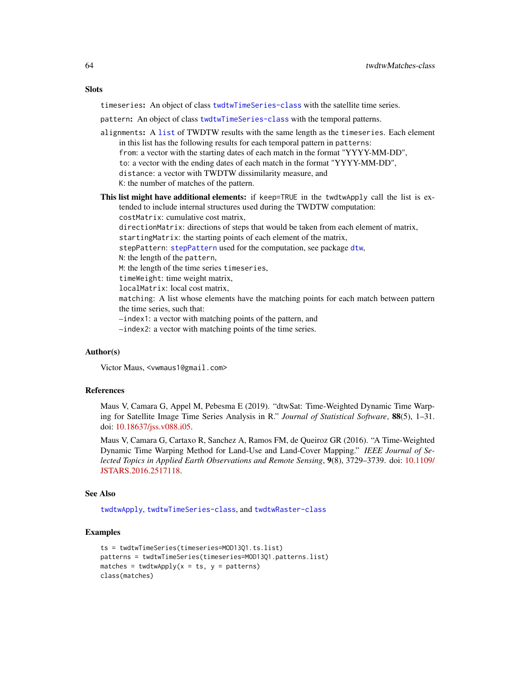#### **Slots**

timeseries: An object of class [twdtwTimeSeries-class](#page-69-1) with the satellite time series.

pattern: An object of class [twdtwTimeSeries-class](#page-69-1) with the temporal patterns.

- alignments: A [list](#page-0-0) of TWDTW results with the same length as the timeseries. Each element in this list has the following results for each temporal pattern in patterns: from: a vector with the starting dates of each match in the format "YYYY-MM-DD", to: a vector with the ending dates of each match in the format "YYYY-MM-DD", distance: a vector with TWDTW dissimilarity measure, and K: the number of matches of the pattern.
- This list might have additional elements: if keep=TRUE in the twdtwApply call the list is extended to include internal structures used during the TWDTW computation: costMatrix: cumulative cost matrix, directionMatrix: directions of steps that would be taken from each element of matrix, startingMatrix: the starting points of each element of the matrix, stepPattern: [stepPattern](#page-0-0) used for the computation, see package [dtw](#page-0-0), N: the length of the pattern, M: the length of the time series timeseries, timeWeight: time weight matrix, localMatrix: local cost matrix, matching: A list whose elements have the matching points for each match between pattern the time series, such that: –index1: a vector with matching points of the pattern, and –index2: a vector with matching points of the time series.

#### Author(s)

Victor Maus, <vwmaus1@gmail.com>

### References

Maus V, Camara G, Appel M, Pebesma E (2019). "dtwSat: Time-Weighted Dynamic Time Warping for Satellite Image Time Series Analysis in R." *Journal of Statistical Software*, 88(5), 1–31. doi: [10.18637/jss.v088.i05.](https://doi.org/10.18637/jss.v088.i05)

Maus V, Camara G, Cartaxo R, Sanchez A, Ramos FM, de Queiroz GR (2016). "A Time-Weighted Dynamic Time Warping Method for Land-Use and Land-Cover Mapping." *IEEE Journal of Selected Topics in Applied Earth Observations and Remote Sensing*, 9(8), 3729–3739. doi: [10.1109/](https://doi.org/10.1109/JSTARS.2016.2517118) [JSTARS.2016.2517118.](https://doi.org/10.1109/JSTARS.2016.2517118)

#### See Also

[twdtwApply](#page-42-0), [twdtwTimeSeries-class](#page-69-1), and [twdtwRaster-class](#page-64-0)

```
ts = twdtwTimeSeries(timeseries=MOD13Q1.ts.list)
patterns = twdtwTimeSeries(timeseries=MOD13Q1.patterns.list)
matches = twdtwApply(x = ts, y = patterns)
class(matches)
```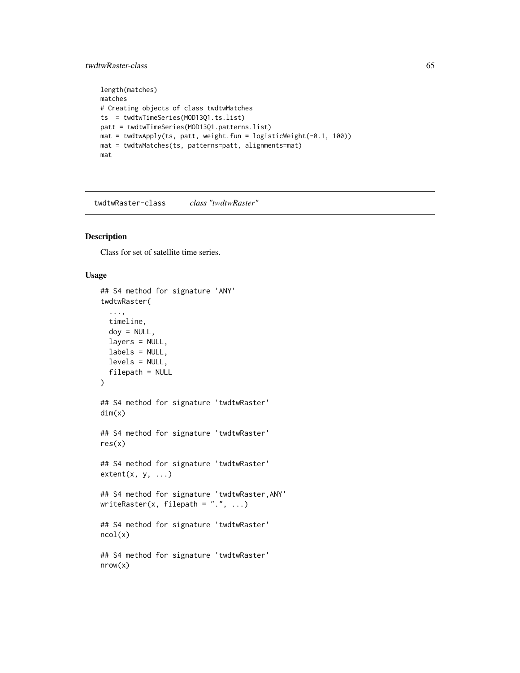## twdtwRaster-class 65

```
length(matches)
matches
# Creating objects of class twdtwMatches
ts = twdtwTimeSeries(MOD13Q1.ts.list)
patt = twdtwTimeSeries(MOD13Q1.patterns.list)
mat = twdtwApply(ts, patt, weight.fun = logisticWeight(-0.1, 100))
mat = twdtwMatches(ts, patterns=patt, alignments=mat)
mat
```
<span id="page-64-0"></span>twdtwRaster-class *class "twdtwRaster"*

## <span id="page-64-1"></span>Description

Class for set of satellite time series.

## Usage

```
## S4 method for signature 'ANY'
twdtwRaster(
  ...,
  timeline,
  \text{doy} = \text{NULL},
  layers = NULL,
  labels = NULL,
  levels = NULL,
  filepath = NULL)
## S4 method for signature 'twdtwRaster'
dim(x)
## S4 method for signature 'twdtwRaster'
res(x)
## S4 method for signature 'twdtwRaster'
extent(x, y, ...)## S4 method for signature 'twdtwRaster,ANY'
writeRaster(x, filepath = ".", ...)
## S4 method for signature 'twdtwRaster'
ncol(x)
## S4 method for signature 'twdtwRaster'
nrow(x)
```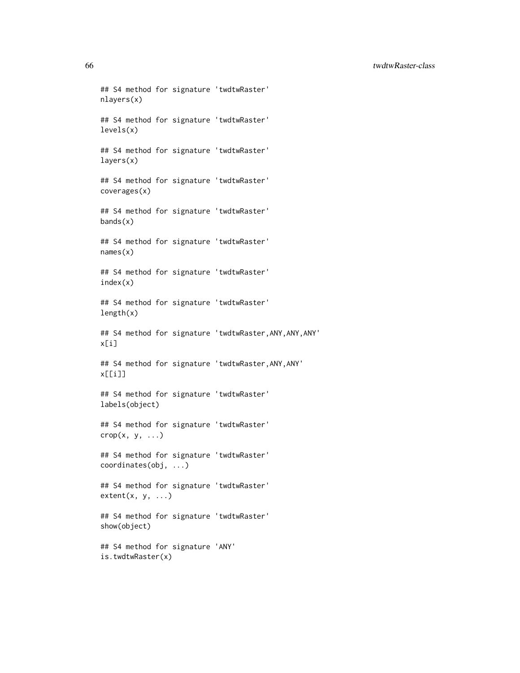66 twdtwRaster-class

## S4 method for signature 'twdtwRaster' nlayers(x) ## S4 method for signature 'twdtwRaster' levels(x) ## S4 method for signature 'twdtwRaster' layers(x) ## S4 method for signature 'twdtwRaster' coverages(x) ## S4 method for signature 'twdtwRaster'  $bands(x)$ ## S4 method for signature 'twdtwRaster' names(x) ## S4 method for signature 'twdtwRaster' index(x) ## S4 method for signature 'twdtwRaster' length(x) ## S4 method for signature 'twdtwRaster, ANY, ANY, ANY' x[i] ## S4 method for signature 'twdtwRaster,ANY,ANY' x[[i]] ## S4 method for signature 'twdtwRaster' labels(object) ## S4 method for signature 'twdtwRaster'  $\text{crop}(x, y, \ldots)$ ## S4 method for signature 'twdtwRaster' coordinates(obj, ...) ## S4 method for signature 'twdtwRaster'  $extent(x, y, ...)$ ## S4 method for signature 'twdtwRaster' show(object) ## S4 method for signature 'ANY'

is.twdtwRaster(x)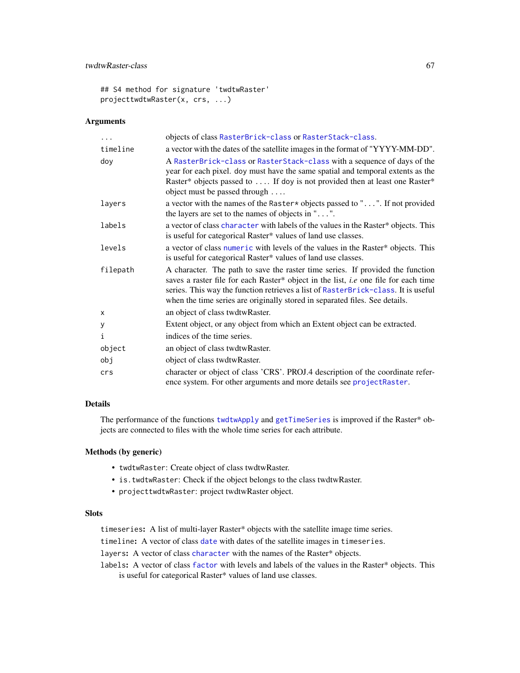## twdtwRaster-class 67

## S4 method for signature 'twdtwRaster' projecttwdtwRaster(x, crs, ...)

## Arguments

| .        | objects of class RasterBrick-class or RasterStack-class.                                                                                                                                                                                                                                                                                         |
|----------|--------------------------------------------------------------------------------------------------------------------------------------------------------------------------------------------------------------------------------------------------------------------------------------------------------------------------------------------------|
| timeline | a vector with the dates of the satellite images in the format of "YYYY-MM-DD".                                                                                                                                                                                                                                                                   |
| doy      | A RasterBrick-class or RasterStack-class with a sequence of days of the<br>year for each pixel. doy must have the same spatial and temporal extents as the<br>Raster* objects passed to  If doy is not provided then at least one Raster*<br>object must be passed through                                                                       |
| layers   | a vector with the names of the Raster* objects passed to "". If not provided<br>the layers are set to the names of objects in $" \dots"$ .                                                                                                                                                                                                       |
| labels   | a vector of class character with labels of the values in the Raster* objects. This<br>is useful for categorical Raster* values of land use classes.                                                                                                                                                                                              |
| levels   | a vector of class numeric with levels of the values in the Raster* objects. This<br>is useful for categorical Raster* values of land use classes.                                                                                                                                                                                                |
| filepath | A character. The path to save the raster time series. If provided the function<br>saves a raster file for each Raster* object in the list, <i>i.e</i> one file for each time<br>series. This way the function retrieves a list of RasterBrick-class. It is useful<br>when the time series are originally stored in separated files. See details. |
| X        | an object of class twdtwRaster.                                                                                                                                                                                                                                                                                                                  |
| у        | Extent object, or any object from which an Extent object can be extracted.                                                                                                                                                                                                                                                                       |
| i        | indices of the time series.                                                                                                                                                                                                                                                                                                                      |
| object   | an object of class twdtwRaster.                                                                                                                                                                                                                                                                                                                  |
| obj      | object of class twdtwRaster.                                                                                                                                                                                                                                                                                                                     |
| crs      | character or object of class 'CRS'. PROJ.4 description of the coordinate refer-<br>ence system. For other arguments and more details see projectRaster.                                                                                                                                                                                          |

## Details

The performance of the functions [twdtwApply](#page-42-0) and [getTimeSeries](#page-7-0) is improved if the Raster\* objects are connected to files with the whole time series for each attribute.

## Methods (by generic)

- twdtwRaster: Create object of class twdtwRaster.
- is.twdtwRaster: Check if the object belongs to the class twdtwRaster.
- projecttwdtwRaster: project twdtwRaster object.

## Slots

timeseries: A list of multi-layer Raster\* objects with the satellite image time series.

timeline: A vector of class [date](#page-0-0) with dates of the satellite images in timeseries.

layers: A vector of class [character](#page-0-0) with the names of the Raster\* objects.

labels: A vector of class [factor](#page-0-0) with levels and labels of the values in the Raster\* objects. This is useful for categorical Raster\* values of land use classes.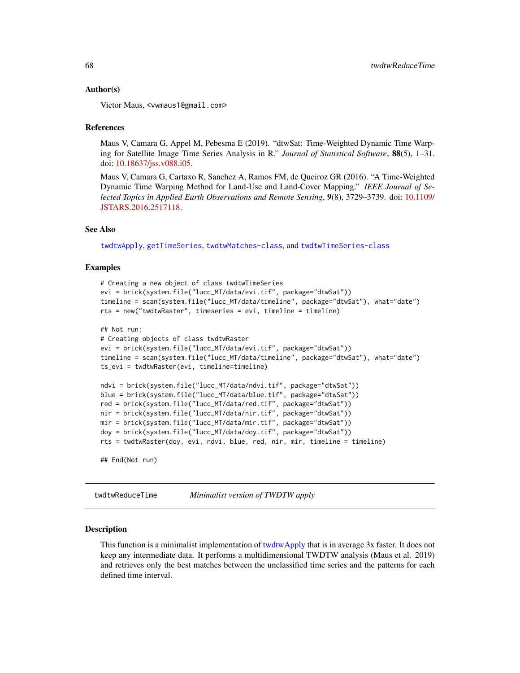#### Author(s)

Victor Maus, <vwmaus1@gmail.com>

#### References

Maus V, Camara G, Appel M, Pebesma E (2019). "dtwSat: Time-Weighted Dynamic Time Warping for Satellite Image Time Series Analysis in R." *Journal of Statistical Software*, 88(5), 1–31. doi: [10.18637/jss.v088.i05.](https://doi.org/10.18637/jss.v088.i05)

Maus V, Camara G, Cartaxo R, Sanchez A, Ramos FM, de Queiroz GR (2016). "A Time-Weighted Dynamic Time Warping Method for Land-Use and Land-Cover Mapping." *IEEE Journal of Selected Topics in Applied Earth Observations and Remote Sensing*, 9(8), 3729–3739. doi: [10.1109/](https://doi.org/10.1109/JSTARS.2016.2517118) [JSTARS.2016.2517118.](https://doi.org/10.1109/JSTARS.2016.2517118)

## See Also

[twdtwApply](#page-42-0), [getTimeSeries](#page-7-0), [twdtwMatches-class](#page-61-0), and [twdtwTimeSeries-class](#page-69-1)

### Examples

```
# Creating a new object of class twdtwTimeSeries
evi = brick(system.file("lucc_MT/data/evi.tif", package="dtwSat"))
timeline = scan(system.file("lucc_MT/data/timeline", package="dtwSat"), what="date")
rts = new("twdtwRaster", timeseries = evi, timeline = timeline)
## Not run:
# Creating objects of class twdtwRaster
evi = brick(system.file("lucc_MT/data/evi.tif", package="dtwSat"))
timeline = scan(system.file("lucc_MT/data/timeline", package="dtwSat"), what="date")
ts_evi = twdtwRaster(evi, timeline=timeline)
ndvi = brick(system.file("lucc_MT/data/ndvi.tif", package="dtwSat"))
blue = brick(system.file("lucc_MT/data/blue.tif", package="dtwSat"))
red = brick(system.file("lucc_MT/data/red.tif", package="dtwSat"))
nir = brick(system.file("lucc_MT/data/nir.tif", package="dtwSat"))
mir = brick(system.file("lucc_MT/data/mir.tif", package="dtwSat"))
doy = brick(system.file("lucc_MT/data/doy.tif", package="dtwSat"))
rts = twdtwRaster(doy, evi, ndvi, blue, red, nir, mir, timeline = timeline)
## End(Not run)
```
twdtwReduceTime *Minimalist version of TWDTW apply*

#### Description

This function is a minimalist implementation of [twdtwApply](#page-42-0) that is in average 3x faster. It does not keep any intermediate data. It performs a multidimensional TWDTW analysis (Maus et al. 2019) and retrieves only the best matches between the unclassified time series and the patterns for each defined time interval.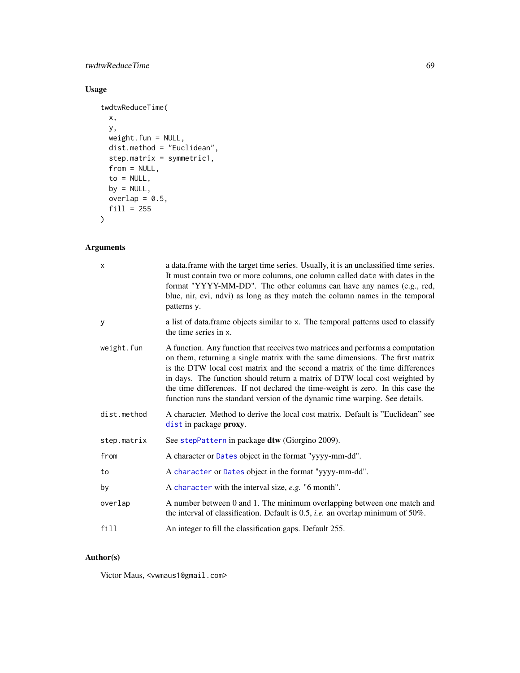# twdtwReduceTime 69

# Usage

```
twdtwReduceTime(
 x,
 y,
 weight.fun = NULL,
 dist.method = "Euclidean",
 step.matrix = symmetric1,
 from = NULL,
 to = NULL,
 by = NULL,
 overlap = 0.5,
 fill = 255)
```
# Arguments

| X           | a data. frame with the target time series. Usually, it is an unclassified time series.<br>It must contain two or more columns, one column called date with dates in the<br>format "YYYY-MM-DD". The other columns can have any names (e.g., red,<br>blue, nir, evi, ndvi) as long as they match the column names in the temporal<br>patterns y.                                                                                                                                                  |
|-------------|--------------------------------------------------------------------------------------------------------------------------------------------------------------------------------------------------------------------------------------------------------------------------------------------------------------------------------------------------------------------------------------------------------------------------------------------------------------------------------------------------|
| У           | a list of data.frame objects similar to x. The temporal patterns used to classify<br>the time series in x.                                                                                                                                                                                                                                                                                                                                                                                       |
| weight.fun  | A function. Any function that receives two matrices and performs a computation<br>on them, returning a single matrix with the same dimensions. The first matrix<br>is the DTW local cost matrix and the second a matrix of the time differences<br>in days. The function should return a matrix of DTW local cost weighted by<br>the time differences. If not declared the time-weight is zero. In this case the<br>function runs the standard version of the dynamic time warping. See details. |
| dist.method | A character. Method to derive the local cost matrix. Default is "Euclidean" see<br>dist in package proxy.                                                                                                                                                                                                                                                                                                                                                                                        |
| step.matrix | See stepPattern in package dtw (Giorgino 2009).                                                                                                                                                                                                                                                                                                                                                                                                                                                  |
| from        | A character or Dates object in the format "yyyy-mm-dd".                                                                                                                                                                                                                                                                                                                                                                                                                                          |
| to          | A character or Dates object in the format "yyyy-mm-dd".                                                                                                                                                                                                                                                                                                                                                                                                                                          |
| by          | A character with the interval size, $e.g.$ "6 month".                                                                                                                                                                                                                                                                                                                                                                                                                                            |
| overlap     | A number between 0 and 1. The minimum overlapping between one match and<br>the interval of classification. Default is $0.5$ , <i>i.e.</i> an overlap minimum of $50\%$ .                                                                                                                                                                                                                                                                                                                         |
| fill        | An integer to fill the classification gaps. Default 255.                                                                                                                                                                                                                                                                                                                                                                                                                                         |

# Author(s)

Victor Maus, <vwmaus1@gmail.com>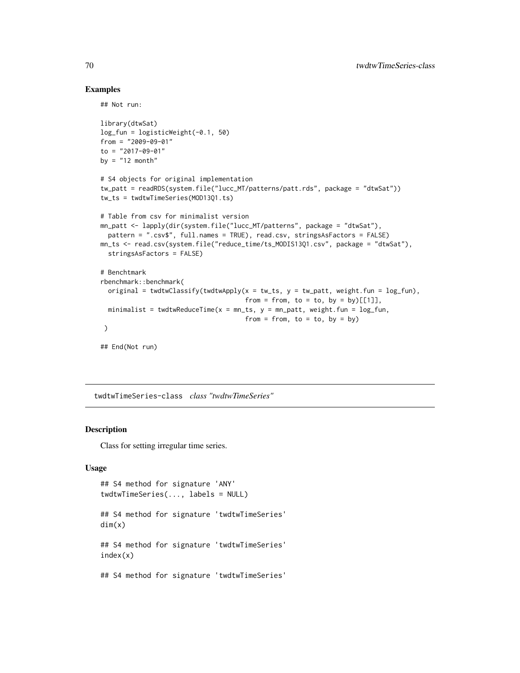## Examples

## Not run:

```
library(dtwSat)
log_fun = logisticWeight(-0.1, 50)
from = "2009-09-01"
to = "2017-09-01"
by = "12 month"
# S4 objects for original implementation
tw_patt = readRDS(system.file("lucc_MT/patterns/patt.rds", package = "dtwSat"))
tw_ts = twdtwTimeSeries(MOD13Q1.ts)
# Table from csv for minimalist version
mn_patt <- lapply(dir(system.file("lucc_MT/patterns", package = "dtwSat"),
  pattern = ".csv$", full.names = TRUE), read.csv, stringsAsFactors = FALSE)
mn_ts <- read.csv(system.file("reduce_time/ts_MODIS13Q1.csv", package = "dtwSat"),
  stringsAsFactors = FALSE)
# Benchtmark
rbenchmark::benchmark(
  original = twdtwClassify(twdtwApply(x = tw_ts, y = tw_patt, weight.fun = log_ffun),
                                      from = from, to = to, by = by)[1],
  minimalist = twdtwReduceTime(x = mn_{1}ts, y = mn_{2}patt, weight.fun = log_fun,
                                      from = from, to = to, by = by)
 )
## End(Not run)
```
<span id="page-69-1"></span>twdtwTimeSeries-class *class "twdtwTimeSeries"*

## <span id="page-69-0"></span>Description

Class for setting irregular time series.

## Usage

```
## S4 method for signature 'ANY'
twdtwTimeSeries(..., labels = NULL)
## S4 method for signature 'twdtwTimeSeries'
dim(x)
## S4 method for signature 'twdtwTimeSeries'
index(x)
## S4 method for signature 'twdtwTimeSeries'
```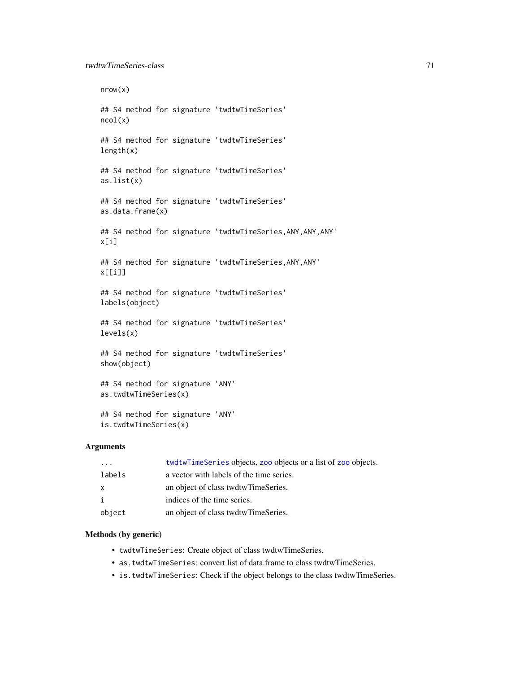nrow(x) ## S4 method for signature 'twdtwTimeSeries' ncol(x) ## S4 method for signature 'twdtwTimeSeries' length(x) ## S4 method for signature 'twdtwTimeSeries' as.list(x) ## S4 method for signature 'twdtwTimeSeries' as.data.frame(x) ## S4 method for signature 'twdtwTimeSeries,ANY,ANY,ANY' x[i] ## S4 method for signature 'twdtwTimeSeries,ANY,ANY' x[[i]] ## S4 method for signature 'twdtwTimeSeries' labels(object) ## S4 method for signature 'twdtwTimeSeries' levels(x) ## S4 method for signature 'twdtwTimeSeries' show(object) ## S4 method for signature 'ANY' as.twdtwTimeSeries(x) ## S4 method for signature 'ANY' is.twdtwTimeSeries(x)

## Arguments

| $\cdot$ $\cdot$ $\cdot$ | twdtwTimeSeries objects, zoo objects or a list of zoo objects. |
|-------------------------|----------------------------------------------------------------|
| labels                  | a vector with labels of the time series.                       |
| $\mathsf{x}$            | an object of class twdtwTimeSeries.                            |
| i                       | indices of the time series.                                    |
| object                  | an object of class twdtwTimeSeries.                            |

## Methods (by generic)

- twdtwTimeSeries: Create object of class twdtwTimeSeries.
- as.twdtwTimeSeries: convert list of data.frame to class twdtwTimeSeries.
- is.twdtwTimeSeries: Check if the object belongs to the class twdtwTimeSeries.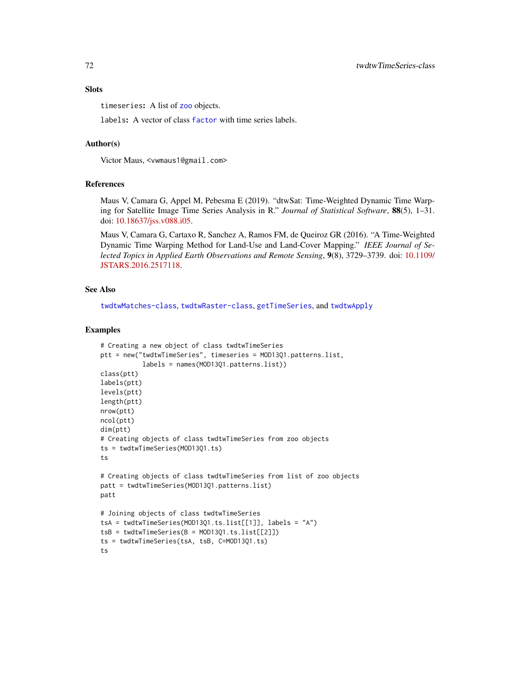timeseries: A list of [zoo](#page-0-0) objects.

labels: A vector of class [factor](#page-0-0) with time series labels.

### Author(s)

Victor Maus, <vwmaus1@gmail.com>

### References

Maus V, Camara G, Appel M, Pebesma E (2019). "dtwSat: Time-Weighted Dynamic Time Warping for Satellite Image Time Series Analysis in R." *Journal of Statistical Software*, 88(5), 1–31. doi: [10.18637/jss.v088.i05.](https://doi.org/10.18637/jss.v088.i05)

Maus V, Camara G, Cartaxo R, Sanchez A, Ramos FM, de Queiroz GR (2016). "A Time-Weighted Dynamic Time Warping Method for Land-Use and Land-Cover Mapping." *IEEE Journal of Selected Topics in Applied Earth Observations and Remote Sensing*, 9(8), 3729–3739. doi: [10.1109/](https://doi.org/10.1109/JSTARS.2016.2517118) [JSTARS.2016.2517118.](https://doi.org/10.1109/JSTARS.2016.2517118)

## See Also

[twdtwMatches-class](#page-61-0), [twdtwRaster-class](#page-64-0), [getTimeSeries](#page-7-0), and [twdtwApply](#page-42-0)

```
# Creating a new object of class twdtwTimeSeries
ptt = new("twdtwTimeSeries", timeseries = MOD13Q1.patterns.list,
           labels = names(MOD13Q1.patterns.list))
class(ptt)
labels(ptt)
levels(ptt)
length(ptt)
nrow(ptt)
ncol(ptt)
dim(ptt)
# Creating objects of class twdtwTimeSeries from zoo objects
ts = twdtwTimeSeries(MOD13Q1.ts)
ts
# Creating objects of class twdtwTimeSeries from list of zoo objects
patt = twdtwTimeSeries(MOD13Q1.patterns.list)
patt
# Joining objects of class twdtwTimeSeries
tsA = twdtwTimeSeries(MOD13Q1.ts.list[[1]], labels = "A")
tsB = twdtwTimeSeries(B = MOD13Q1.ts.list[[2]])ts = twdtwTimeSeries(tsA, tsB, C=MOD13Q1.ts)
ts
```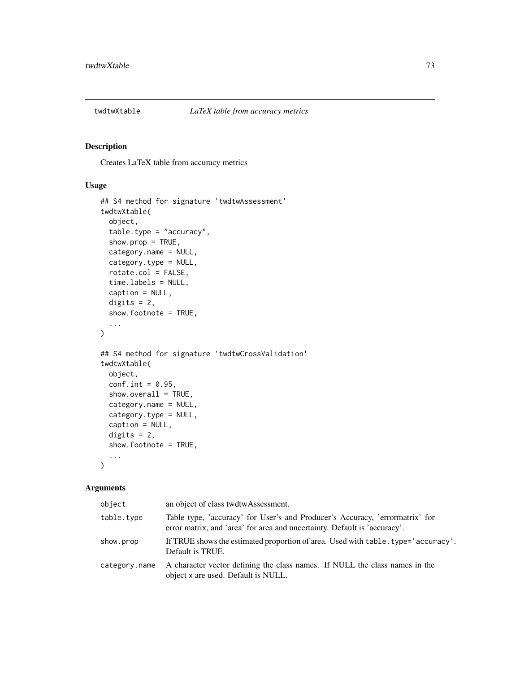<span id="page-72-0"></span>

# Description

Creates LaTeX table from accuracy metrics

## Usage

```
## S4 method for signature 'twdtwAssessment'
twdtwXtable(
 object,
  table.type = "accuracy",
  show.prop = TRUE,
 category.name = NULL,
 category.type = NULL,
  rotate.col = FALSE,
  time.labels = NULL,
  caption = NULL,
  digits = 2,
  show.footnote = TRUE,
  ...
\mathcal{L}## S4 method for signature 'twdtwCrossValidation'
twdtwXtable(
 object,
 conf.int = 0.95,
  show. overall = TRUE,category.name = NULL,
 category.type = NULL,
  caption = NULL,
 digits = 2,
  show.footnote = TRUE,
  ...
\mathcal{L}
```
## Arguments

| object        | an object of class twdtwAssessment.                                                                                                                       |
|---------------|-----------------------------------------------------------------------------------------------------------------------------------------------------------|
| table.type    | Table type, 'accuracy' for User's and Producer's Accuracy, 'errormatrix' for<br>error matrix, and 'area' for area and uncertainty. Default is 'accuracy'. |
| show.prop     | If TRUE shows the estimated proportion of area. Used with table . type='accuracy'.<br>Default is TRUE.                                                    |
| category.name | A character vector defining the class names. If NULL the class names in the<br>object x are used. Default is NULL.                                        |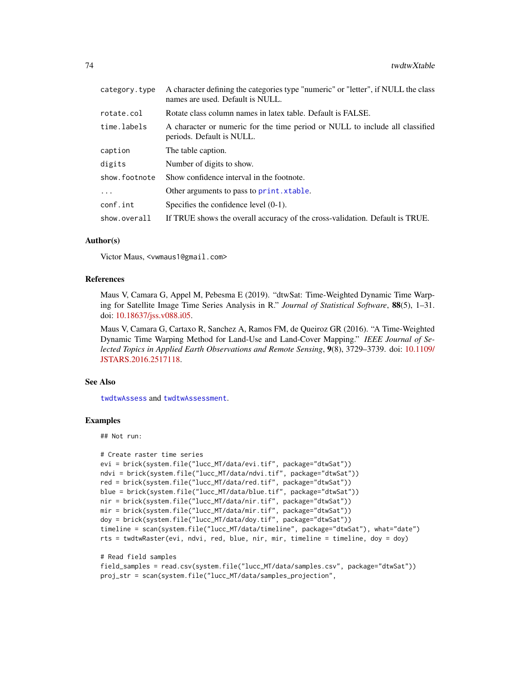<span id="page-73-0"></span>

| category.type | A character defining the categories type "numeric" or "letter", if NULL the class<br>names are used. Default is NULL. |
|---------------|-----------------------------------------------------------------------------------------------------------------------|
| rotate.col    | Rotate class column names in latex table. Default is FALSE.                                                           |
| time.labels   | A character or numeric for the time period or NULL to include all classified<br>periods. Default is NULL.             |
| caption       | The table caption.                                                                                                    |
| digits        | Number of digits to show.                                                                                             |
| show.footnote | Show confidence interval in the footnote.                                                                             |
| $\cdots$      | Other arguments to pass to print. xtable.                                                                             |
| conf.int      | Specifies the confidence level $(0-1)$ .                                                                              |
| show.overall  | If TRUE shows the overall accuracy of the cross-validation. Default is TRUE.                                          |

#### Author(s)

Victor Maus, <vwmaus1@gmail.com>

#### References

Maus V, Camara G, Appel M, Pebesma E (2019). "dtwSat: Time-Weighted Dynamic Time Warping for Satellite Image Time Series Analysis in R." *Journal of Statistical Software*, 88(5), 1–31. doi: [10.18637/jss.v088.i05.](https://doi.org/10.18637/jss.v088.i05)

Maus V, Camara G, Cartaxo R, Sanchez A, Ramos FM, de Queiroz GR (2016). "A Time-Weighted Dynamic Time Warping Method for Land-Use and Land-Cover Mapping." *IEEE Journal of Selected Topics in Applied Earth Observations and Remote Sensing*, 9(8), 3729–3739. doi: [10.1109/](https://doi.org/10.1109/JSTARS.2016.2517118) [JSTARS.2016.2517118.](https://doi.org/10.1109/JSTARS.2016.2517118)

## See Also

[twdtwAssess](#page-46-0) and [twdtwAssessment](#page-52-0).

### Examples

## Not run:

```
# Create raster time series
evi = brick(system.file("lucc_MT/data/evi.tif", package="dtwSat"))
ndvi = brick(system.file("lucc_MT/data/ndvi.tif", package="dtwSat"))
red = brick(system.file("lucc_MT/data/red.tif", package="dtwSat"))
blue = brick(system.file("lucc_MT/data/blue.tif", package="dtwSat"))
nir = brick(system.file("lucc_MT/data/nir.tif", package="dtwSat"))
mir = brick(system.file("lucc_MT/data/mir.tif", package="dtwSat"))
doy = brick(system.file("lucc_MT/data/doy.tif", package="dtwSat"))
timeline = scan(system.file("lucc_MT/data/timeline", package="dtwSat"), what="date")
rts = twdtwRaster(evi, ndvi, red, blue, nir, mir, timeline = timeline, doy = doy)
```

```
# Read field samples
field_samples = read.csv(system.file("lucc_MT/data/samples.csv", package="dtwSat"))
proj_str = scan(system.file("lucc_MT/data/samples_projection",
```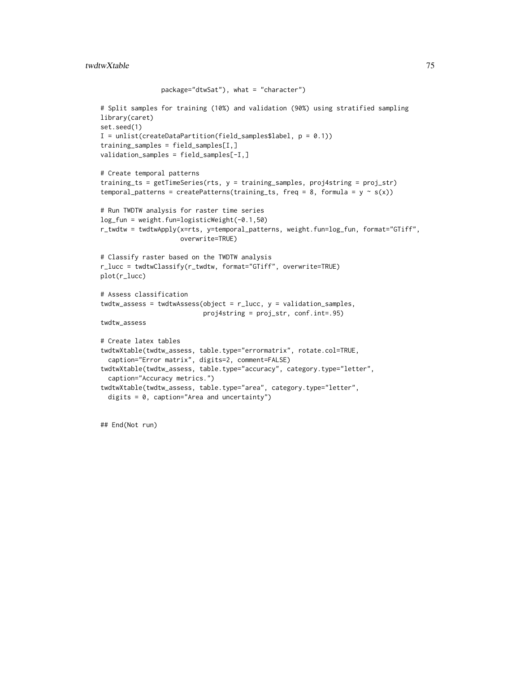```
package="dtwSat"), what = "character")
# Split samples for training (10%) and validation (90%) using stratified sampling
library(caret)
set.seed(1)
I = \text{unlist}(\text{createDataPartition}(\text{field\_samples$label}, p = 0.1))training_samples = field_samples[I,]
validation_samples = field_samples[-I,]
# Create temporal patterns
training_ts = getTimeSeries(rts, y = training_samples, proj4string = proj_str)
temporal_patterns = createPatterns(training_ts, freq = 8, formula = y \sim s(x))
# Run TWDTW analysis for raster time series
log_fun = weight.fun=logisticWeight(-0.1,50)
r_twdtw = twdtwApply(x=rts, y=temporal_patterns, weight.fun=log_fun, format="GTiff",
                     overwrite=TRUE)
# Classify raster based on the TWDTW analysis
r_lucc = twdtwClassify(r_twdtw, format="GTiff", overwrite=TRUE)
plot(r_lucc)
# Assess classification
twdtw_assess = twdtwAssess(object = r_lucc, y = validation_samples,
                           proj4string = proj_str, conf.int=.95)
twdtw_assess
# Create latex tables
twdtwXtable(twdtw_assess, table.type="errormatrix", rotate.col=TRUE,
  caption="Error matrix", digits=2, comment=FALSE)
twdtwXtable(twdtw_assess, table.type="accuracy", category.type="letter",
  caption="Accuracy metrics.")
twdtwXtable(twdtw_assess, table.type="area", category.type="letter",
  digits = 0, caption="Area and uncertainty")
```
## End(Not run)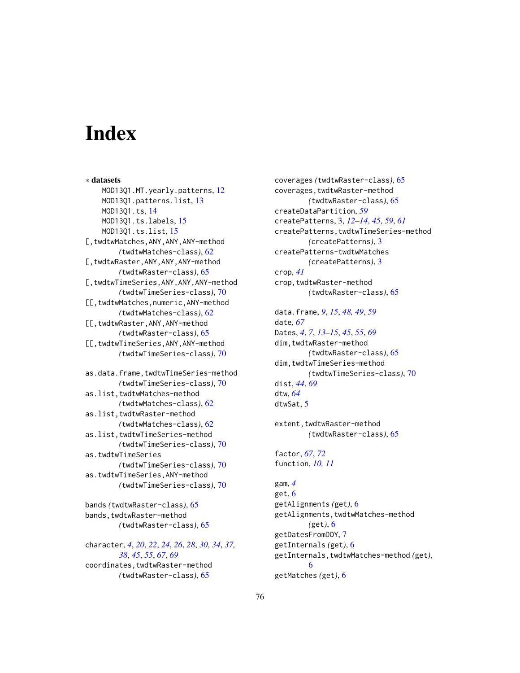# **Index**

∗ datasets MOD13Q1.MT.yearly.patterns, [12](#page-11-0) MOD13Q1.patterns.list, [13](#page-12-0) MOD13Q1.ts, [14](#page-13-0) MOD13Q1.ts.labels, [15](#page-14-0) MOD13Q1.ts.list, [15](#page-14-0) [,twdtwMatches,ANY,ANY,ANY-method *(*twdtwMatches-class*)*, [62](#page-61-0) [,twdtwRaster,ANY,ANY,ANY-method *(*twdtwRaster-class*)*, [65](#page-64-0) [,twdtwTimeSeries,ANY,ANY,ANY-method *(*twdtwTimeSeries-class*)*, [70](#page-69-0) [[,twdtwMatches,numeric,ANY-method *(*twdtwMatches-class*)*, [62](#page-61-0) [[,twdtwRaster,ANY,ANY-method *(*twdtwRaster-class*)*, [65](#page-64-0) [[,twdtwTimeSeries,ANY,ANY-method *(*twdtwTimeSeries-class*)*, [70](#page-69-0) as.data.frame,twdtwTimeSeries-method *(*twdtwTimeSeries-class*)*, [70](#page-69-0) as.list,twdtwMatches-method *(*twdtwMatches-class*)*, [62](#page-61-0) as.list,twdtwRaster-method *(*twdtwMatches-class*)*, [62](#page-61-0) as.list,twdtwTimeSeries-method *(*twdtwTimeSeries-class*)*, [70](#page-69-0) as.twdtwTimeSeries *(*twdtwTimeSeries-class*)*, [70](#page-69-0) as.twdtwTimeSeries,ANY-method *(*twdtwTimeSeries-class*)*, [70](#page-69-0)

bands *(*twdtwRaster-class*)*, [65](#page-64-0) bands,twdtwRaster-method *(*twdtwRaster-class*)*, [65](#page-64-0)

character, *[4](#page-3-0)*, *[20](#page-19-0)*, *[22](#page-21-0)*, *[24](#page-23-0)*, *[26](#page-25-0)*, *[28](#page-27-0)*, *[30](#page-29-0)*, *[34](#page-33-0)*, *[37,](#page-36-0) [38](#page-37-0)*, *[45](#page-44-0)*, *[55](#page-54-0)*, *[67](#page-66-0)*, *[69](#page-68-0)* coordinates,twdtwRaster-method *(*twdtwRaster-class*)*, [65](#page-64-0)

coverages *(*twdtwRaster-class*)*, [65](#page-64-0) coverages,twdtwRaster-method *(*twdtwRaster-class*)*, [65](#page-64-0) createDataPartition, *[59](#page-58-0)* createPatterns, [3,](#page-2-0) *[12](#page-11-0)[–14](#page-13-0)*, *[45](#page-44-0)*, *[59](#page-58-0)*, *[61](#page-60-0)* createPatterns,twdtwTimeSeries-method *(*createPatterns*)*, [3](#page-2-0) createPatterns-twdtwMatches *(*createPatterns*)*, [3](#page-2-0) crop, *[41](#page-40-0)* crop,twdtwRaster-method *(*twdtwRaster-class*)*, [65](#page-64-0)

data.frame, *[9](#page-8-0)*, *[15](#page-14-0)*, *[48,](#page-47-0) [49](#page-48-0)*, *[59](#page-58-0)* date, *[67](#page-66-0)* Dates, *[4](#page-3-0)*, *[7](#page-6-0)*, *[13](#page-12-0)[–15](#page-14-0)*, *[45](#page-44-0)*, *[55](#page-54-0)*, *[69](#page-68-0)* dim,twdtwRaster-method *(*twdtwRaster-class*)*, [65](#page-64-0) dim,twdtwTimeSeries-method *(*twdtwTimeSeries-class*)*, [70](#page-69-0) dist, *[44](#page-43-0)*, *[69](#page-68-0)* dtw, *[64](#page-63-0)* dtwSat, [5](#page-4-0)

extent, twdtwRaster-method *(*twdtwRaster-class*)*, [65](#page-64-0)

factor, *[67](#page-66-0)*, *[72](#page-71-0)* function, *[10,](#page-9-0) [11](#page-10-0)*

gam, *[4](#page-3-0)* get, [6](#page-5-0) getAlignments *(*get*)*, [6](#page-5-0) getAlignments,twdtwMatches-method *(*get*)*, [6](#page-5-0) getDatesFromDOY, [7](#page-6-0) getInternals *(*get*)*, [6](#page-5-0) getInternals,twdtwMatches-method *(*get*)*, [6](#page-5-0) getMatches *(*get*)*, [6](#page-5-0)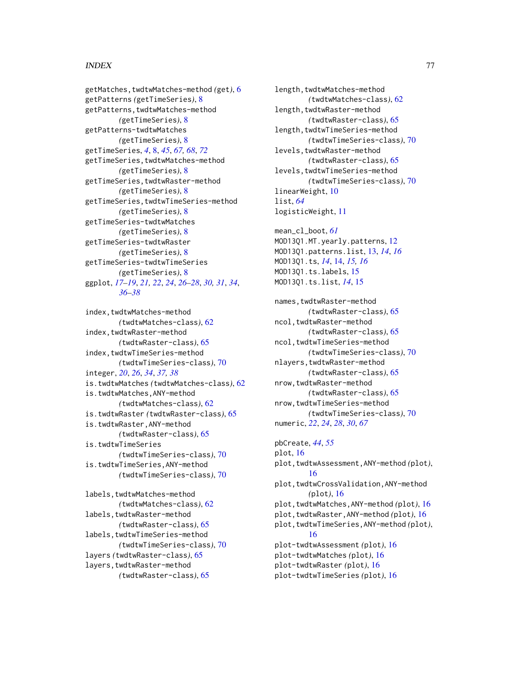#### INDEX 277

getMatches,twdtwMatches-method *(*get*)*, [6](#page-5-0) getPatterns *(*getTimeSeries*)*, [8](#page-7-0) getPatterns,twdtwMatches-method *(*getTimeSeries*)*, [8](#page-7-0) getPatterns-twdtwMatches *(*getTimeSeries*)*, [8](#page-7-0) getTimeSeries, *[4](#page-3-0)*, [8,](#page-7-0) *[45](#page-44-0)*, *[67,](#page-66-0) [68](#page-67-0)*, *[72](#page-71-0)* getTimeSeries,twdtwMatches-method *(*getTimeSeries*)*, [8](#page-7-0) getTimeSeries,twdtwRaster-method *(*getTimeSeries*)*, [8](#page-7-0) getTimeSeries,twdtwTimeSeries-method *(*getTimeSeries*)*, [8](#page-7-0) getTimeSeries-twdtwMatches *(*getTimeSeries*)*, [8](#page-7-0) getTimeSeries-twdtwRaster *(*getTimeSeries*)*, [8](#page-7-0) getTimeSeries-twdtwTimeSeries *(*getTimeSeries*)*, [8](#page-7-0) ggplot, *[17](#page-16-0)[–19](#page-18-0)*, *[21,](#page-20-0) [22](#page-21-0)*, *[24](#page-23-0)*, *[26–](#page-25-0)[28](#page-27-0)*, *[30,](#page-29-0) [31](#page-30-0)*, *[34](#page-33-0)*, *[36](#page-35-0)[–38](#page-37-0)*

index, twdtwMatches-method *(*twdtwMatches-class*)*, [62](#page-61-0) index, twdtwRaster-method *(*twdtwRaster-class*)*, [65](#page-64-0) index,twdtwTimeSeries-method *(*twdtwTimeSeries-class*)*, [70](#page-69-0) integer, *[20](#page-19-0)*, *[26](#page-25-0)*, *[34](#page-33-0)*, *[37,](#page-36-0) [38](#page-37-0)* is.twdtwMatches *(*twdtwMatches-class*)*, [62](#page-61-0) is.twdtwMatches,ANY-method *(*twdtwMatches-class*)*, [62](#page-61-0) is.twdtwRaster *(*twdtwRaster-class*)*, [65](#page-64-0) is.twdtwRaster,ANY-method *(*twdtwRaster-class*)*, [65](#page-64-0) is.twdtwTimeSeries *(*twdtwTimeSeries-class*)*, [70](#page-69-0) is.twdtwTimeSeries,ANY-method *(*twdtwTimeSeries-class*)*, [70](#page-69-0) labels,twdtwMatches-method *(*twdtwMatches-class*)*, [62](#page-61-0) labels,twdtwRaster-method *(*twdtwRaster-class*)*, [65](#page-64-0) labels,twdtwTimeSeries-method

*(*twdtwTimeSeries-class*)*, [70](#page-69-0) layers *(*twdtwRaster-class*)*, [65](#page-64-0) layers,twdtwRaster-method *(*twdtwRaster-class*)*, [65](#page-64-0)

length, twdtwMatches-method *(*twdtwMatches-class*)*, [62](#page-61-0) length,twdtwRaster-method *(*twdtwRaster-class*)*, [65](#page-64-0) length,twdtwTimeSeries-method *(*twdtwTimeSeries-class*)*, [70](#page-69-0) levels,twdtwRaster-method *(*twdtwRaster-class*)*, [65](#page-64-0) levels,twdtwTimeSeries-method *(*twdtwTimeSeries-class*)*, [70](#page-69-0) linearWeight, [10](#page-9-0) list, *[64](#page-63-0)* logisticWeight, [11](#page-10-0)

mean\_cl\_boot, *[61](#page-60-0)* MOD13Q1.MT.yearly.patterns, [12](#page-11-0) MOD13Q1.patterns.list, [13,](#page-12-0) *[14](#page-13-0)*, *[16](#page-15-0)* MOD13Q1.ts, *[14](#page-13-0)*, [14,](#page-13-0) *[15,](#page-14-0) [16](#page-15-0)* MOD13Q1.ts.labels, [15](#page-14-0) MOD13Q1.ts.list, *[14](#page-13-0)*, [15](#page-14-0)

names,twdtwRaster-method *(*twdtwRaster-class*)*, [65](#page-64-0) ncol, twdtwRaster-method *(*twdtwRaster-class*)*, [65](#page-64-0) ncol,twdtwTimeSeries-method *(*twdtwTimeSeries-class*)*, [70](#page-69-0) nlayers,twdtwRaster-method *(*twdtwRaster-class*)*, [65](#page-64-0) nrow,twdtwRaster-method *(*twdtwRaster-class*)*, [65](#page-64-0) nrow,twdtwTimeSeries-method *(*twdtwTimeSeries-class*)*, [70](#page-69-0) numeric, *[22](#page-21-0)*, *[24](#page-23-0)*, *[28](#page-27-0)*, *[30](#page-29-0)*, *[67](#page-66-0)*

pbCreate, *[44](#page-43-0)*, *[55](#page-54-0)* plot, [16](#page-15-0) plot,twdtwAssessment,ANY-method *(*plot*)*, [16](#page-15-0) plot,twdtwCrossValidation,ANY-method *(*plot*)*, [16](#page-15-0) plot,twdtwMatches,ANY-method *(*plot*)*, [16](#page-15-0) plot,twdtwRaster,ANY-method *(*plot*)*, [16](#page-15-0) plot,twdtwTimeSeries,ANY-method *(*plot*)*, [16](#page-15-0) plot-twdtwAssessment *(*plot*)*, [16](#page-15-0) plot-twdtwMatches *(*plot*)*, [16](#page-15-0) plot-twdtwRaster *(*plot*)*, [16](#page-15-0) plot-twdtwTimeSeries *(*plot*)*, [16](#page-15-0)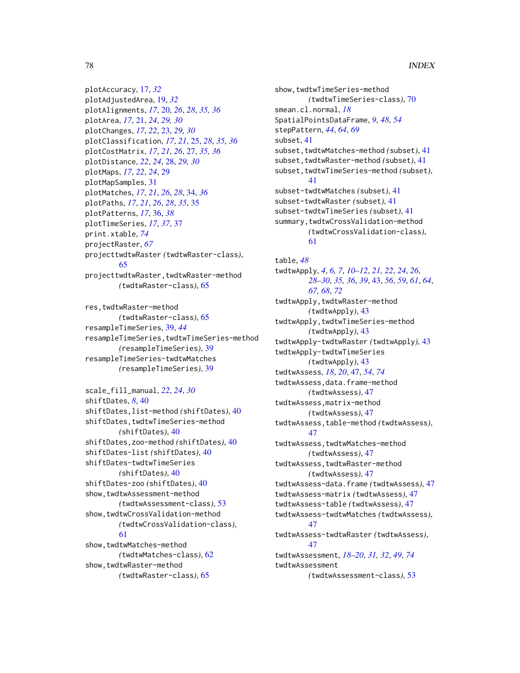# 78 INDEX

plotAccuracy, [17,](#page-16-0) *[32](#page-31-0)* plotAdjustedArea, [19,](#page-18-0) *[32](#page-31-0)* plotAlignments, *[17](#page-16-0)*, [20,](#page-19-0) *[26](#page-25-0)*, *[28](#page-27-0)*, *[35,](#page-34-0) [36](#page-35-0)* plotArea, *[17](#page-16-0)*, [21,](#page-20-0) *[24](#page-23-0)*, *[29,](#page-28-0) [30](#page-29-0)* plotChanges, *[17](#page-16-0)*, *[22](#page-21-0)*, [23,](#page-22-0) *[29,](#page-28-0) [30](#page-29-0)* plotClassification, *[17](#page-16-0)*, *[21](#page-20-0)*, [25,](#page-24-0) *[28](#page-27-0)*, *[35,](#page-34-0) [36](#page-35-0)* plotCostMatrix, *[17](#page-16-0)*, *[21](#page-20-0)*, *[26](#page-25-0)*, [27,](#page-26-0) *[35,](#page-34-0) [36](#page-35-0)* plotDistance, *[22](#page-21-0)*, *[24](#page-23-0)*, [28,](#page-27-0) *[29,](#page-28-0) [30](#page-29-0)* plotMaps, *[17](#page-16-0)*, *[22](#page-21-0)*, *[24](#page-23-0)*, [29](#page-28-0) plotMapSamples, [31](#page-30-0) plotMatches, *[17](#page-16-0)*, *[21](#page-20-0)*, *[26](#page-25-0)*, *[28](#page-27-0)*, [34,](#page-33-0) *[36](#page-35-0)* plotPaths, *[17](#page-16-0)*, *[21](#page-20-0)*, *[26](#page-25-0)*, *[28](#page-27-0)*, *[35](#page-34-0)*, [35](#page-34-0) plotPatterns, *[17](#page-16-0)*, [36,](#page-35-0) *[38](#page-37-0)* plotTimeSeries, *[17](#page-16-0)*, *[37](#page-36-0)*, [37](#page-36-0) print.xtable, *[74](#page-73-0)* projectRaster, *[67](#page-66-0)* projecttwdtwRaster *(*twdtwRaster-class*)*, [65](#page-64-0) projecttwdtwRaster,twdtwRaster-method *(*twdtwRaster-class*)*, [65](#page-64-0)

res,twdtwRaster-method *(*twdtwRaster-class*)*, [65](#page-64-0) resampleTimeSeries, [39,](#page-38-0) *[44](#page-43-0)* resampleTimeSeries,twdtwTimeSeries-method *(*resampleTimeSeries*)*, [39](#page-38-0) resampleTimeSeries-twdtwMatches *(*resampleTimeSeries*)*, [39](#page-38-0)

```
scale_fill_manual, 22, 24, 30
shiftDates, 8, 40
shiftDates,list-method (shiftDates), 40
shiftDates,twdtwTimeSeries-method
        (shiftDates), 40
shiftDates,zoo-method (shiftDates), 40
shiftDates-list (shiftDates), 40
shiftDates-twdtwTimeSeries
        (shiftDates), 40
shiftDates-zoo (shiftDates), 40
show,twdtwAssessment-method
        (twdtwAssessment-class), 53
show,twdtwCrossValidation-method
        (twdtwCrossValidation-class),
        61
show, twdtwMatches-method
        (twdtwMatches-class), 62
show,twdtwRaster-method
```
*(*twdtwRaster-class*)*, [65](#page-64-0)

show,twdtwTimeSeries-method *(*twdtwTimeSeries-class*)*, [70](#page-69-0) smean.cl.normal, *[18](#page-17-0)* SpatialPointsDataFrame, *[9](#page-8-0)*, *[48](#page-47-0)*, *[54](#page-53-0)* stepPattern, *[44](#page-43-0)*, *[64](#page-63-0)*, *[69](#page-68-0)* subset, [41](#page-40-0) subset, twdtwMatches-method *(subset)*, [41](#page-40-0) subset,twdtwRaster-method *(*subset*)*, [41](#page-40-0) subset,twdtwTimeSeries-method *(*subset*)*, [41](#page-40-0) subset-twdtwMatches *(*subset*)*, [41](#page-40-0) subset-twdtwRaster *(*subset*)*, [41](#page-40-0) subset-twdtwTimeSeries *(*subset*)*, [41](#page-40-0) summary, twdtwCrossValidation-method *(*twdtwCrossValidation-class*)*, [61](#page-60-0)

table, *[48](#page-47-0)* twdtwApply, *[4](#page-3-0)*, *[6,](#page-5-0) [7](#page-6-0)*, *[10](#page-9-0)[–12](#page-11-0)*, *[21,](#page-20-0) [22](#page-21-0)*, *[24](#page-23-0)*, *[26](#page-25-0)*, *[28](#page-27-0)[–30](#page-29-0)*, *[35,](#page-34-0) [36](#page-35-0)*, *[39](#page-38-0)*, [43,](#page-42-0) *[56](#page-55-0)*, *[59](#page-58-0)*, *[61](#page-60-0)*, *[64](#page-63-0)*, *[67,](#page-66-0) [68](#page-67-0)*, *[72](#page-71-0)* twdtwApply,twdtwRaster-method *(*twdtwApply*)*, [43](#page-42-0) twdtwApply,twdtwTimeSeries-method *(*twdtwApply*)*, [43](#page-42-0) twdtwApply-twdtwRaster *(*twdtwApply*)*, [43](#page-42-0) twdtwApply-twdtwTimeSeries *(*twdtwApply*)*, [43](#page-42-0) twdtwAssess, *[18](#page-17-0)*, *[20](#page-19-0)*, [47,](#page-46-1) *[54](#page-53-0)*, *[74](#page-73-0)* twdtwAssess,data.frame-method *(*twdtwAssess*)*, [47](#page-46-1) twdtwAssess,matrix-method *(*twdtwAssess*)*, [47](#page-46-1) twdtwAssess,table-method *(*twdtwAssess*)*, [47](#page-46-1) twdtwAssess,twdtwMatches-method *(*twdtwAssess*)*, [47](#page-46-1) twdtwAssess,twdtwRaster-method *(*twdtwAssess*)*, [47](#page-46-1) twdtwAssess-data.frame *(*twdtwAssess*)*, [47](#page-46-1) twdtwAssess-matrix *(*twdtwAssess*)*, [47](#page-46-1) twdtwAssess-table *(*twdtwAssess*)*, [47](#page-46-1) twdtwAssess-twdtwMatches *(*twdtwAssess*)*, [47](#page-46-1) twdtwAssess-twdtwRaster *(*twdtwAssess*)*, [47](#page-46-1) twdtwAssessment, *[18](#page-17-0)[–20](#page-19-0)*, *[31,](#page-30-0) [32](#page-31-0)*, *[49](#page-48-0)*, *[74](#page-73-0)* twdtwAssessment *(*twdtwAssessment-class*)*, [53](#page-52-1)